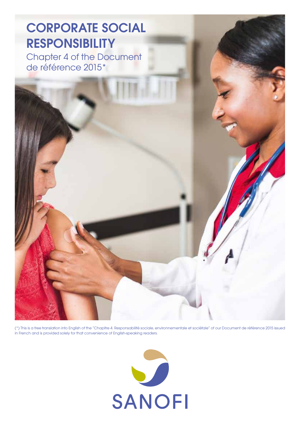Chapter 4 of the Document de référence 2015\*



(\*) This is a free translation into English of the "Chapitre 4. Responsabilité sociale, environnementale et sociétale" of our Document de référence 2015 issued in French and is provided solely for that convenience of English-speaking readers.

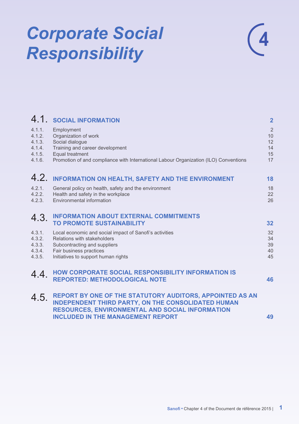# *Corporate Social Responsibility*



|                                                          | 4.1. SOCIAL INFORMATION                                                                                                                                                                             | $\overline{\mathbf{2}}$                      |
|----------------------------------------------------------|-----------------------------------------------------------------------------------------------------------------------------------------------------------------------------------------------------|----------------------------------------------|
| 4.1.1.<br>4.1.2.<br>4.1.3.<br>4.1.4.<br>4.1.5.<br>4.1.6. | Employment<br>Organization of work<br>Social dialogue<br>Training and career development<br>Equal treatment<br>Promotion of and compliance with International Labour Organization (ILO) Conventions | $\overline{2}$<br>10<br>12<br>14<br>15<br>17 |
|                                                          | 4.2. INFORMATION ON HEALTH, SAFETY AND THE ENVIRONMENT                                                                                                                                              | 18                                           |
| 4.2.1.<br>4.2.2.<br>4.2.3.                               | General policy on health, safety and the environment<br>Health and safety in the workplace<br>Environmental information                                                                             | 18<br>22<br>26                               |
| 4.3.                                                     | <b>INFORMATION ABOUT EXTERNAL COMMITMENTS</b><br><b>TO PROMOTE SUSTAINABILITY</b>                                                                                                                   | 32                                           |
| 4.3.1.<br>4.3.2.<br>4.3.3.<br>4.3.4.<br>4.3.5.           | Local economic and social impact of Sanofi's activities<br>Relations with stakeholders<br>Subcontracting and suppliers<br>Fair business practices<br>Initiatives to support human rights            | 32<br>34<br>39<br>40<br>45                   |
| 4.4.                                                     | HOW CORPORATE SOCIAL RESPONSIBILITY INFORMATION IS<br><b>REPORTED: METHODOLOGICAL NOTE</b>                                                                                                          | 46                                           |
| 4.5.                                                     | REPORT BY ONE OF THE STATUTORY AUDITORS, APPOINTED AS AN                                                                                                                                            |                                              |
|                                                          | INDEPENDENT THIRD PARTY, ON THE CONSOLIDATED HUMAN<br><b>RESOURCES, ENVIRONMENTAL AND SOCIAL INFORMATION</b><br><b>INCLUDED IN THE MANAGEMENT REPORT</b>                                            | 49                                           |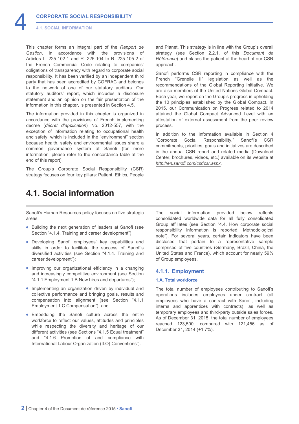<span id="page-2-0"></span>This chapter forms an integral part of the *Rapport de Gestion*, in accordance with the provisions of Articles L. 225-102-1 and R. 225-104 to R. 225-105-2 of the French Commercial Code relating to companies' obligations of transparency with regard to corporate social responsibility. It has been verified by an independent third party that has been accredited by COFRAC and belongs to the network of one of our statutory auditors. Our statutory auditors' report, which includes a disclosure statement and an opinion on the fair presentation of the information in this chapter, is presented in Section 4.5.

The information provided in this chapter is organized in accordance with the provisions of French implementing decree (*décret d'application*) No. 2012-557, with the exception of information relating to occupational health and safety, which is included in the "environment" section because health, safety and environmental issues share a common governance system at Sanofi (for more information, please refer to the concordance table at the end of this report).

The Group's Corporate Social Responsibility (CSR) strategy focuses on four key pillars: Patient, Ethics, People and Planet. This strategy is in line with the Group's overall strategy (see Section 2.2.1. of this *Document de Référence*) and places the patient at the heart of our CSR approach.

Sanofi performs CSR reporting in compliance with the French "Grenelle II" legislation as well as the recommendations of the Global Reporting Initiative. We are also members of the United Nations Global Compact. Each year, we report on the Group's progress in upholding the 10 principles established by the Global Compact. In 2015, our Communication on Progress related to 2014 attained the Global Compact Advanced Level with an attestation of external assessment from the peer review process.

In addition to the information available in Section 4 "Corporate Social Responsibility," Sanofi's CSR commitments, priorities, goals and initiatives are described in the annual CSR report and related media (Download Center, brochures, videos, etc.) available on its website at *<http://en.sanofi.com/csr/csr.aspx>*.

# **4.1. Social information**

Sanofi's Human Resources policy focuses on five strategic areas:

- Building the next generation of leaders at Sanofi (see Section "4.1.4. Training and career development");
- Developing Sanofi employees' key capabilities and skills in order to facilitate the success of Sanofi's diversified activities (see Section "4.1.4. Training and career development");
- Improving our organizational efficiency in a changing and increasingly competitive environment (see Section "4.1.1 Employment 1.B New hires and departures");
- Implementing an organization driven by individual and collective performance and bringing goals, results and compensation into alignment (see Section "4.1.1 Employment 1.C Compensation"); and
- Embedding the Sanofi culture across the entire workforce to reflect our values, attitudes and principles while respecting the diversity and heritage of our different activities (see Sections "4.1.5 Equal treatment" and "4.1.6 Promotion of and compliance with International Labour Organization (ILO) Conventions").

The social information provided below reflects consolidated worldwide data for all fully consolidated Group affiliates (see Section "4.4. How corporate social responsibility information is reported: Methodological note"). For several years, certain indicators have been disclosed that pertain to a representative sample comprised of five countries (Germany, Brazil, China, the United States and France), which account for nearly 59% of Group employees.

# **4.1.1. Employment**

# **1.A. Total workforce**

The total number of employees contributing to Sanofi's operations includes employees under contract (all employees who have a contract with Sanofi, including interns and apprentices with contracts), as well as temporary employees and third-party outside sales forces. As of December 31, 2015, the total number of employees reached 123,500, compared with 121,456 as of December 31, 2014 (+1.7%).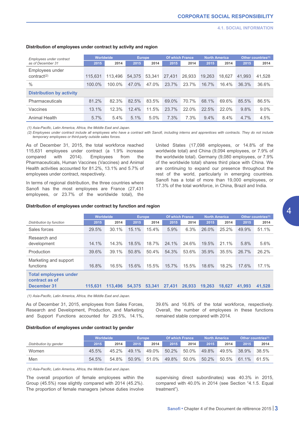4

| Employees under contract                   | <b>Worldwide</b> |         | <b>Europe</b> |        | <b>Of which France</b> |        | <b>North America</b> |        | Other countries <sup>(1)</sup> |         |
|--------------------------------------------|------------------|---------|---------------|--------|------------------------|--------|----------------------|--------|--------------------------------|---------|
| as of December 31                          | 2015             | 2014    | 2015          | 2014   | 2015                   | 2014   | 2015                 | 2014   | 2015                           | 2014    |
| Employees under<br>contract <sup>(2)</sup> | 115.631          | 113.496 | 54.375        | 53.341 | 27.431                 | 26.933 | 19.263               | 18.627 | 41.993                         | 41,528  |
| $\%$                                       | 100.0%           | 100.0%  | 47.0%         | 47.0%  | 23.7%                  | 23.7%  | 16.7%                | 16.4%  | 36.3%                          | 36.6%   |
| <b>Distribution by activity</b>            |                  |         |               |        |                        |        |                      |        |                                |         |
| Pharmaceuticals                            | 81.2%            | 82.3%   | 82.5%         | 83.5%  | 69.0%                  | 70.7%  | 68.1%                | 69.6%  | 85.5%                          | 86.5%   |
| Vaccines                                   | 13.1%            | 12.3%   | 12.4%         | 11.5%  | 23.7%                  | 22.0%  | 22.5%                | 22.0%  | 9.8%                           | $9.0\%$ |
| Animal Health                              | 5.7%             | 5.4%    | 5.1%          | 5.0%   | 7.3%                   | 7.3%   | 9.4%                 | 8.4%   | 4.7%                           | 4.5%    |

# **Distribution of employees under contract by activity and region**

*(1) Asia-Pacific, Latin America, Africa, the Middle East and Japan.*

*(2) Employees under contract include all employees who have a contract with Sanofi, including interns and apprentices with contracts. They do not include temporary employees or third-party outside sales forces.*

As of December 31, 2015, the total workforce reached 115,631 employees under contract (a 1.9% increase compared with 2014). Employees from the Pharmaceuticals, Human Vaccines (Vaccines) and Animal Health activities accounted for 81.2%, 13.1% and 5.7% of employees under contract, respectively.

In terms of regional distribution, the three countries where Sanofi has the most employees are France (27,431 employees, or 23.7% of the worldwide total), the United States (17,098 employees, or 14.8% of the worldwide total) and China (9,094 employees, or 7.9% of the worldwide total). Germany (9,080 employees, or 7.9% of the worldwide total) shares third place with China. We are continuing to expand our presence throughout the rest of the world, particularly in emerging countries. Sanofi has a total of more than 19,000 employees, or 17.3% of the total workforce, in China, Brazil and India.

| Distribution of employees under contract by function and region |  |  |  |  |  |  |  |  |
|-----------------------------------------------------------------|--|--|--|--|--|--|--|--|
|-----------------------------------------------------------------|--|--|--|--|--|--|--|--|

|                                                               | Worldwide |         | <b>Europe</b> |        | <b>Of which France</b> |        | <b>North America</b> |        | Other countries(1) |        |
|---------------------------------------------------------------|-----------|---------|---------------|--------|------------------------|--------|----------------------|--------|--------------------|--------|
| Distribution by function                                      | 2015      | 2014    | 2015          | 2014   | 2015                   | 2014   | 2015                 | 2014   | 2015               | 2014   |
| Sales forces                                                  | 29.5%     | 30.1%   | 15.1%         | 15.4%  | 5.9%                   | 6.3%   | 26.0%                | 25.2%  | 49.9%              | 51.1%  |
| Research and<br>development                                   | 14.1%     | 14.3%   | 18.5%         | 18.7%  | 24.1%                  | 24.6%  | 19.5%                | 21.1%  | 5.8%               | 5.6%   |
| Production                                                    | 39.6%     | 39.1%   | 50.8%         | 50.4%  | 54.3%                  | 53.6%  | 35.9%                | 35.5%  | 26.7%              | 26.2%  |
| Marketing and support<br>functions                            | 16.8%     | 16.5%   | 15.6%         | 15.5%  | 15.7%                  | 15.5%  | 18.6%                | 18.2%  | 17.6%              | 17.1%  |
| <b>Total employees under</b><br>contract as of<br>December 31 | 115.631   | 113,496 | 54.375        | 53.341 | 27.431                 | 26,933 | 19.263               | 18.627 | 41.993             | 41.528 |

*(1) Asia-Pacific, Latin America, Africa, the Middle East and Japan.*

As of December 31, 2015, employees from Sales Forces, Research and Development, Production, and Marketing and Support Functions accounted for 29.5%, 14.1%, 39.6% and 16.8% of the total workforce, respectively. Overall, the number of employees in these functions remained stable compared with 2014.

# **Distribution of employees under contract by gender**

|                        | <b>Worldwide</b> |       | <b>Europe</b> |       | Of which France |       | <b>North America</b> |       | Other countries <sup>(1)</sup> |       |
|------------------------|------------------|-------|---------------|-------|-----------------|-------|----------------------|-------|--------------------------------|-------|
| Distribution by gender | 2015             | 2014  | 2015          | 2014  | 2015            | 2014  | 2015                 | 2014  | 2015                           | 2014  |
| Women                  | 45.5%            | 45.2% | 49.1%         | 49.0% | 50.2%           | 50.0% | 49.8%                | 49.5% | 38.9%                          | 38.5% |
| Men                    | 54.5%            | 54.8% | 50.9%         | 51.0% | 49.8%           | 50.0% | 50.2%                | 50.5% | 61.1%                          | 61.5% |

*(1) Asia-Pacific, Latin America, Africa, the Middle East and Japan.*

The overall proportion of female employees within the Group (45.5%) rose slightly compared with 2014 (45.2%). The proportion of female managers (whose duties involve supervising direct subordinates) was 40.3% in 2015, compared with 40.0% in 2014 (see Section "4.1.5. Equal treatment").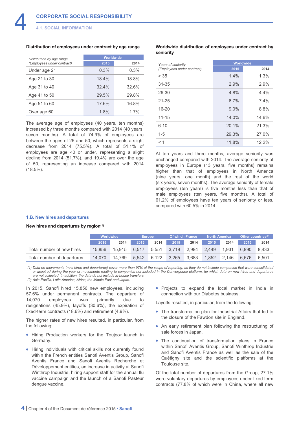## **Distribution of employees under contract by age range**

| Distribution by age range  | Worldwide |       |  |  |  |  |
|----------------------------|-----------|-------|--|--|--|--|
| (Employees under contract) | 2015      | 2014  |  |  |  |  |
| Under age 21               | 0.3%      | 0.3%  |  |  |  |  |
| Age 21 to 30               | 18.4%     | 18.8% |  |  |  |  |
| Age 31 to 40               | 32.4%     | 32.6% |  |  |  |  |
| Age 41 to 50               | 29.5%     | 29.8% |  |  |  |  |
| Age 51 to 60               | 17.6%     | 16.8% |  |  |  |  |
| Over age 60                | 1.8%      | 1.7%  |  |  |  |  |

The average age of employees (40 years, ten months) increased by three months compared with 2014 (40 years, seven months). A total of 74.9% of employees are between the ages of 26 and 50, which represents a slight decrease from 2014 (75.5%). A total of 51.1% of employees are age 40 or under, representing a slight decline from 2014 (51.7%), and 19.4% are over the age of 50, representing an increase compared with 2014 (18.5%).

# **Worldwide distribution of employees under contract by seniority**

| Years of seniority         | Worldwide |       |
|----------------------------|-----------|-------|
| (Employees under contract) | 2015      | 2014  |
| > 35                       | 1.4%      | 1.3%  |
| $31 - 35$                  | 2.9%      | 2.9%  |
| $26 - 30$                  | 4.8%      | 4.4%  |
| $21 - 25$                  | 6.7%      | 7.4%  |
| $16 - 20$                  | 9.0%      | 8.8%  |
| $11 - 15$                  | 14.0%     | 14.6% |
| $6 - 10$                   | 20.1%     | 21.3% |
| $1 - 5$                    | 29.3%     | 27.0% |
| $<$ 1                      | 11.8%     | 12.2% |

At ten years and three months, average seniority was unchanged compared with 2014. The average seniority of employees in Europe (13 years, five months) remains higher than that of employees in North America (nine years, one month) and the rest of the world (six years, seven months). The average seniority of female employees (ten years) is five months less than that of male employees (ten years, five months). A total of 61.2% of employees have ten years of seniority or less, compared with 60.5% in 2014.

# **1.B. New hires and departures**

#### **New hires and departures by region(1)**

|                            | Worldwide |        | <b>Europe</b> |       | <b>Of which France</b> |       | <b>North America</b> |       | Other countries <sup>(2)</sup> |       |
|----------------------------|-----------|--------|---------------|-------|------------------------|-------|----------------------|-------|--------------------------------|-------|
|                            | 2015      | 2014   | 2015          | 2014  | 2015                   | 2014  | 2015                 | 2014  | 2015                           | 2014  |
| Total number of new hires  | 15.856    | 15.915 | 6.517         | 5.551 | 3.719                  | 2.984 | 2.449                | 1.931 | 6.890                          | 8.433 |
| Total number of departures | 14.070    | 14.769 | 5.542         | 6.122 | 3.265                  | 3.683 | 1.852                | 2.146 | 6.676                          | 6.501 |

*(1) Data on movements (new hires and departures) cover more than 97% of the scope of reporting, as they do not include companies that were consolidated or acquired during the year or movements relating to companies not included in the Convergence platform, for which data on new hires and departures are not collected. In addition, the data do not include in-house transfers.*

*(2) Asia-Pacific, Latin America, Africa, the Middle East and Japan.*

In 2015, Sanofi hired 15,856 new employees, including 57.6% under permanent contracts. The departure of 14,070 employees was primarily due to resignations (45.9%), layoffs (30.6%), the expiration of fixed-term contracts (18.6%) and retirement (4.9%).

The higher rates of new hires resulted, in particular, from the following:

- Hiring Production workers for the Toujeo® launch in Germany.
- Hiring individuals with critical skills not currently found within the French entities Sanofi Aventis Group, Sanofi Aventis France and Sanofi Aventis Recherche et Développement entities, an increase in activity at Sanofi Winthrop Industrie, hiring support staff for the annual flu vaccine campaign and the launch of a Sanofi Pasteur dengue vaccine.

• Projects to expand the local market in India in connection with our Diabetes business.

Layoffs resulted, in particular, from the following:

- The transformation plan for Industrial Affairs that led to the closure of the Fawdon site in England.
- An early retirement plan following the restructuring of sale forces in Japan.
- The continuation of transformation plans in France within Sanofi Aventis Group, Sanofi Winthrop Industrie and Sanofi Aventis France as well as the sale of the Quétigny site and the scientific platforms at the Toulouse site.

Of the total number of departures from the Group, 27.1% were voluntary departures by employees under fixed-term contracts (77.8% of which were in China, where all new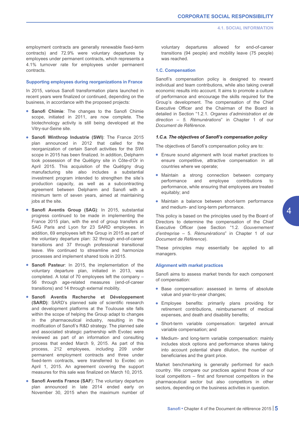employment contracts are generally renewable fixed-term contracts) and 72.9% were voluntary departures by employees under permanent contracts, which represents a 4.1% turnover rate for employees under permanent contracts.

#### **Supporting employees during reorganizations in France**

In 2015, various Sanofi transformation plans launched in recent years were finalized or continued, depending on the business, in accordance with the proposed projects:

- **Sanofi Chimie**: The changes to the Sanofi Chimie scope, initiated in 2011, are now complete. The biotechnology activity is still being developed at the Vitry-sur-Seine site.
- **Sanofi Winthrop Industrie (SWI)**: The France 2015 plan announced in 2012 that called for the reorganization of certain Sanofi activities for the SWI scope in 2015 has been finalized. In addition, Delpharm took possession of the Quétigny site in Côte-d'Or in April 2015. This acquisition of the Quétigny drug manufacturing site also includes a substantial investment program intended to strengthen the site's production capacity, as well as a subcontracting agreement between Delpharm and Sanofi with a minimum term of seven years, aimed at maintaining jobs at the site.
- **Sanofi Aventis Group (SAG)**: In 2015, substantial progress continued to be made in implementing the France 2015 plan, with the end of group transfers at SAG Paris and Lyon for 23 SARD employees. In addition, 69 employees left the Group in 2015 as part of the voluntary departure plan: 32 through end-of-career transitions and 37 through professional transitional leave. We continued to streamline and harmonize processes and implement shared tools in 2015.
- **Sanofi Pasteur**: In 2015, the implementation of the voluntary departure plan, initiated in 2013, was completed. A total of 70 employees left the company – 56 through age-related measures (end-of-career transitions) and 14 through external mobility.
- **Sanofi Aventis Recherche et Développement (SARD)**: SARD's planned sale of scientific research and development platforms at the Toulouse site falls within the scope of helping the Group adapt to changes in the pharmaceutical industry, resulting in the modification of Sanofi's R&D strategy. The planned sale and associated strategic partnership with Evotec were reviewed as part of an information and consulting process that ended March 9, 2015. As part of this process, 212 employees, including 209 under permanent employment contracts and three under fixed-term contracts, were transferred to Evotec on April 1, 2015. An agreement covering the support measures for this sale was finalized on March 10, 2015.
- **Sanofi Aventis France (SAF**): The voluntary departure plan announced in late 2014 ended early on November 30, 2015 when the maximum number of

voluntary departures allowed for end-of-career transitions (94 people) and mobility leave (75 people) was reached.

# **1.C. Compensation**

Sanofi's compensation policy is designed to reward individual and team contributions, while also taking overall economic results into account. It aims to promote a culture of performance and encourage the skills required for the Group's development. The compensation of the Chief Executive Officer and the Chairman of the Board is detailed in Section "1.2.1. *Organes d'administration et de direction – 5. Rémunérations*" in Chapter 1 of our *Document de Référence*.

#### *1.C.a. The objectives of Sanofi's compensation policy*

The objectives of Sanofi's compensation policy are to:

- Ensure sound alignment with local market practices to ensure competitive, attractive compensation in all countries where we operate;
- Maintain a strong connection between company performance and employee contributions to performance, while ensuring that employees are treated equitably; and
- Maintain a balance between short-term performance and medium- and long-term performance.

This policy is based on the principles used by the Board of Directors to determine the compensation of the Chief Executive Officer (see Section "1.2. *Gouvernement d'entreprise* – 5. *Rémunérations*" in Chapter 1 of our *Document de Référence*).

These principles may essentially be applied to all managers.

# **Alignment with market practices**

Sanofi aims to assess market trends for each component of compensation:

- Base compensation: assessed in terms of absolute value and year-to-year changes;
- Employee benefits: primarily plans providing for retirement contributions, reimbursement of medical expenses, and death and disability benefits;
- Short-term variable compensation: targeted annual variable compensation; and
- Medium- and long-term variable compensation: mainly includes stock options and performance shares taking into account potential share dilution, the number of beneficiaries and the grant price.

Market benchmarking is generally performed for each country. We compare our practices against those of our local competitors – first and foremost competitors in the pharmaceutical sector but also competitors in other sectors, depending on the business activities in question.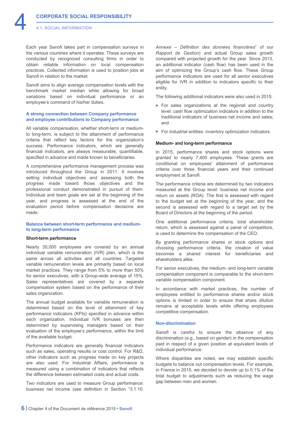Each year Sanofi takes part in compensation surveys in the various countries where it operates. These surveys are conducted by recognized consulting firms in order to obtain reliable information on local compensation practices. Collected information is used to position jobs at Sanofi in relation to the market.

Sanofi aims to align average compensation levels with the benchmark market median while allowing for broad variations based on individual performance or an employee's command of his/her duties.

# **A strong connection between Company performance and employee contributions to Company performance**

All variable compensation, whether short-term or mediumto long-term, is subject to the attainment of performance criteria that reflect key factors for the organization's success. Performance indicators, which are generally financial indicators, are always measurable, quantifiable, specified in advance and made known to beneficiaries.

A comprehensive performance management process was introduced throughout the Group in 2011. It involves setting individual objectives and assessing both the progress made toward those objectives and the professional conduct demonstrated in pursuit of them. Individual and team goals are set at the beginning of the year, and progress is assessed at the end of the evaluation period before compensation decisions are made.

# **Balance between short-term performance and mediumto long-term performance**

#### **Short-term performance**

Nearly 35,000 employees are covered by an annual individual variable remuneration (IVR) plan, which is the same across all activities and all countries. Targeted variable remuneration levels are primarily based on local market practices. They range from 5% to more than 50% for senior executives, with a Group-wide average of 15%. Sales representatives are covered by a separate compensation system based on the performance of their sales organization.

The annual budget available for variable remuneration is determined based on the level of attainment of key performance indicators (KPIs) specified in advance within each organization. Individual IVR bonuses are then determined by supervising managers based on their evaluation of the employee's performance, within the limit of the available budget.

Performance indicators are generally financial indicators such as sales, operating results or cost control. For R&D, other indicators such as progress made on key projects are also used. For Industrial Affairs, performance is measured using a combination of indicators that reflects the difference between estimated costs and actual costs.

Two indicators are used to measure Group performance: business net income (see definition in Section "3.1.10. *Annexe – Définition des données financières*" of our *Rapport de Gestion*) and actual Group sales growth compared with projected growth for the year. Since 2013, an additional indicator (cash flow) has been used in the aim of optimizing the Group's cash flow. These Group performance indicators are used for all senior executives eligible for IVR in addition to indicators specific to their entity.

The following additional indicators were also used in 2015:

- For sales organizations at the regional and country level: cash flow optimization indicators in addition to the traditional indicators of business net income and sales; and
- For industrial entities: inventory optimization indicators.

# **Medium- and long-term performance**

In 2015, performance shares and stock options were granted to nearly 7,400 employees. These grants are conditional on employees' attainment of performance criteria over three financial years and their continued employment at Sanofi.

The performance criteria are determined by two indicators measured at the Group level: business net income and return on assets (ROA). The first is assessed with regard to the budget set at the beginning of the year, and the second is assessed with regard to a target set by the Board of Directors at the beginning of the period.

One additional performance criteria, total shareholder return, which is assessed against a panel of competitors, is used to determine the compensation of the CEO.

By granting performance shares or stock options and choosing performance criteria, the creation of value becomes a shared interest for beneficiaries and shareholders alike.

For senior executives, the medium- and long-term variable compensation component is comparable to the short-term variable compensation component.

In accordance with market practices, the number of employees entitled to performance shares and/or stock options is limited in order to ensure that share dilution remains at acceptable levels while offering employees competitive compensation.

#### **Non-discrimination**

Sanofi is careful to ensure the absence of any discrimination (e.g., based on gender) in the compensation paid in respect of a given position at equivalent levels of individual performance.

Where disparities are noted, we may establish specific budgets to balance out compensation levels. For example, in France in 2015, we decided to devote up to 0.1% of the total budget to adjustments such as reducing the wage gap between men and women.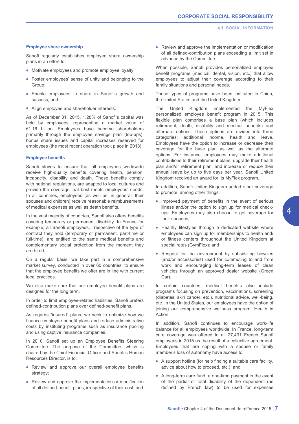# **Employee share ownership**

Sanofi regularly establishes employee share ownership plans in an effort to:

- Motivate employees and promote employee loyalty;
- Foster employees' sense of unity and belonging to the Group;
- Enable employees to share in Sanofi's growth and success; and
- Align employee and shareholder interests.

As of December 31, 2015, 1.28% of Sanofi's capital was held by employees, representing a market value of €1.16 billion. Employees have become shareholders primarily through the employee savings plan (top-ups), bonus share issues and capital increases reserved for employees (the most recent operation took place in 2013).

# **Employee benefits**

Sanofi strives to ensure that all employees worldwide receive high-quality benefits covering health, pension, incapacity, disability and death. These benefits comply with national regulations, are adapted to local cultures and provide the coverage that best meets employees' needs. In all countries, employees (as well as, in general, their spouses and children) receive reasonable reimbursements of medical expenses as well as death benefits.

In the vast majority of countries, Sanofi also offers benefits covering temporary or permanent disability. In France for example, all Sanofi employees, irrespective of the type of contract they hold (temporary or permanent, part-time or full-time), are entitled to the same medical benefits and complementary social protection from the moment they are hired.

On a regular basis, we take part in a comprehensive market survey, conducted in over 60 countries, to ensure that the employee benefits we offer are in line with current local practices.

We also make sure that our employee benefit plans are designed for the long term.

In order to limit employee-related liabilities, Sanofi prefers defined-contribution plans over defined-benefit plans.

As regards "insured" plans, we seek to optimize how we finance employee benefit plans and reduce administrative costs by instituting programs such as insurance pooling and using captive insurance companies.

In 2010, Sanofi set up an Employee Benefits Steering Committee. The purpose of the Committee, which is chaired by the Chief Financial Officer and Sanofi's Human Resources Director, is to:

- Review and approve our overall employee benefits strategy;
- Review and approve the implementation or modification of all defined-benefit plans, irrespective of their cost; and

• Review and approve the implementation or modification of all defined-contribution plans exceeding a limit set in advance by the Committee.

When possible, Sanofi provides personalized employee benefit programs (medical, dental, vision, etc.) that allow employees to adjust their coverage according to their family situations and personal needs.

These types of programs have been instituted in China, the United States and the United Kingdom.

The United Kingdom implemented the MyFlex personalized employee benefit program in 2015. This flexible plan comprises a base plan (which includes retirement, death, disability and medical benefits) and alternate options. These options are divided into three categories: additional income, health and leave. Employees have the option to increase or decrease their coverage for the base plan as well as the alternate options. For instance, employees may make additional contributions to their retirement plans, upgrade their health plan and/or retirement plan, and increase or reduce their annual leave by up to five days per year. Sanofi United Kingdom received an award for its MyFlex program.

In addition, Sanofi United Kingdom added other coverage to promote, among other things:

- Improved payment of benefits in the event of serious illness and/or the option to sign up for medical checkups. Employees may also choose to get coverage for their spouses;
- Healthy lifestyles through a dedicated website where employees can sign up for memberships to health and/ or fitness centers throughout the United Kingdom at special rates (GymFlex); and
- Respect for the environment by subsidizing bicycles (and/or accessories) used for commuting to and from work and encouraging long-term leases of clean vehicles through an approved dealer website (Green Car).

In certain countries, medical benefits also include programs focusing on prevention, vaccinations, screening (diabetes, skin cancer, etc.), nutritional advice, well-being, etc. In the United States, our employees have the option of joining our comprehensive wellness program, Health in Action.

In addition, Sanofi continues to encourage work-life balance for all employees worldwide. In France, long-term care coverage was offered to all 27,431 French Sanofi employees in 2015 as the result of a collective agreement. Employees that are coping with a spouse or family member's loss of autonomy have access to:

- A support hotline (for help finding a suitable care facility, advice about how to proceed, etc.); and
- A long-term care fund: a one-time payment in the event of the partial or total disability of the dependent (as defined by French law) to be used for expenses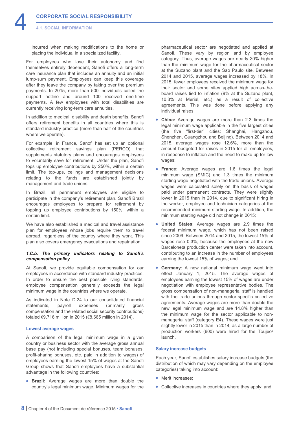incurred when making modifications to the home or placing the individual in a specialized facility.

For employees who lose their autonomy and find themselves entirely dependent, Sanofi offers a long-term care insurance plan that includes an annuity and an initial lump-sum payment. Employees can keep this coverage after they leave the company by taking over the premium payments. In 2015, more than 500 individuals called the support hotline and around 100 received one-time payments. A few employees with total disabilities are currently receiving long-term care annuities.

In addition to medical, disability and death benefits, Sanofi offers retirement benefits in all countries where this is standard industry practice (more than half of the countries where we operate).

For example, in France, Sanofi has set up an optional collective retirement savings plan (PERCO) that supplements statutory plans and encourages employees to voluntarily save for retirement. Under the plan, Sanofi tops up employee contributions by 250%, within a certain limit. The top-ups, ceilings and management decisions relating to the funds are established jointly by management and trade unions.

In Brazil, all permanent employees are eligible to participate in the company's retirement plan. Sanofi Brazil encourages employees to prepare for retirement by topping up employee contributions by 150%, within a certain limit.

We have also established a medical and travel assistance plan for employees whose jobs require them to travel abroad, regardless of the country where they work. This plan also covers emergency evacuations and repatriation.

# *1.C.b. The primary indicators relating to Sanofi's compensation policy*

At Sanofi, we provide equitable compensation for our employees in accordance with standard industry practices. In order to ensure the best possible living standards, employee compensation generally exceeds the legal minimum wage in the countries where we operate.

As indicated in Note D.24 to our consolidated financial statements, payroll expenses (primarily gross compensation and the related social security contributions) totaled €9,716 million in 2015 (€8,665 million in 2014).

# **Lowest average wages**

A comparison of the legal minimum wage in a given country or business sector with the average gross annual base pay (not including special bonuses, team bonuses, profit-sharing bonuses, etc. paid in addition to wages) of employees earning the lowest 15% of wages at the Sanofi Group shows that Sanofi employees have a substantial advantage in the following countries:

• **Brazil:** Average wages are more than double the country's legal minimum wage. Minimum wages for the

pharmaceutical sector are negotiated and applied at Sanofi. These vary by region and by employee category. Thus, average wages are nearly 30% higher than the minimum wage for the pharmaceutical sector at the Suzano plant and the Sao Paulo site. Between 2014 and 2015, average wages increased by 18%. In 2015, fewer employees received the minimum wage for their sector and some sites applied high across-theboard raises tied to inflation (9% at the Suzano plant, 10.3% at Merial, etc.) as a result of collective agreements. This was done before applying any individual raises;

- **China:** Average wages are more than 2.3 times the legal minimum wage applicable in the five largest cities (the five "first-tier" cities: Shanghai, Hangzhou, Shenzhen, Guangzhou and Beijing). Between 2014 and 2015, average wages rose 12.6%, more than the amount budgeted for raises in 2015 for all employees, in response to inflation and the need to make up for low wages;
- **France:** Average wages are 1.6 times the legal minimum wage (SMIC) and 1.3 times the minimum starting wage negotiated with the trade unions. Average wages were calculated solely on the basis of wages paid under permanent contracts. They were slightly lower in 2015 than in 2014, due to significant hiring in the worker, employee and technician categories at the recommended minimum starting wage. In addition, the minimum starting wage did not change in 2015;
- **United States**: Average wages are 2.9 times the federal minimum wage, which has not been raised since 2009. Between 2014 and 2015, the lowest 15% of wages rose 0.3%, because the employees at the new Barceloneta production center were taken into account, contributing to an increase in the number of employees earning the lowest 15% of wages; and
- **Germany**: A new national minimum wage went into effect January 1, 2015. The average wages of employees earning the lowest 15% of wages are under negotiation with employee representative bodies. The gross compensation of non-managerial staff is handled with the trade unions through sector-specific collective agreements. Average wages are more than double the new legal minimum wage and are 14.8% higher than the minimum wage for the sector applicable to nonmanagerial staff (category E4). These wages were just slightly lower in 2015 than in 2014, as a large number of production workers (600) were hired for the Toujeo® launch.

# **Salary increase budgets**

Each year, Sanofi establishes salary increase budgets (the distribution of which may vary depending on the employee categories) taking into account:

- Merit increases;
- Collective increases in countries where they apply; and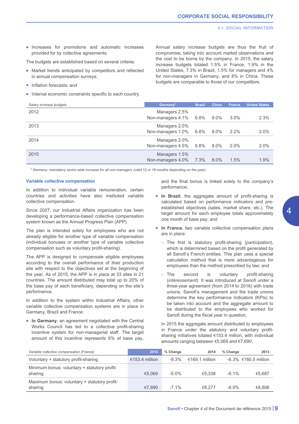• Increases for promotions and automatic increases provided for by collective agreements.

The budgets are established based on several criteria:

- Market trends anticipated by competitors and reflected in annual compensation surveys;
- Inflation forecasts; and
- Internal economic constraints specific to each country.

Annual salary increase budgets are thus the fruit of compromise, taking into account market observations and the cost to be borne by the company. In 2015, the salary increase budgets totaled 1.5% in France, 1.9% in the United States, 7.3% in Brazil, 1.5% for managers and 4% for non-managers in Germany, and 8% in China. These budgets are comparable to those of our competitors.

| Salary increase budgets | Germany*                           | <b>Brazil</b> | China   | <b>France</b> | <b>United States</b> |
|-------------------------|------------------------------------|---------------|---------|---------------|----------------------|
| 2012                    | Managers 2.5%<br>Non-managers 4.1% | 6.8%          | $9.0\%$ | $3.0\%$       | 2.3%                 |
| 2013                    | Managers 2.0%<br>Non-managers 1.0% | $6.8\%$       | $8.0\%$ | $2.2\%$       | 2.0%                 |
| 2014                    | Managers 2.0%<br>Non-managers 4.5% | $6.8\%$       | $8.0\%$ | $2.0\%$       | 2.0%                 |
| 2015                    | Managers 1.5%<br>Non-managers 4.0% | 7.3%          | $8.0\%$ | 1.5%          | 1.9%                 |

*\* Germany: mandatory sector-wide increase for all non-managers (valid 12 or 18 months depending on the year).*

# **Variable collective compensation**

In addition to individual variable remuneration, certain countries and activities have also instituted variable collective compensation.

Since 2007, our Industrial Affairs organization has been developing a performance-based collective compensation system known as the Annual Progress Plan (APP).

The plan is intended solely for employees who are not already eligible for another type of variable compensation (individual bonuses or another type of variable collective compensation such as voluntary profit-sharing).

The APP is designed to compensate eligible employees according to the overall performance of their production site with respect to the objectives set at the beginning of the year. As of 2015, the APP is in place at 33 sites in 21 countries. The amount distributed may total up to 20% of the base pay of each beneficiary, depending on the site's performance.

In addition to the system within Industrial Affairs, other variable collective compensation systems are in place in Germany, Brazil and France:

• **In Germany**, an agreement negotiated with the Central Works Council has led to a collective profit-sharing incentive system for non-managerial staff. The target amount of this incentive represents 6% of base pay, and the final bonus is linked solely to the company's performance;

- **In Brazil**, the aggregate amount of profit-sharing is calculated based on performance indicators and preestablished objectives (sales, market share, etc.). The target amount for each employee totals approximately one month of base pay; and
- **In France**, two variable collective compensation plans are in place:
	- The first is statutory profit-sharing (*participation*), which is determined based on the profit generated by all Sanofi's French entities. This plan uses a special calculation method that is more advantageous for employees than the method prescribed by law; and
	- The second is voluntary profit-sharing (*intéressement*). It was introduced at Sanofi under a three-year agreement (from 2014 to 2016) with trade unions. Sanofi's management and the trade unions determine the key performance indicators (KPIs) to be taken into account and the aggregate amount to be distributed to the employees who worked for Sanofi during the fiscal year in question.
	- In 2015 the aggregate amount distributed to employees in France under the statutory and voluntary profitsharing initiatives totaled €153.4 million, with individual amounts ranging between €5,069 and €7,690.

| Variable collective compensation (France)               | 2015           | % Change | 2014           | % Change | 2013                    |
|---------------------------------------------------------|----------------|----------|----------------|----------|-------------------------|
| Voluntary + statutory profit-sharing                    | €153.4 million | $-9.3%$  | €169.1 million |          | $-6.3\%$ €180.5 million |
| Minimum bonus: voluntary + statutory profit-<br>sharing | €5.069         | $-5.0\%$ | €5.338         | $-6.1\%$ | €5.687                  |
| Maximum bonus: voluntary + statutory profit-<br>sharing | €7.690         | $-7.1\%$ | €8.277         | $-6.0\%$ | €8.806                  |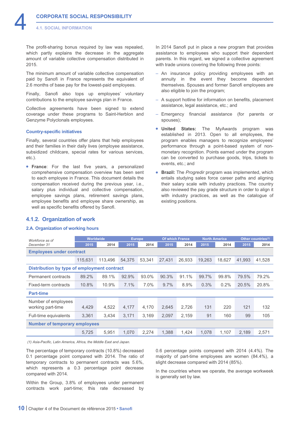<span id="page-10-0"></span>The profit-sharing bonus required by law was repealed, which partly explains the decrease in the aggregate amount of variable collective compensation distributed in 2015.

The minimum amount of variable collective compensation paid by Sanofi in France represents the equivalent of 2.6 months of base pay for the lowest-paid employees.

Finally, Sanofi also tops up employees' voluntary contributions to the employee savings plan in France.

Collective agreements have been signed to extend coverage under these programs to Saint-Herblon and Genzyme Polyclonals employees.

# **Country-specific initiatives**

**4.1.2. Organization of work 2.A. Organization of working hours**

Finally, several countries offer plans that help employees and their families in their daily lives (employee assistance, subsidized childcare, special rates for various services, etc.).

• **France**: For the last five years, a personalized comprehensive compensation overview has been sent to each employee in France. This document details the compensation received during the previous year, i.e., salary plus individual and collective compensation, employee savings plans, retirement savings plans, employee benefits and employee share ownership, as well as specific benefits offered by Sanofi.

In 2014 Sanofi put in place a new program that provides assistance to employees who support their dependent parents. In this regard, we signed a collective agreement with trade unions covering the following three points:

- An insurance policy providing employees with an annuity in the event they become dependent themselves. Spouses and former Sanofi employees are also eligible to join the program;
- A support hotline for information on benefits, placement assistance, legal assistance, etc.; and
- Emergency financial assistance (for parents or spouses);
- **United States:** The MyAwards program was established in 2013. Open to all employees, the program enables managers to recognize employees' performance through a point-based system of nonmonetary recognition. Points earned under the program can be converted to purchase goods, trips, tickets to events, etc.; and
- **Brazil:** The *Progredir* program was implemented, which entails studying sales force career paths and aligning their salary scale with industry practices. The country also reviewed the pay grade structure in order to align it with industry practices, as well as the catalogue of existing positions.

| Workforce as of                             | Worldwide |         | <b>Europe</b> |        | <b>Of which France</b> |        | <b>North America</b> |        | Other countries <sup>(1)</sup> |        |  |
|---------------------------------------------|-----------|---------|---------------|--------|------------------------|--------|----------------------|--------|--------------------------------|--------|--|
| December 31                                 | 2015      | 2014    | 2015          | 2014   | 2015                   | 2014   | 2015                 | 2014   | 2015                           | 2014   |  |
| <b>Employees under contract</b>             |           |         |               |        |                        |        |                      |        |                                |        |  |
|                                             | 115,631   | 113,496 | 54.375        | 53,341 | 27.431                 | 26,933 | 19,263               | 18,627 | 41,993                         | 41,528 |  |
| Distribution by type of employment contract |           |         |               |        |                        |        |                      |        |                                |        |  |
| Permanent contracts                         | 89.2%     | 89.1%   | 92.9%         | 93.0%  | 90.3%                  | 91.1%  | 99.7%                | 99.8%  | 79.5%                          | 79.2%  |  |
| Fixed-term contracts                        | 10.8%     | 10.9%   | 7.1%          | 7.0%   | 9.7%                   | 8.9%   | 0.3%                 | 0.2%   | 20.5%                          | 20.8%  |  |
| <b>Part-time</b>                            |           |         |               |        |                        |        |                      |        |                                |        |  |
| Number of employees                         |           |         |               |        |                        |        |                      |        |                                |        |  |
| working part-time                           | 4,429     | 4,522   | 4,177         | 4,170  | 2,645                  | 2,726  | 131                  | 220    | 121                            | 132    |  |
| Full-time equivalents                       | 3,361     | 3,434   | 3,171         | 3,169  | 2,097                  | 2,159  | 91                   | 160    | 99                             | 105    |  |
| <b>Number of temporary employees</b>        |           |         |               |        |                        |        |                      |        |                                |        |  |
|                                             | 5,725     | 5,951   | 1,070         | 2,274  | 1,388                  | 1,424  | 1,078                | 1,107  | 2,189                          | 2,571  |  |

*(1) Asia-Pacific, Latin America, Africa, the Middle East and Japan.*

The percentage of temporary contracts (10.8%) decreased 0.1 percentage point compared with 2014. The ratio of temporary contracts to permanent contracts was 5.6%, which represents a 0.3 percentage point decrease compared with 2014.

Within the Group, 3.8% of employees under permanent contracts work part-time; this rate decreased by 0.6 percentage points compared with 2014 (4.4%). The majority of part-time employees are women (84.4%), a slight decrease compared with 2014 (85%).

In the countries where we operate, the average workweek is generally set by law.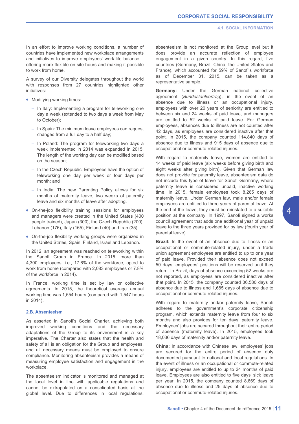In an effort to improve working conditions, a number of countries have implemented new workplace arrangements and initiatives to improve employees' work-life balance – offering more flexible on-site hours and making it possible to work from home.

A survey of our Diversity delegates throughout the world with responses from 27 countries highlighted other initiatives:

- Modifying working times:
	- In Italy: Implementing a program for teleworking one day a week (extended to two days a week from May to October);
	- In Spain: The minimum leave employees can request changed from a full day to a half day;
	- In Poland: The program for teleworking two days a week implemented in 2014 was expanded in 2015. The length of the working day can be modified based on the season;
	- In the Czech Republic: Employees have the option of teleworking one day per week or four days per month; and
	- In India: The new Parenting Policy allows for six months of maternity leave, two weeks of paternity leave and six months of leave after adopting.
- On-the-job flexibility training sessions for employees and managers were created in the United States (400 people trained), Japan (300), the Czech Republic (200), Lebanon (176), Italy (165), Finland (40) and Iran (35).
- On-the-job flexibility working groups were organized in the United States, Spain, Finland, Israel and Lebanon.

In 2012, an agreement was reached on teleworking within the Sanofi Group in France. In 2015, more than 4,300 employees, i.e., 17.6% of the workforce, opted to work from home (compared with 2,083 employees or 7.8% of the workforce in 2014).

In France, working time is set by law or collective agreements. In 2015, the theoretical average annual working time was 1,554 hours (compared with 1,547 hours in 2014).

# **2.B. Absenteeism**

As asserted in Sanofi's Social Charter, achieving both improved working conditions and the necessary adaptations of the Group to its environment is a key imperative. The Charter also states that the health and safety of all is an obligation for the Group and employees, and all necessary means must be employed to ensure compliance. Monitoring absenteeism provides a means of measuring employee satisfaction and engagement in the workplace.

The absenteeism indicator is monitored and managed at the local level in line with applicable regulations and cannot be extrapolated on a consolidated basis at the global level. Due to differences in local regulations, absenteeism is not monitored at the Group level but it does provide an accurate reflection of employee engagement in a given country. In this regard, five countries (Germany, Brazil, China, the United States and France), which accounted for 59% of Sanofi's workforce as of December 31, 2015, can be taken as a representative sample.

**Germany:** Under the German national collective agreement (*Bundestarifvertrag*), in the event of an absence due to illness or an occupational injury, employees with over 20 years of seniority are entitled to between six and 24 weeks of paid leave, and managers are entitled to 52 weeks of paid leave. For German employees, absences due to illness are not counted after 42 days, as employees are considered inactive after that point. In 2015, the company counted 114,840 days of absence due to illness and 915 days of absence due to occupational or commute-related injuries.

With regard to maternity leave, women are entitled to 14 weeks of paid leave (six weeks before giving birth and eight weeks after giving birth). Given that German law does not provide for paternity leave, absenteeism data do not include this type of leave for Sanofi Germany, where paternity leave is considered unpaid, inactive working time. In 2015, female employees took 8,265 days of maternity leave. Under German law, male and/or female employees are entitled to three years of parental leave. At the end of the leave, they must be reinstated to a suitable position at the company. In 1997, Sanofi signed a works council agreement that adds one additional year of unpaid leave to the three years provided for by law (fourth year of parental leave).

**Brazil:** In the event of an absence due to illness or an occupational or commute-related injury, under a trade union agreement employees are entitled to up to one year of paid leave. Provided their absence does not exceed 50 days, employees' positions will be reserved until they return. In Brazil, days of absence exceeding 52 weeks are not reported, as employees are considered inactive after that point. In 2015, the company counted 36,580 days of absence due to illness and 1,685 days of absence due to occupational or commute-related injuries.

With regard to maternity and/or paternity leave, Sanofi adheres to the government's corporate citizenship program, which extends maternity leave from four to six months and also provides for ten days' paternity leave. Employees' jobs are secured throughout their entire period of absence (maternity leave). In 2015, employees took 18,036 days of maternity and/or paternity leave.

**China:** In accordance with Chinese law, employees' jobs are secured for the entire period of absence duly documented pursuant to national and local regulations. In the event of illness or an occupational or commute-related injury, employees are entitled to up to 24 months of paid leave. Employees are also entitled to five days' sick leave per year. In 2015, the company counted 8,669 days of absence due to illness and 25 days of absence due to occupational or commute-related injuries.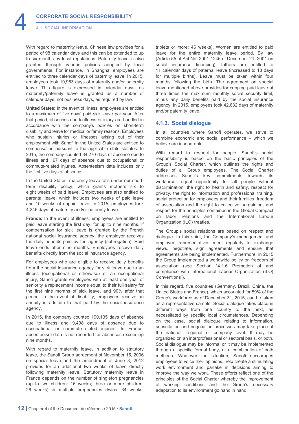<span id="page-12-0"></span>With regard to maternity leave, Chinese law provides for a period of 98 calendar days and this can be extended to up to six months by local regulations. Paternity leave is also granted through various policies adopted by local governments. For instance, in Shanghai employees are entitled to three calendar days of paternity leave. In 2015, employees took 19,963 days of maternity and/or paternity leave. This figure is expressed in calendar days, as maternity/paternity leave is granted as a number of calendar days, not business days, as required by law.

**United States:** In the event of illness, employees are entitled to a maximum of five days' paid sick leave per year. After that period, absences due to illness or injury are handled in accordance with the company's policies on short-term disability and leave for medical or family reasons. Employees who sustain injuries or illnesses arising out of their employment with Sanofi in the United States are entitled to compensation pursuant to the applicable state statutes. In 2015, the company counted 34,270 days of absence due to illness and 197 days of absence due to occupational or commute-related injuries. Absenteeism data includes only the first five days of absence.

In the United States, maternity leave falls under our shortterm disability policy, which grants mothers six to eight weeks of paid leave. Employees are also entitled to parental leave, which includes two weeks of paid leave and 10 weeks of unpaid leave. In 2015, employees took 4,246 days of maternity and/or paternity leave.

**France:** In the event of illness, employees are entitled to paid leave starting the first day, for up to nine months. If compensation for sick leave is granted by the French national social insurance agency, the employer receives the daily benefits paid by the agency (subrogation). Paid leave ends after nine months. Employees receive daily benefits directly from the social insurance agency.

For employees who are eligible to receive daily benefits from the social insurance agency for sick leave due to an illness (occupational or otherwise) or an occupational injury, Sanofi grants employees with at least one year of seniority a replacement income equal to their full salary for the first nine months of sick leave, and 90% after that period. In the event of disability, employees receive an annuity in addition to that paid by the social insurance agency.

In 2015, the company counted 190,135 days of absence due to illness and 9,498 days of absence due to occupational or commute-related injuries. In France, absenteeism data is not recorded for absences exceeding nine months.

With regard to maternity leave, in addition to statutory leave, the Sanofi Group agreement of November 15, 2006 on special leave and the amendment of June 8, 2012 provides for an additional two weeks of leave directly following maternity leave. Statutory maternity leave in France depends on the number of singleton pregnancies (up to two children: 16 weeks; three or more children: 26 weeks) or multiple pregnancies (twins: 34 weeks; triplets or more: 46 weeks). Women are entitled to paid leave for the entire maternity leave period. By law (Article 55 of Act No. 2001-1246 of December 21, 2001 on social insurance financing), fathers are entitled to 11 calendar days of paternal leave (increased to 18 days for multiple births). Leave must be taken within four months following the birth. The agreement on special leave mentioned above provides for capping paid leave at three times the maximum monthly social security limit, minus any daily benefits paid by the social insurance agency. In 2015, employees took 42,832 days of maternity and/or paternity leave.

# **4.1.3. Social dialogue**

In all countries where Sanofi operates, we strive to combine economic and social performance – which we believe are inseparable.

With regard to respect for people, Sanofi's social responsibility is based on the basic principles of the Group's Social Charter, which outlines the rights and duties of all Group employees. The Social Charter addresses Sanofi's key commitments towards its workforce: equal opportunity for all people without discrimination, the right to health and safety, respect for privacy, the right to information and professional training, social protection for employees and their families, freedom of association and the right to collective bargaining, and respect for the principles contained in the Global Compact on labor relations and the International Labour Organization (ILO) treaties.

The Group's social relations are based on respect and dialogue. In this spirit, the Company's management and employee representatives meet regularly to exchange views, negotiate, sign agreements and ensure that agreements are being implemented. Furthermore, in 2015 the Group implemented a worldwide policy on freedom of association (see Section "4.1.6 Promotion of and compliance with International Labour Organization (ILO) Conventions").

In this regard, five countries (Germany, Brazil, China, the United States and France), which accounted for 59% of the Group's workforce as of December 31, 2015, can be taken as a representative sample. Social dialogue takes place in different ways from one country to the next, as necessitated by specific local circumstances. Depending on the case, social dialogue relating to information, consultation and negotiation processes may take place at the national, regional or company level. It may be organized on an interprofessional or sectoral basis, or both. Social dialogue may be informal or it may be implemented through a specific formal body, or a combination of both methods. Whatever the situation, Sanofi encourages employees to voice their opinions, help create a stimulating work environment and partake in decisions aiming to improve the way we work. These efforts reflect one of the principles of the Social Charter whereby the improvement of working conditions and the Group's necessary adaptation to its environment go hand in hand.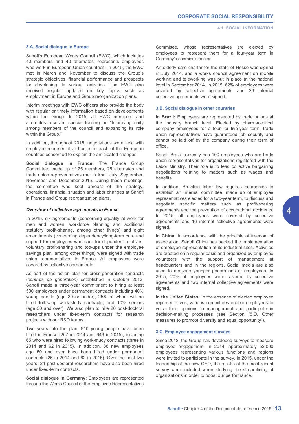# **3.A. Social dialogue in Europe**

Sanofi's European Works Council (EWC), which includes 40 members and 40 alternates, represents employees who work in European Union countries. In 2015, the EWC met in March and November to discuss the Group's strategic objectives, financial performance and prospects for developing its various activities. The EWC also received regular updates on key topics such as employment in Europe and Group reorganization plans.

Interim meetings with EWC officers also provide the body with regular or timely information based on developments within the Group. In 2015, all EWC members and alternates received special training on "Improving unity among members of the council and expanding its role within the Group."

In addition, throughout 2015, negotiations were held with employee representative bodies in each of the European countries concerned to explain the anticipated changes.

**Social dialogue in France:** The France Group Committee, made up of 25 members, 25 alternates and trade union representatives met in April, July, September, November and December 2015. During those meetings, the committee was kept abreast of the strategy, operations, financial situation and labor changes at Sanofi in France and Group reorganization plans.

# *Overview of collective agreements in France*

In 2015, six agreements (concerning equality at work for men and women, workforce planning and additional statutory profit-sharing, among other things) and eight amendments (concerning dependency/long-term care and support for employees who care for dependent relatives, voluntary profit-sharing and top-ups under the employee savings plan, among other things) were signed with trade union representatives in France. All employees were covered by collective agreements.

As part of the action plan for cross-generation contracts (*contrats de génération*) established in October 2013, Sanofi made a three-year commitment to hiring at least 500 employees under permanent contracts including 40% young people (age 30 or under), 25% of whom will be hired following work-study contracts, and 10% seniors (age 50 and over). We also plan to hire 20 post-doctoral researchers under fixed-term contracts for research projects with our R&D teams.

Two years into the plan, 910 young people have been hired in France (267 in 2014 and 643 in 2015), including 65 who were hired following work-study contracts (three in 2014 and 62 in 2015). In addition, 88 new employees age 50 and over have been hired under permanent contracts (26 in 2014 and 62 in 2015). Over the past two years, 24 post-doctoral researchers have also been hired under fixed-term contracts.

**Social dialogue in Germany:** Employees are represented through the Works Council or the Employee Representatives Committee, whose representatives are elected by employees to represent them for a four-year term in Germany's chemicals sector.

An elderly care charter for the state of Hesse was signed in July 2014, and a works council agreement on mobile working and teleworking was put in place at the national level in September 2014. In 2015, 62% of employees were covered by collective agreements and 26 internal collective agreements were signed.

# **3.B. Social dialogue in other countries**

**In Brazil:** Employees are represented by trade unions at the industry branch level. Elected by pharmaceutical company employees for a four- or five-year term, trade union representatives have guaranteed job security and cannot be laid off by the company during their term of office.

Sanofi Brazil currently has 100 employees who are trade union representatives for organizations registered with the Labor Ministry. Their role is to lead collective bargaining negotiations relating to matters such as wages and benefits.

In addition, Brazilian labor law requires companies to establish an internal committee, made up of employee representatives elected for a two-year term, to discuss and negotiate specific matters such as profit-sharing agreements and the prevention of occupational accidents. In 2015, all employees were covered by collective agreements and 16 internal collective agreements were signed.

**In China:** In accordance with the principle of freedom of association, Sanofi China has backed the implementation of employee representation at its industrial sites. Activities are created on a regular basis and organized by employee volunteers with the support of management at headquarters and in the regions. Social media are also used to motivate younger generations of employees. In 2015, 20% of employees were covered by collective agreements and two internal collective agreements were signed.

**In the United States:** In the absence of elected employee representatives, various committees enable employees to voice their opinions to management and participate in decision-making processes (see Section "5.D. Other measures to promote diversity and equal opportunity").

# **3.C. Employee engagement surveys**

Since 2012, the Group has developed surveys to measure employee engagement. In 2014, approximately 52,000 employees representing various functions and regions were invited to participate in the survey. In 2015, under the leadership of the new CEO, the results of the most recent survey were included when studying the streamlining of organizations in order to boost our performance.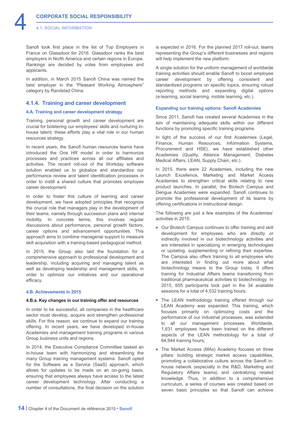<span id="page-14-0"></span>Sanofi took first place in the list of Top Employers in France on Glassdoor for 2016. Glassdoor ranks the best employers in North America and certain regions in Europe. Rankings are decided by votes from employees and applicants.

In addition, in March 2015 Sanofi China was named the best employer in the "Pleasant Working Atmosphere" category by Randstad China.

# **4.1.4. Training and career development**

# **4.A. Training and career development strategy**

Training, personal growth and career development are crucial for bolstering our employees' skills and nurturing inhouse talent; these efforts play a vital role in our human resources strategy.

In recent years, the Sanofi human resources teams have introduced the One HR model in order to harmonize processes and practices across all our affiliates and activities. The recent roll-out of the Workday software solution enabled us to globalize and standardize our performance review and talent identification processes in order to instill a shared culture that promotes employee career development.

In order to foster this culture of learning and career development, we have adopted principles that recognize the crucial role that managers play in the development of their teams, namely through succession plans and internal mobility. In concrete terms, this involves regular discussions about performance, personal growth factors, career options and advancement opportunities. This approach aims to combine managerial support to measure skill acquisition with a training-based pedagogical method.

In 2015, the Group also laid the foundation for a comprehensive approach to professional development and leadership, including acquiring and managing talent as well as developing leadership and management skills, in order to optimize our initiatives and our operational efficacy.

# **4.B. Achievements in 2015**

# **4.B.a. Key changes in our training offer and resources**

In order to be successful, all companies in the healthcare sector must develop, acquire and strengthen professional skills. For this reason, we continue to expand our training offering. In recent years, we have developed in-house Academies and management training programs in various Group business units and regions.

In 2014, the Executive Compliance Committee tasked an in-house team with harmonizing and streamlining the many Group training management systems. Sanofi opted for the Software as a Service (SaaS) approach, which allows for updates to be made on an on-going basis, ensuring that employees always have access to the latest career development technology. After conducting a number of consultations, the final decision on the solution is expected in 2016. For the planned 2017 roll-out, teams representing the Group's different businesses and regions will help implement the new platform.

A single solution for the uniform management of worldwide training activities should enable Sanofi to boost employee career development by offering consistent and standardized programs on specific topics, ensuring robust reporting methods and expanding digital options (e-learning, social learning, mobile learning, etc.).

# **Expanding our training options: Sanofi Academies**

Since 2011, Sanofi has created several Academies in the aim of maintaining adequate skills within our different functions by promoting specific training programs.

In light of the success of our first Academies (Legal, Finance, Human Resources, Information Systems, Procurement and HSE), we have established other Academies (Quality, Alliance Management, Diabetes Medical Affairs, LEAN, Supply Chain, etc.).

In 2015, there were 22 Academies, including the new Launch Excellence, Marketing and Market Access Academies to strengthen critical skills relating to new product launches. In parallel, the Biotech Campus and Dengue Academies were expanded. Sanofi continues to promote the professional development of its teams by offering certifications in instructional design.

The following are just a few examples of the Academies' activities in 2015:

- Our Biotech Campus continues to offer training and skill development for employees who are directly or indirectly involved in our biotechnology activities and are interested in specializing in emerging technologies or updating, supplementing or refining their expertise. The Campus also offers training to all employees who are interested in finding out more about what biotechnology means to the Group today. It offers training for Industrial Affairs teams transitioning from traditional pharmaceutical activities to biotechnology. In 2015, 655 participants took part in the 34 available sessions for a total of 4,532 training hours;
- The LEAN methodology training offered through our LEAN Academy was expanded. This training, which focuses primarily on optimizing costs and the performance of our industrial processes, was extended to all our management processes. Worldwide, 1,631 employees have been trained on the different aspects of the LEAN methodology for a total of 64,944 training hours;
- The Market Access (MAx) Academy focuses on three pillars: building strategic market access capabilities, promoting a collaborative culture across the Sanofi inhouse network (especially in the R&D, Marketing and Regulatory Affairs teams) and centralizing related knowledge. Thus, in addition to a comprehensive curriculum, a series of courses was created based on seven basic principles so that Sanofi can achieve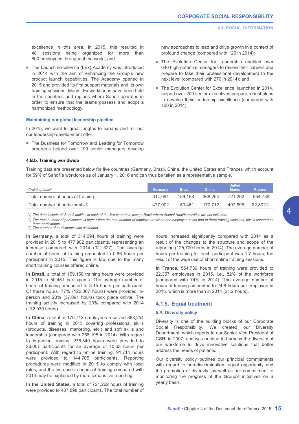new approaches to lead and drive growth in a context of

• The Evolution Center for Leadership enabled over 640 high-potential managers to review their careers and prepare to take their professional development to the

• The Evolution Center for Excellence, launched in 2014, helped over 200 senior executives prepare robust plans to develop their leadership excellence (compared with

profound change (compared with 120 in 2014);

next level (compared with 270 in 2014); and

100 in 2014).

<span id="page-15-0"></span>excellence in this area. In 2015, this resulted in 48 sessions being organized for more than 800 employees throughout the world; and

• The Launch Excellence (LEx) Academy was introduced in 2014 with the aim of enhancing the Group's new product launch capabilities. The Academy opened in 2015 and provided its first support materials and its own training sessions. Many LEx workshops have been held in the countries and regions where Sanofi operates in order to ensure that the teams possess and adopt a harmonized methodology.

#### **Maintaining our global leadership pipeline**

In 2015, we went to great lengths to expand and roll out our leadership development offer:

• The Business for Tomorrow and Leading for Tomorrow programs helped over 190 senior managers develop

#### **4.B.b. Training worldwide**

Training data are presented below for five countries (Germany, Brazil, China, the United States and France), which account for 59% of Sanofi's workforce as of January 1, 2016 and can thus be taken as a representative sample.

| Training data <sup>(1)</sup>                | Germany | <b>Brazil</b> | <b>China</b> | <b>United</b><br><b>States</b> | <b>France</b> |
|---------------------------------------------|---------|---------------|--------------|--------------------------------|---------------|
| Total number of hours of training           | 314.094 | 159.158       | 368.254      | 721.262                        | 554.739       |
| Total number of participants <sup>(2)</sup> | 477.902 | 50.461        | 170.712      | 407.898                        | 82,802(3)     |

*(1) The data include all Sanofi entities in each of the five countries, except Brazil where Animal Health activities are not included.*

*(2) The total number of participants is higher than the total number of employees. When one employee takes part in three training sessions, this is counted as three participants.*

*(3) The number of participants was estimated.*

**In Germany,** a total of 314,094 hours of training were provided in 2015 to 477,902 participants, representing an increase compared with 2014 (321,327). The average number of hours of training amounted to 0.66 hours per participant in 2015. This figure is low due to the many short training courses offered online.

**In Brazil,** a total of 159,158 training hours were provided in 2015 to 50,461 participants. The average number of hours of training amounted to 3.15 hours per participant. Of these hours, 77% (122,067 hours) were provided inperson and 23% (37,091 hours) took place online. The training activity increased by 23% compared with 2014 (132,930 hours).

**In China,** a total of 170,712 employees received 368,254 hours of training in 2015 covering professional skills (products, diseases, marketing, etc.) and soft skills and leadership (compared with 258,195 in 2014). With regard to in-person training, 276,540 hours were provided to 26,007 participants for an average of 10.63 hours per participant. With regard to online training, 91,714 hours were provided to 144,705 participants. Reporting procedures were modified in 2015 to comply with local rules, and the increase in hours of training compared with 2014 may be explained by more exhaustive reporting.

**In the United States,** a total of 721,262 hours of training were provided to 407,898 participants. The total number of hours increased significantly compared with 2014 as a result of the changes to the structure and scope of the reporting (125,700 hours in 2014). The average number of hours per training for each participant was 1.7 hours, the result of the wide use of short online training sessions.

**In France,** 554,739 hours of training were provided to 22,357 employees in 2015, i.e., 82% of the workforce (compared with 74% in 2014). The average number of hours of training amounted to 24.8 hours per employee in 2015, which is more than in 2014 (21.2 hours).

# **4.1.5. Equal treatment**

# **5.A. Diversity policy**

Diversity is one of the building blocks of our Corporate Social Responsibility. We created our Diversity Department, which reports to our Senior Vice President of CSR, in 2007, and we continue to harness the diversity of our workforce to drive innovative solutions that better address the needs of patients.

Our diversity policy outlines our principal commitments with regard to non-discrimination, equal opportunity and the promotion of diversity, as well as our commitment to monitoring the progress of the Group's initiatives on a yearly basis.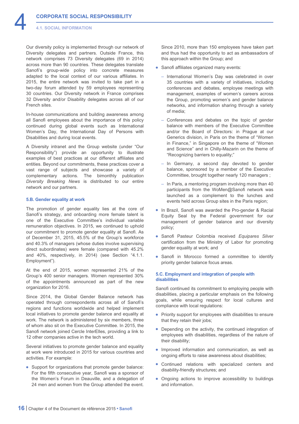Our diversity policy is implemented through our network of Diversity delegates and partners. Outside France, this network comprises 73 Diversity delegates (69 in 2014) across more than 90 countries. These delegates translate Sanofi's group-wide policy into concrete measures adapted to the local context of our various affiliates. In 2015, the entire network was invited to take part in a two-day forum attended by 59 employees representing 30 countries. Our Diversity network in France comprises 32 Diversity and/or Disability delegates across all of our French sites.

In-house communications and building awareness among all Sanofi employees about the importance of this policy continued during global events such as International Women's Day, the International Day of Persons with Disabilities and during local events.

A Diversity intranet and the Group website (under "Our Responsibility") provide an opportunity to illustrate examples of best practices at our different affiliates and entities. Beyond our commitments, these practices cover a vast range of subjects and showcase a variety of complementary actions. The bimonthly publication *Diversity Breaking News* is distributed to our entire network and our partners.

# **5.B. Gender equality at work**

The promotion of gender equality lies at the core of Sanofi's strategy, and onboarding more female talent is one of the Executive Committee's individual variable remuneration objectives. In 2015, we continued to uphold our commitment to promote gender equality at Sanofi. As of December 31, 2015, 45.5% of the Group's workforce and 40.3% of managers (whose duties involve supervising direct subordinates) were female (compared with 45.2% and 40%, respectively, in 2014) (see Section "4.1.1. Employment").

At the end of 2015, women represented 21% of the Group's 400 senior managers. Women represented 30% of the appointments announced as part of the new organization for 2016.

Since 2014, the Global Gender Balance network has operated through correspondents across all of Sanofi's regions and functions worldwide and helped implement local initiatives to promote gender balance and equality at work. The network is administered by six members, three of whom also sit on the Executive Committee. In 2015, the Sanofi network joined Cercle InterElles, providing a link to 12 other companies active in the tech world.

Several initiatives to promote gender balance and equality at work were introduced in 2015 for various countries and activities. For example:

• Support for organizations that promote gender balance: For the fifth consecutive year, Sanofi was a sponsor of the Women's Forum in Deauville, and a delegation of 24 men and women from the Group attended the event.

Since 2010, more than 150 employees have taken part and thus had the opportunity to act as ambassadors of this approach within the Group; and

- Sanofi affiliates organized many events:
	- International Women's Day was celebrated in over 35 countries with a variety of initiatives, including conferences and debates, employee meetings with management, examples of women's careers across the Group, promoting women's and gender balance networks, and information sharing through a variety of media;
	- Conferences and debates on the topic of gender balance with members of the Executive Committee and/or the Board of Directors: in Prague at our Generics division, in Paris on the theme of "Women in Finance," in Singapore on the theme of "Women and Science" and in Chilly-Mazarin on the theme of "Recognizing barriers to equality;"
	- In Germany, a second day devoted to gender balance, sponsored by a member of the Executive Committee, brought together nearly 120 managers ;
	- In Paris, a mentoring program involving more than 40 participants from the WoMen@Sanofi network was launched as a complement to the lunches and events held across Group sites in the Paris region;
- In Brazil, Sanofi was awarded the Pro-gender & Racial Equity Seal by the Federal government for our management of gender balance and our diversity policy;
- Sanofi Pasteur Colombia received *Equipares Silver* certification from the Ministry of Labor for promoting gender equality at work; and
- Sanofi in Morocco formed a committee to identify priority gender balance focus areas.

# **5.C. Employment and integration of people with disabilities**

Sanofi continued its commitment to employing people with disabilities, placing a particular emphasis on the following goals, while ensuring respect for local cultures and compliance with local regulations:

- Priority support for employees with disabilities to ensure that they retain their jobs;
- Depending on the activity, the continued integration of employees with disabilities, regardless of the nature of their disability;
- Improved information and communication, as well as ongoing efforts to raise awareness about disabilities;
- Continued relations with specialized centers and disability-friendly structures; and
- Ongoing actions to improve accessibility to buildings and information.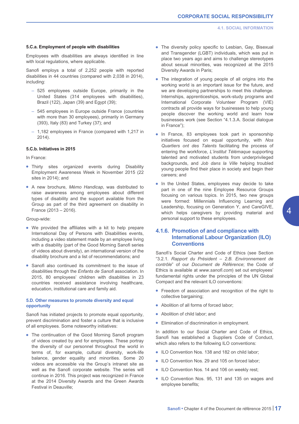# <span id="page-17-0"></span>**5.C.a. Employment of people with disabilities**

Employees with disabilities are always identified in line with local regulations, where applicable.

Sanofi employs a total of 2,252 people with reported disabilities in 44 countries (compared with 2,038 in 2014), including:

- 525 employees outside Europe, primarily in the United States (314 employees with disabilities), Brazil (122), Japan (39) and Egypt (39);
- 545 employees in Europe outside France (countries with more than 30 employees), primarily in Germany (393), Italy (83) and Turkey (37); and
- 1,182 employees in France (compared with 1,217 in 2014).

# **5.C.b. Initiatives in 2015**

In France:

- Thirty sites organized events during Disability Employment Awareness Week in November 2015 (22 sites in 2014); and
- A new brochure, *Mémo Handicap*, was distributed to raise awareness among employees about different types of disability and the support available from the Group as part of the third agreement on disability in France (2013 – 2016).

Group-wide:

- We provided the affiliates with a kit to help prepare International Day of Persons with Disabilities events, including a video statement made by an employee living with a disability (part of the Good Morning Sanofi series of videos about diversity), an international version of the disability brochure and a list of recommendations; and
- Sanofi also continued its commitment to the issue of disabilities through the *Enfants de Sanofi* association. In 2015, 80 employees' children with disabilities in 23 countries received assistance involving healthcare, education, institutional care and family aid.

# **5.D. Other measures to promote diversity and equal opportunity**

Sanofi has initiated projects to promote equal opportunity, prevent discrimination and foster a culture that is inclusive of all employees. Some noteworthy initiatives:

• The continuation of the Good Morning Sanofi program of videos created by and for employees. These portray the diversity of our personnel throughout the world in terms of, for example, cultural diversity, work-life balance, gender equality and minorities. Some 20 videos are accessible via the Group's intranet site as well as the Sanofi corporate website. The series will continue in 2016. This project was recognized in France at the 2014 Diversity Awards and the Green Awards Festival in Deauville;

- The diversity policy specific to Lesbian, Gay, Bisexual and Transgender (LGBT) individuals, which was put in place two years ago and aims to challenge stereotypes about sexual minorities, was recognized at the 2015 Diversity Awards in Paris;
- The integration of young people of all origins into the working world is an important issue for the future, and we are developing partnerships to meet this challenge. Internships, apprenticeships, work-study programs and International Corporate Volunteer Program (VIE) contracts all provide ways for businesses to help young people discover the working world and learn how businesses work (see Section "4.1.3.A. Social dialogue in France");
- In France, 83 employees took part in sponsorship initiatives focused on equal opportunity, with *Nos Quartiers ont des Talents* facilitating the process of entering the workforce, *L'institut Télémaque* supporting talented and motivated students from underprivileged backgrounds, and *Job dans la Ville* helping troubled young people find their place in society and begin their careers; and
- In the United States, employees may decide to take part in one of the nine Employee Resource Groups focusing on various topics. In 2015, two new groups were formed: Millennials Influencing Learning and Leadership, focusing on Generation Y, and CareGIVE, which helps caregivers by providing material and personal support to these employees.

# **4.1.6. Promotion of and compliance with International Labour Organization (ILO) Conventions**

Sanofi's Social Charter and Code of Ethics (see Section "3.2.1. *Rapport du Président – 2.B. Environnement de contrôle*" of our *Document de Référence*; the Code of Ethics is available at *[www.sanofi.com](http://www.sanofi.com)*) set out employees' fundamental rights under the principles of the UN Global Compact and the relevant ILO conventions:

- Freedom of association and recognition of the right to collective bargaining;
- Abolition of all forms of forced labor;
- Abolition of child labor; and
- Elimination of discrimination in employment.

In addition to our Social Charter and Code of Ethics, Sanofi has established a Suppliers Code of Conduct, which also refers to the following ILO conventions:

- ILO Convention Nos. 138 and 182 on child labor:
- ILO Convention Nos. 29 and 105 on forced labor:
- ILO Convention Nos. 14 and 106 on weekly rest;
- ILO Convention Nos. 95, 131 and 135 on wages and employee benefits;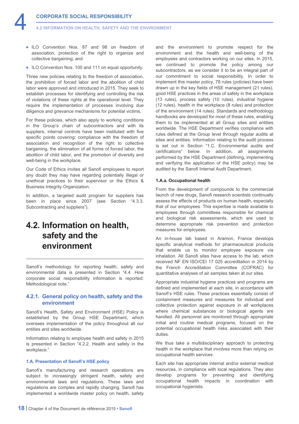<span id="page-18-0"></span>**4.2 INFORMATION ON HEALTH, SAFETY AND THE ENVIRONMENT**

- ILO Convention Nos. 87 and 98 on freedom of association, protection of the right to organize and collective bargaining; and
- ILO Convention Nos. 100 and 111 on equal opportunity.

Three new policies relating to the freedom of association, the prohibition of forced labor and the abolition of child labor were approved and introduced in 2015. They seek to establish processes for identifying and controlling the risk of violations of these rights at the operational level. They require the implementation of processes involving due diligence and grievance mechanisms for potential victims.

For these policies, which also apply to working conditions in the Group's chain of subcontractors and with its suppliers, internal controls have been instituted with five specific points covering: compliance with the freedom of association and recognition of the right to collective bargaining, the elimination of all forms of forced labor, the abolition of child labor, and the promotion of diversity and well-being in the workplace.

Our Code of Ethics invites all Sanofi employees to report any doubt they may have regarding potentially illegal or unethical practices to their supervisor or the Ethics & Business Integrity Organization.

In addition, a targeted audit program for suppliers has been in place since 2007 (see Section "4.3.3. Subcontracting and suppliers").

# **4.2. Information on health, safety and the environment**

Sanofi's methodology for reporting health, safety and environmental data is presented in Section "4.4. How corporate social responsibility information is reported: Methodological note."

# **4.2.1. General policy on health, safety and the environment**

Sanofi's Health, Safety and Environment (HSE) Policy is established by the Group HSE Department, which oversees implementation of the policy throughout all our entities and sites worldwide.

Information relating to employee health and safety in 2015 is presented in Section "4.2.2. Health and safety in the workplace."

# **1.A. Presentation of Sanofi's HSE policy**

Sanofi's manufacturing and research operations are subject to increasingly stringent health, safety and environmental laws and regulations. These laws and regulations are complex and rapidly changing. Sanofi has implemented a worldwide master policy on health, safety and the environment to promote respect for the environment and the health and well-being of the employees and contractors working on our sites. In 2015, we continued to promote the policy among our subcontractors, as we consider it to be an integral part of our commitment to social responsibility. In order to implement this master policy, 78 rules (policies) have been drawn up in the key fields of HSE management (21 rules), good HSE practices in the areas of safety in the workplace (13 rules), process safety (10 rules), industrial hygiene (12 rules), health in the workplace (8 rules) and protection of the environment (14 rules). Standards and methodology handbooks are developed for most of these rules, enabling them to be implemented at all Group sites and entities worldwide. The HSE Department verifies compliance with rules defined at the Group level through regular audits at sites and entities. Information relating to the audit process is set out in Section "1.C. Environmental audits and certifications" below. In addition, all assignments performed by the HSE Department (defining, implementing and verifying the application of the HSE policy) may be audited by the Sanofi Internal Audit Department.

# **1.A.a. Occupational health**

From the development of compounds to the commercial launch of new drugs, Sanofi research scientists continually assess the effects of products on human health, especially that of our employees. This expertise is made available to employees through committees responsible for chemical and biological risk assessments, which are used to determine appropriate risk prevention and protection measures for employees.

An in-house lab based in Aramon, France develops specific analytical methods for pharmaceutical products that enable us to monitor employee exposure via inhalation. All Sanofi sites have access to the lab, which received NF EN ISO/CEI 17 025 accreditation in 2014 by the French Accreditation Committee (COFRAC) for quantitative analyses of air samples taken at our sites.

Appropriate industrial hygiene practices and programs are defined and implemented at each site, in accordance with Sanofi's HSE rules. These practices essentially consist of containment measures and measures for individual and collective protection against exposure in all workplaces where chemical substances or biological agents are handled. All personnel are monitored through appropriate initial and routine medical programs, focused on the potential occupational health risks associated with their duties.

We thus take a multidisciplinary approach to protecting health in the workplace that involves more than relying on occupational health services.

Each site has appropriate internal and/or external medical resources, in compliance with local regulations. They also develop programs for preventing and identifying occupational health impacts in coordination with occupational hygienists.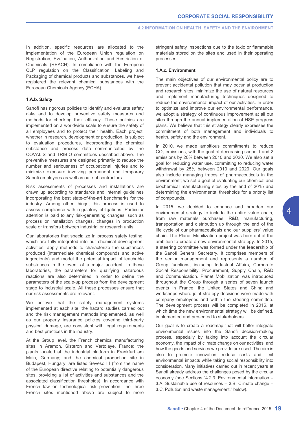In addition, specific resources are allocated to the implementation of the European Union regulation on Registration, Evaluation, Authorization and Restriction of Chemicals (REACH). In compliance with the European CLP regulation on the Classification, Labeling and Packaging of chemical products and substances, we have registered the relevant chemical substances with the European Chemicals Agency (ECHA).

# **1.A.b. Safety**

Sanofi has rigorous policies to identify and evaluate safety risks and to develop preventive safety measures and methods for checking their efficacy. These policies are implemented on a worldwide scale to ensure the safety of all employees and to protect their health. Each project, whether in research, development or production, is subject to evaluation procedures, incorporating the chemical substance and process data communicated by the COVALIS and TRIBIO committees described above. The preventive measures are designed primarily to reduce the number and seriousness of occupational injuries and to minimize exposure involving permanent and temporary Sanofi employees as well as our subcontractors.

Risk assessments of processes and installations are drawn up according to standards and internal guidelines incorporating the best state-of-the-art benchmarks for the industry. Among other things, this process is used to assess compliance with regulatory obligations. Particular attention is paid to any risk-generating changes, such as process or installation changes, changes in production scale or transfers between industrial or research units.

Our laboratories that specialize in process safety testing, which are fully integrated into our chemical development activities, apply methods to characterize the substances produced (intermediate chemical compounds and active ingredients) and model the potential impact of leachable substances in the event of a major accident. In these laboratories, the parameters for qualifying hazardous reactions are also determined in order to define the parameters of the scale-up process from the development stage to industrial scale. All these processes ensure that our risk assessments are relevant.

We believe that the safety management systems implemented at each site, the hazard studies carried out and the risk management methods implemented, as well as our property insurance policies covering third-party physical damage, are consistent with legal requirements and best practices in the industry.

At the Group level, the French chemical manufacturing sites in Aramon, Sisteron and Vertolaye, France; the plants located at the industrial platform in Frankfurt am Main, Germany; and the chemical production site in Budapest, Hungary, are listed Seveso III (from the name of the European directive relating to potentially dangerous sites, providing a list of activities and substances and the associated classification thresholds). In accordance with French law on technological risk prevention, the three French sites mentioned above are subject to more stringent safety inspections due to the toxic or flammable materials stored on the sites and used in their operating processes.

# **1.A.c. Environment**

The main objectives of our environmental policy are to prevent accidental pollution that may occur at production and research sites, minimize the use of natural resources and implement manufacturing techniques designed to reduce the environmental impact of our activities. In order to optimize and improve our environmental performance, we adopt a strategy of continuous improvement at all our sites through the annual implementation of HSE progress plans. We believe that this strategy clearly expresses the commitment of both management and individuals to health, safety and the environment.

In 2010, we made ambitious commitments to reduce  $CO<sub>2</sub>$  emissions, with the goal of decreasing scope 1 and 2 emissions by 20% between 2010 and 2020. We also set a goal for reducing water use, committing to reducing water withdrawal by 25% between 2010 and 2020. Our goals also include managing traces of pharmaceuticals in the environment; we set a goal of evaluating our chemical and biochemical manufacturing sites by the end of 2015 and determining the environmental thresholds for a priority list of compounds.

In 2015, we decided to enhance and broaden our environmental strategy to include the entire value chain, from raw materials purchases, R&D, manufacturing, transportation and distribution up through the end of the life cycle of our pharmaceuticals and our suppliers' value chain. The Planet Mobilization project was born out of the ambition to create a new environmental strategy. In 2015, a steering committee was formed under the leadership of the Sanofi General Secretary. It comprises members of the senior management and represents a number of Group functions, including Industrial Affairs, Corporate Social Responsibility, Procurement, Supply Chain, R&D and Communication. Planet Mobilization was introduced throughout the Group through a series of seven launch events in France, the United States and China and workshops where joint strategy decisions were made with company employees and within the steering committee. The development process will be completed in 2016, at which time the new environmental strategy will be defined, implemented and presented to stakeholders.

Our goal is to create a roadmap that will better integrate environmental issues into the Sanofi decision-making process, especially by taking into account the circular economy, the impact of climate change on our activities, and how the goods and services we provide are used. The aim is also to promote innovation, reduce costs and limit environmental impacts while taking social responsibility into consideration. Many initiatives carried out in recent years at Sanofi already address the challenges posed by the circular economy (see Sections "4.2.3. Environmental information – 3.A. Sustainable use of resources – 3.B. Climate change – 3.C. Pollution and waste management," below).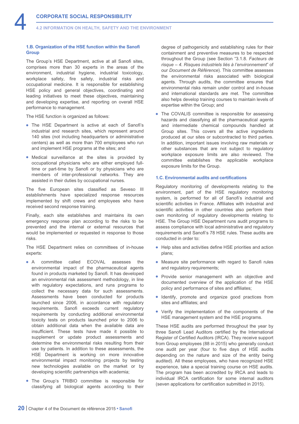**4.2 INFORMATION ON HEALTH, SAFETY AND THE ENVIRONMENT**

# **1.B. Organization of the HSE function within the Sanofi Group**

The Group's HSE Department, active at all Sanofi sites, comprises more than 30 experts in the areas of the environment, industrial hygiene, industrial toxicology, workplace safety, fire safety, industrial risks and occupational medicine. It is responsible for establishing HSE policy and general objectives, coordinating and leading initiatives to meet these objectives, maintaining and developing expertise, and reporting on overall HSE performance to management.

The HSE function is organized as follows:

- The HSE Department is active at each of Sanofi's industrial and research sites, which represent around 140 sites (not including headquarters or administrative centers) as well as more than 700 employees who run and implement HSE programs at the sites; and
- Medical surveillance at the sites is provided by occupational physicians who are either employed fulltime or part-time by Sanofi or by physicians who are members of inter-professional networks. They are assisted in their duties by occupational nurses.

The five European sites classified as Seveso III establishments have specialized response resources implemented by shift crews and employees who have received second response training.

Finally, each site establishes and maintains its own emergency response plan according to the risks to be prevented and the internal or external resources that would be implemented or requested in response to those risks.

The HSE Department relies on committees of in-house experts:

- A committee called ECOVAL assesses the environmental impact of the pharmaceutical agents found in products marketed by Sanofi. It has developed an environmental risk assessment methodology, in line with regulatory expectations, and runs programs to collect the necessary data for such assessments. Assessments have been conducted for products launched since 2006, in accordance with regulatory requirements. Sanofi exceeds current regulatory requirements by conducting additional environmental toxicity tests on products launched prior to 2006 to obtain additional data when the available data are insufficient. These tests have made it possible to supplement or update product assessments and determine the environmental risks resulting from their use by patients. In addition to these assessments, the HSE Department is working on more innovative environmental impact monitoring projects by testing new technologies available on the market or by developing scientific partnerships with academia;
- The Group's TRIBIO committee is responsible for classifying all biological agents according to their

degree of pathogenicity and establishing rules for their containment and preventive measures to be respected throughout the Group (see Section "3.1.8. *Facteurs de risque – 4. Risques industriels liés à l'environnement*" of our *Document de Référence*). This committee assesses the environmental risks associated with biological agents. Through audits, the committee ensures that environmental risks remain under control and in-house and international standards are met. The committee also helps develop training courses to maintain levels of expertise within the Group; and

• The COVALIS committee is responsible for assessing hazards and classifying all the pharmaceutical agents and intermediate chemical compounds handled at Group sites. This covers all the active ingredients produced at our sites or subcontracted to third parties. In addition, important issues involving raw materials or other substances that are not subject to regulatory workplace exposure limits are also reviewed. The committee establishes the applicable workplace exposure limits for the Group.

#### **1.C. Environmental audits and certifications**

Regulatory monitoring of developments relating to the environment, part of the HSE regulatory monitoring system, is performed for all of Sanofi's industrial and scientific activities in France. Affiliates with industrial and scientific activities in other countries also perform their own monitoring of regulatory developments relating to HSE. The Group HSE Department runs audit programs to assess compliance with local administrative and regulatory requirements and Sanofi's 78 HSE rules. These audits are conducted in order to:

- Help sites and activities define HSE priorities and action plans;
- Measure site performance with regard to Sanofi rules and regulatory requirements;
- Provide senior management with an objective and documented overview of the application of the HSE policy and performance of sites and affiliates;
- Identify, promote and organize good practices from sites and affiliates; and
- Verify the implementation of the components of the HSE management system and the HSE programs.

These HSE audits are performed throughout the year by three Sanofi Lead Auditors certified by the International Register of Certified Auditors (IRCA). They receive support from Group employees (88 in 2015) who generally conduct one audit per year (four to five days of HSE audits depending on the nature and size of the entity being audited). All these employees, who have recognized HSE experience, take a special training course on HSE audits. The program has been accredited by IRCA and leads to individual IRCA certification for some internal auditors (seven applications for certification submitted in 2015).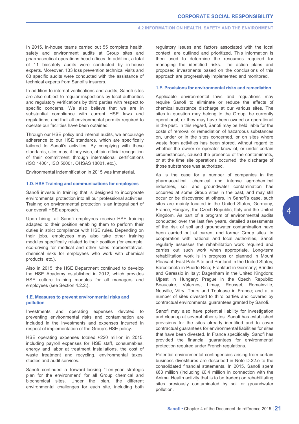In 2015, in-house teams carried out 55 complete health, safety and environment audits at Group sites and pharmaceutical operations head offices. In addition, a total of 11 biosafety audits were conducted by in-house experts. Moreover, 133 loss prevention technical visits and 63 specific audits were conducted with the assistance of technical experts from Sanofi's insurers.

In addition to internal verifications and audits, Sanofi sites are also subject to regular inspections by local authorities and regulatory verifications by third parties with respect to specific concerns. We also believe that we are in substantial compliance with current HSE laws and regulations, and that all environmental permits required to operate our facilities have been obtained.

Through our HSE policy and internal audits, we encourage adherence to our HSE standards, which are specifically tailored to Sanofi's activities. By complying with these standards, sites may, if they wish, obtain official recognition of their commitment through international certifications (ISO 14001, ISO 50001, OHSAS 18001, etc.).

Environmental indemnification in 2015 was immaterial.

# **1.D. HSE Training and communications for employees**

Sanofi invests in training that is designed to incorporate environmental protection into all our professional activities. Training on environmental protection is an integral part of our overall HSE approach.

Upon hiring, all Sanofi employees receive HSE training adapted to their position enabling them to perform their duties in strict compliance with HSE rules. Depending on their jobs, employees may also take other training modules specifically related to their position (for example, eco-driving for medical and other sales representatives, chemical risks for employees who work with chemical products, etc.).

Also in 2015, the HSE Department continued to develop the HSE Academy established in 2012, which provides HSE culture training modules for all managers and employees (see Section 4.2.2.).

# **1.E. Measures to prevent environmental risks and pollution**

Investments and operating expenses devoted to preventing environmental risks and contamination are included in the investments and expenses incurred in respect of implementation of the Group's HSE policy.

HSE operating expenses totaled €220 million in 2015, including payroll expenses for HSE staff, consumables, energy and labor at treatment installations, the cost of waste treatment and recycling, environmental taxes, studies and audit services.

Sanofi continued a forward-looking "Ten-year strategic plan for the environment" for all Group chemical and biochemical sites. Under the plan, the different environmental challenges for each site, including both regulatory issues and factors associated with the local context, are outlined and prioritized. This information is then used to determine the resources required for managing the identified risks. The action plans and proposed investments based on the conclusions of this approach are progressively implemented and monitored.

#### **1.F. Provisions for environmental risks and remediation**

Applicable environmental laws and regulations may require Sanofi to eliminate or reduce the effects of chemical substance discharge at our various sites. The sites in question may belong to the Group, be currently operational, or they may have been owned or operational in the past. In this regard, Sanofi may be held liable for the costs of removal or remediation of hazardous substances on, under or in the sites concerned, or on sites where waste from activities has been stored, without regard to whether the owner or operator knew of, or under certain circumstances, caused the presence of the contaminants, or at the time site operations occurred, the discharge of those substances was authorized.

As is the case for a number of companies in the pharmaceutical, chemical and intense agrochemical industries, soil and groundwater contamination has occurred at some Group sites in the past, and may still occur or be discovered at others. In Sanofi's case, such sites are mainly located in the United States, Germany, France, Hungary, the Czech Republic, Italy and the United Kingdom. As part of a program of environmental audits conducted over the last few years, detailed assessments of the risk of soil and groundwater contamination have been carried out at current and former Group sites. In cooperation with national and local authorities, Sanofi regularly assesses the rehabilitation work required and carries out such work when appropriate. Long-term rehabilitation work is in progress or planned in Mount Pleasant, East Palo Alto and Portland in the United States; Barceloneta in Puerto Rico; Frankfurt in Germany; Brindisi and Garessio in Italy; Dagenham in the United Kingdom; Ujpest in Hungary; Prague in the Czech Republic; Beaucaire, Valernes, Limay, Rousset, Romainville, Neuville, Vitry, Tours and Toulouse in France; and at a number of sites divested to third parties and covered by contractual environmental guarantees granted by Sanofi.

Sanofi may also have potential liability for investigation and cleanup at several other sites. Sanofi has established provisions for the sites already identified and to cover contractual guarantees for environmental liabilities for sites that have been divested. In France specifically, Sanofi has provided the financial guarantees for environmental protection required under French regulations.

Potential environmental contingencies arising from certain business divestitures are described in Note D.22.e to the consolidated financial statements. In 2015, Sanofi spent €63 million (including €0.4 million in connection with the Animal Health activity that is to be traded) on rehabilitating sites previously contaminated by soil or groundwater pollution.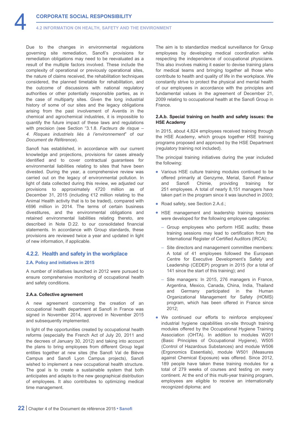<span id="page-22-0"></span>Due to the changes in environmental regulations governing site remediation, Sanofi's provisions for remediation obligations may need to be reevaluated as a result of the multiple factors involved. These include the complexity of operational or previously operational sites, the nature of claims received, the rehabilitation techniques considered, the planned timetable for rehabilitation, and the outcome of discussions with national regulatory authorities or other potentially responsible parties, as in the case of multiparty sites. Given the long industrial history of some of our sites and the legacy obligations arising from the past involvement of Aventis in the chemical and agrochemical industries, it is impossible to quantify the future impact of these laws and regulations with precision (see Section "3.1.8. *Facteurs de risque – 4. Risques industriels liés à l'environnement*" of our *Document de Référence*).

Sanofi has established, in accordance with our current knowledge and projections, provisions for cases already identified and to cover contractual guarantees for environmental liabilities relating to sites that have been divested. During the year, a comprehensive review was carried out on the legacy of environmental pollution. In light of data collected during this review, we adjusted our provisions to approximately €720 million as of December 31, 2015 (including €12 million relating to the Animal Health activity that is to be traded), compared with €696 million in 2014. The terms of certain business divestitures, and the environmental obligations and retained environmental liabilities relating thereto, are described in Note D.22. to our consolidated financial statements. In accordance with Group standards, these provisions are reviewed twice a year and updated in light of new information, if applicable.

# **4.2.2. Health and safety in the workplace**

## **2.A. Policy and initiatives in 2015**

A number of initiatives launched in 2012 were pursued to ensure comprehensive monitoring of occupational health and safety conditions.

#### **2.A.a. Collective agreement**

A new agreement concerning the creation of an occupational health department at Sanofi in France was signed in November 2014, approved in November 2015 and subsequently implemented.

In light of the opportunities created by occupational health reforms (especially the French Act of July 20, 2011 and the decrees of January 30, 2012) and taking into account the plans to bring employees from different Group legal entities together at new sites (the Sanofi Val de Bièvre Campus and Sanofi Lyon Campus projects), Sanofi wished to implement a new occupational health structure. The goal is to create a sustainable system that both anticipates and adapts to the new geographical distribution of employees. It also contributes to optimizing medical time management.

The aim is to standardize medical surveillance for Group employees by developing medical coordination while respecting the independence of occupational physicians. This also involves making it easier to devise training plans for medical teams and bringing together all those who contribute to health and quality of life in the workplace. We constantly strive to protect the physical and mental health of our employees in accordance with the principles and fundamental values in the agreement of December 21, 2009 relating to occupational health at the Sanofi Group in France.

# **2.A.b. Special training on health and safety issues: the HSE Academy**

In 2015, about 4,824 employees received training through the HSE Academy, which groups together HSE training programs proposed and approved by the HSE Department (regulatory training not included).

The principal training initiatives during the year included the following:

- Various HSE culture training modules continued to be offered primarily at Genzyme, Merial, Sanofi Pasteur and Sanofi Chimie, providing training for 251 employees. A total of nearly 8,151 managers have taken part in the program since it was launched in 2003;
- Road safety, see Section 2.A.d.;
- HSE management and leadership training sessions were developed for the following employee categories:
	- Group employees who perform HSE audits; these training sessions may lead to certification from the International Register of Certified Auditors (IRCA);
	- Site directors and management committee members: A total of 41 employees followed the European Centre for Executive Development's Safety and Leadership (CEDEP) program in 2015 (for a total of 141 since the start of this training); and
	- Site managers: In 2015, 276 managers in France, Argentina, Mexico, Canada, China, India, Thailand and Germany participated in the Human Organizational Management for Safety (HOMS) program, which has been offered in France since 2012;
- We continued our efforts to reinforce employees' industrial hygiene capabilities on-site through training modules offered by the Occupational Hygiene Training Association (OHTA). In addition to modules W201 (Basic Principles of Occupational Hygiene), W505 (Control of Hazardous Substances) and module W506 (Ergonomics Essentials), module W501 (Measures against Chemical Exposure) was offered. Since 2012, 189 people have taken these training modules for a total of 279 weeks of courses and testing on every continent. At the end of this multi-year training program, employees are eligible to receive an internationally recognized diploma; and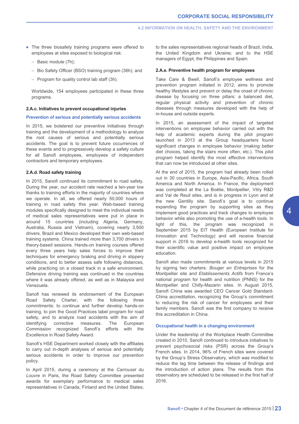- The three biosafety training programs were offered to employees at sites exposed to biological risk:
	- Basic module (7h);
	- Bio Safety Officer (BSO) training program (36h); and
	- Program for quality control lab staff (3h).

Worldwide, 154 employees participated in these three programs.

# **2.A.c. Initiatives to prevent occupational injuries**

# **Prevention of serious and potentially serious accidents**

In 2015, we bolstered our preventive initiatives through training and the development of a methodology to analyze the root causes of serious and potentially serious accidents. The goal is to prevent future occurrences of these events and to progressively develop a safety culture for all Sanofi employees, employees of independent contractors and temporary employees.

# **2.A.d. Road safety training**

In 2015, Sanofi continued its commitment to road safety. During the year, our accident rate reached a ten-year low thanks to training efforts in the majority of countries where we operate. In all, we offered nearly 50,000 hours of training in road safety this year. Web-based training modules specifically designed to meet the individual needs of medical sales representatives were put in place in around 15 countries (including Algeria, Germany, Australia, Russia and Vietnam), covering nearly 3,500 drivers. Brazil and Mexico developed their own web-based training systems. China trained more than 3,700 drivers in theory-based sessions. Hands-on training courses offered every three years help sales forces to improve their techniques for emergency braking and driving in slippery conditions, and to better assess safe following distances, while practicing on a closed track in a safe environment. Defensive driving training was continued in the countries where it was already offered, as well as in Malaysia and Venezuela.

Sanofi has renewed its endorsement of the European Road Safety Charter, with the following three commitments: to continue and further develop hands-on training, to join the Good Practices label program for road safety, and to analyze road accidents with the aim of identifying corrective measures. The European Commission recognized Sanofi's efforts with the Excellence in Road Safety Award.

Sanofi's HSE Department worked closely with the affiliates to carry out in-depth analyses of serious and potentially serious accidents in order to improve our prevention policy.

In April 2015, during a ceremony at the *Carrousel du Louvre* in Paris, the Road Safety Committee presented awards for exemplary performance to medical sales representatives in Canada, Finland and the United States; to the sales representatives regional heads of Brazil, India, the United Kingdom and Ukraine; and to the HSE managers of Egypt, the Philippines and Spain.

## **2.A.e. Preventive health program for employees**

Take Care & Bwel!, Sanofi's employee wellness and prevention program initiated in 2012, aims to promote healthy lifestyles and prevent or delay the onset of chronic disease by focusing on three pillars: a balanced diet, regular physical activity and prevention of chronic diseases through measures developed with the help of in-house and outside experts.

In 2015, an assessment of the impact of targeted interventions on employee behavior carried out with the help of academic experts during the pilot program launched in 2013 at the Group headquarters found significant changes in employee behavior (making better diet choices, taking the stairs more often, etc.). This pilot program helped identify the most effective interventions that can now be introduced at other sites.

At the end of 2015, the program had already been rolled out in 30 countries in Europe, Asia-Pacific, Africa, South America and North America. In France, the deployment was completed at the La Boétie, Montpellier, Vitry R&D and Val de Reuil sites, and is in progress in Lyon and at the new Gentilly site. Sanofi's goal is to continue expanding the program by supporting sites as they implement good practices and track changes to employee behavior while also promoting the use of e-health tools. In light of this, the program was recognized in September 2015 by EIT Health (European Institute for Innovation and Technology) and will receive financial support in 2016 to develop e-health tools recognized for their scientific value and positive impact on employee education.

Sanofi also made commitments at various levels in 2015 by signing two charters: *Bouger en Entreprises* for the Montpellier site and *Etablissements Actifs* from France's national program for health and nutrition (PNNS) for the Montpellier and Chilly-Mazarin sites. In August 2015, Sanofi China was awarded CEO Cancer Gold Standard-China accreditation, recognizing the Group's commitment to reducing the risk of cancer for employees and their family members. Sanofi was the first company to receive this accreditation in China.

# **Occupational health in a changing environment**

Under the leadership of the Workplace Health Committee created in 2010, Sanofi continued to introduce initiatives to prevent psychosocial risks (PSR) across the Group's French sites. In 2014, 96% of French sites were covered by the Group's Stress Observatory, which was modified to reduce the lag time between the release of findings and the introduction of action plans. The results from this observatory are scheduled to be released in the first half of 2016.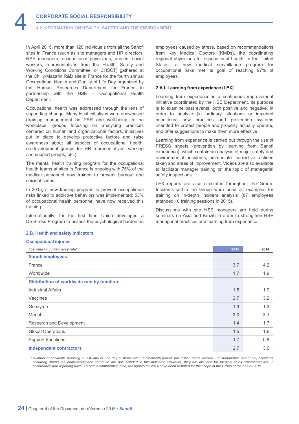**4.2 INFORMATION ON HEALTH, SAFETY AND THE ENVIRONMENT**

In April 2015, more than 120 individuals from all the Sanofi sites in France (such as site managers and HR directors, HSE managers, occupational physicians, nurses, social workers, representatives from the Health, Safety and Working Conditions Committee, or CHSCT) gathered at the Chilly-Mazarin R&D site in France for the fourth annual Occupational Health and Quality of Life Day organized by the Human Resources Department for France in partnership with the HSE – Occupational Health Department.

Occupational health was addressed through the lens of supporting change. Many local initiatives were showcased (training management on PSR and well-being in the workplace, groups focusing on analyzing practices centered on human and organizational factors, initiatives put in place to develop protective factors and raise awareness about all aspects of occupational health, co-development groups for HR representatives, working and support groups, etc.).

The mental health training program for the occupational health teams at sites in France is ongoing with 75% of the medical personnel now trained to prevent burnout and suicidal crises.

In 2015, a new training program to prevent occupational risks linked to addictive behaviors was implemented; 53% of occupational health personnel have now received this training.

Internationally, for the first time China developed a De-Stress Program to assess the psychological burden on

#### **2.B. Health and safety indicators**

## **Occupational injuries**

employees caused by stress, based on recommendations from Key Medical Doctors (KMDs), the coordinating regional physicians for occupational health. In the United States, a new medical surveillance program for occupational risks met its goal of reaching 97% of employees.

#### **2.A.f. Learning from experience (LEX)**

Learning from experience is a continuous improvement initiative coordinated by the HSE Department. Its purpose is to examine past events, both positive and negative, in order to analyze (in ordinary situations or impaired conditions) how practices and prevention systems intended to protect people and property actually operate, and offer suggestions to make them more effective.

Learning from experience is carried out through the use of PRESS sheets (prevention by learning from Sanofi experience), which contain an analysis of major safety and environmental incidents, immediate corrective actions taken and areas of improvement. Videos are also available to facilitate manager training on the topic of managerial safety inspections.

LEX reports are also circulated throughout the Group. Incidents within the Group were used as examples for training on in-depth incident analysis (87 employees attended 10 training sessions in 2015).

Discussions with site HSE managers are held during seminars (in Asia and Brazil) in order to strengthen HSE managerial practices and learning from experience.

| Lost time injury frequency rate*            | 2015 | 2014 |
|---------------------------------------------|------|------|
| <b>Sanofi employees:</b>                    |      |      |
| France                                      | 3.7  | 4.2  |
| Worldwide                                   | 1.7  | 1.9  |
| Distribution of worldwide rate by function: |      |      |
| <b>Industrial Affairs</b>                   | 1.5  | 1.9  |
| Vaccines                                    | 2.7  | 3.2  |
| Genzyme                                     | 1.3  | 1.3  |
| Merial                                      | 3.0  | 3.1  |
| Research and Development                    | 1.4  | 1.7  |
| <b>Global Operations</b>                    | 1.5  | 1.6  |
| <b>Support Functions</b>                    | 1.7  | 0.8  |
| <b>Independent contractors</b>              | 2.7  | 3.0  |

*\* Number of accidents resulting in lost time of one day or more within a 12-month period, per million hours worked. For non-mobile personnel, accidents occurring during the home-workplace commute are not included in this indicator. However, they are included for medical sales representatives, in accordance with reporting rules. To obtain comparative data, the figures for 2014 have been restated for the scope of the Group at the end of 2015.*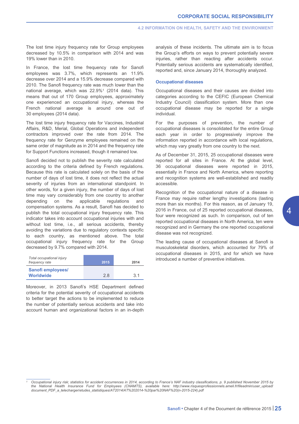#### **4.2 INFORMATION ON HEALTH, SAFETY AND THE ENVIRONMENT**

The lost time injury frequency rate for Group employees decreased by 10.5% in comparison with 2014 and was 19% lower than in 2010.

In France, the lost time frequency rate for Sanofi employees was 3.7%, which represents an 11.9% decrease over 2014 and a 15.9% decrease compared with 2010. The Sanofi frequency rate was much lower than the national average, which was 22.9%1 (2014 data). This means that out of 170 Group employees, approximately one experienced an occupational injury, whereas the French national average is around one out of 30 employees (2014 data).

The lost time injury frequency rate for Vaccines, Industrial Affairs, R&D, Merial, Global Operations and independent contractors improved over the rate from 2014. The frequency rate for Genzyme employees remained on the same order of magnitude as in 2014 and the frequency rate for Support Functions increased, though it remained low.

Sanofi decided not to publish the severity rate calculated according to the criteria defined by French regulations. Because this rate is calculated solely on the basis of the number of days of lost time, it does not reflect the actual severity of injuries from an international standpoint. In other words, for a given injury, the number of days of lost time may vary considerably from one country to another depending on the applicable regulations and compensation systems. As a result, Sanofi has decided to publish the total occupational injury frequency rate. This indicator takes into account occupational injuries with and without lost time, i.e., all serious accidents, thereby avoiding the variations due to regulatory contexts specific to each country, as mentioned above. The total occupational injury frequency rate for the Group decreased by 9.7% compared with 2014.

| Total occupational injury<br>frequency rate | 2015 | 2014 |
|---------------------------------------------|------|------|
| Sanofi employees/<br><b>Worldwide</b>       | 28   | 31   |

Moreover, in 2013 Sanofi's HSE Department defined criteria for the potential severity of occupational accidents to better target the actions to be implemented to reduce the number of potentially serious accidents and take into account human and organizational factors in an in-depth analysis of these incidents. The ultimate aim is to focus the Group's efforts on ways to prevent potentially severe injuries, rather than reacting after accidents occur. Potentially serious accidents are systematically identified, reported and, since January 2014, thoroughly analyzed.

## **Occupational diseases**

Occupational diseases and their causes are divided into categories according to the CEFIC (European Chemical Industry Council) classification system. More than one occupational disease may be reported for a single individual.

For the purposes of prevention, the number of occupational diseases is consolidated for the entire Group each year in order to progressively improve the information reported in accordance with local regulations, which may vary greatly from one country to the next.

As of December 31, 2015, 25 occupational diseases were reported for all sites in France. At the global level, 36 occupational diseases were reported in 2015, essentially in France and North America, where reporting and recognition systems are well-established and readily accessible.

Recognition of the occupational nature of a disease in France may require rather lengthy investigations (lasting more than six months). For this reason, as of January 19, 2016 in France, out of 25 reported occupational diseases, four were recognized as such. In comparison, out of ten reported occupational diseases in North America, ten were recognized and in Germany the one reported occupational disease was not recognized.

The leading cause of occupational diseases at Sanofi is musculoskeletal disorders, which accounted for 79% of occupational diseases in 2015, and for which we have introduced a number of preventive initiatives.

*<sup>1</sup> Occupational injury risk; statistics for accident occurrences in 2014, according to France's NAF industry classifications, p. 9 published November 2015 by the National Health Insurance Fund for Employees (CNAMTS), available here: http://www.risquesprofessionnels.ameli.fr/fileadmin/user\_upload/ [document\\_PDF\\_a\\_telecharger/etudes\\_statistiques/AT2014/AT%202014-%20par%20NAF%20\(n-2015-224\).pdf](http://www.risquesprofessionnels.ameli.fr/fileadmin/user_upload/document_PDF_a_telecharger/etudes_statistiques/AT2014/AT%202014-%20par%20NAF%20(n-2015-224).pdf)*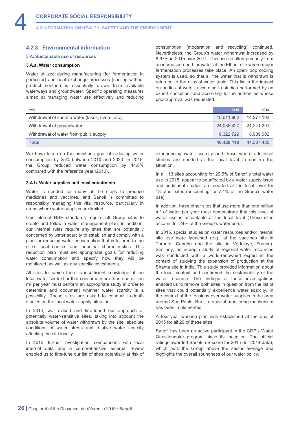# <span id="page-26-0"></span>**4.2.3. Environmental information**

# **3.A. Sustainable use of resources**

# **3.A.a. Water consumption**

Water utilized during manufacturing (for fermentation in particular) and heat exchange processes (cooling without product contact) is essentially drawn from available waterways and groundwater. Specific operating measures aimed at managing water use effectively and reducing consumption (moderation and recycling) continued. Nevertheless, the Group's water withdrawal increased by 8.67% in 2015 over 2014. This rise resulted primarily from an increased need for water at the Elbeuf site where major fermentation processes take place. An open loop cooling system is used, so that all the water that is withdrawn is returned to the alluvial water table. This limits the impact on bodies of water, according to studies performed by an expert consultant and according to the authorities whose prior approval was requested.

| (m <sup>3</sup> )                                 | 2015       | 2014       |
|---------------------------------------------------|------------|------------|
| Withdrawal of surface water (lakes, rivers, etc.) | 15.011.962 | 14,277,192 |
| Withdrawal of groundwater                         | 24.085.427 | 21,241,291 |
| Withdrawal of water from public supply            | 9.322.729  | 8,989,002  |
| <b>Total</b>                                      | 48.420.118 | 44,507,485 |

We have taken on the ambitious goal of reducing water consumption by 25% between 2010 and 2020. In 2015, the Group reduced water consumption by 14.8% compared with the reference year (2010).

# **3.A.b. Water supplies and local constraints**

Water is needed for many of the steps to produce medicines and vaccines, and Sanofi is committed to responsibly managing this vital resource, particularly in areas where water supplies are limited.

Our internal HSE standards require all Group sites to create and follow a water management plan. In addition, our internal rules require any sites that are potentially concerned by water scarcity to establish and comply with a plan for reducing water consumption that is tailored to the site's local context and industrial characteristics. This reduction plan must set appropriate goals for reducing water consumption and specify how they will be monitored, as well as any specific investments.

All sites for which there is insufficient knowledge of the local water context or that consume more than one million m<sup>3</sup> per year must perform an appropriate study in order to determine and document whether water scarcity is a possibility. These sites are asked to conduct in-depth studies on the local water supply situation.

In 2014, we revised and fine-tuned our approach at potentially water-sensitive sites, taking into account the absolute volume of water withdrawn by the site, absolute conditions of water stress and relative water scarcity affecting the site locally.

In 2015, further investigation, comparisons with local internal data and a comprehensive external review enabled us to fine-tune our list of sites potentially at risk of experiencing water scarcity and those where additional studies are needed at the local level to confirm the situation.

In all, 13 sites accounting for 20.5% of Sanofi's total water use in 2015, appear to be affected by a water supply issue and additional studies are needed at the local level for 13 other sites (accounting for 7.4% of the Group's water use).

In addition, three other sites that use more than one million m<sup>3</sup> of water per year must demonstrate that this level of water use is acceptable at the local level (These sites account for 24% of the Group's water use.).

In 2015, special studies on water resources and/or internal site use were launched (e.g., at the vaccines site in Toronto, Canada and the site in Vertolaye, France). Similarly, an in-depth study of regional water resources was conducted with a world-renowned expert in the context of studying the expansion of production at the Shanta site in India. This study provided information about the local context and confirmed the sustainability of the water resource. The findings of these investigations enabled us to remove both sites in question from the list of sites that could potentially experience water scarcity. In the context of the tensions over water supplies in the area around Sao Paulo, Brazil a special monitoring mechanism has been implemented.

A four-year working plan was established at the end of 2015 for all 29 of these sites.

Sanofi has been an active participant in the CDP's Water Questionnaire program since its inception. The official ratings awarded Sanofi a B score for 2015 (for 2014 data), which puts the Group above the sector average and highlights the overall soundness of our water policy.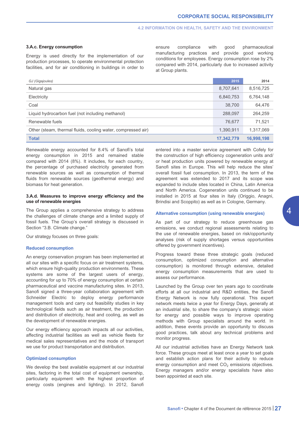# **4.2 INFORMATION ON HEALTH, SAFETY AND THE ENVIRONMENT**

# **3.A.c. Energy consumption**

Energy is used directly for the implementation of our production processes, to operate environmental protection facilities, and for air conditioning in buildings in order to ensure compliance with good pharmaceutical manufacturing practices and provide good working conditions for employees. Energy consumption rose by 2% compared with 2014, particularly due to increased activity at Group plants.

| GJ (Gigajoules)                                              | 2015       | 2014       |
|--------------------------------------------------------------|------------|------------|
| Natural gas                                                  | 8,707,641  | 8,516,725  |
| Electricity                                                  | 6,840,753  | 6,764,148  |
| Coal                                                         | 38,700     | 64,476     |
| Liquid hydrocarbon fuel (not including methanol)             | 288,097    | 264,259    |
| Renewable fuels                                              | 76,677     | 71,521     |
| Other (steam, thermal fluids, cooling water, compressed air) | 1,390,911  | 1,317,069  |
| <b>Total</b>                                                 | 17,342,779 | 16,998,198 |

Renewable energy accounted for 8.4% of Sanofi's total energy consumption in 2015 and remained stable compared with 2014 (8%). It includes, for each country, the percentage of purchased electricity generated from renewable sources as well as consumption of thermal fluids from renewable sources (geothermal energy) and biomass for heat generation.

# **3.A.d. Measures to improve energy efficiency and the use of renewable energies**

The Group applies a comprehensive strategy to address the challenges of climate change and a limited supply of fossil fuels. The Group's overall strategy is discussed in Section "3.B. Climate change."

Our strategy focuses on three goals:

#### **Reduced consumption**

An energy conservation program has been implemented at all our sites with a specific focus on air treatment systems, which ensure high-quality production environments. These systems are some of the largest users of energy, accounting for up to 70% of energy consumption at certain pharmaceutical and vaccine manufacturing sites. In 2013, Sanofi signed a three-year collaboration agreement with Schneider Electric to deploy energy performance management tools and carry out feasibility studies in key technological fields such as air treatment, the production and distribution of electricity, heat and cooling, as well as the development of renewable energies.

Our energy efficiency approach impacts all our activities, affecting industrial facilities as well as vehicle fleets for medical sales representatives and the mode of transport we use for product transportation and distribution.

# **Optimized consumption**

We develop the best available equipment at our industrial sites, factoring in the total cost of equipment ownership. particularly equipment with the highest proportion of energy costs (engines and lighting). In 2012, Sanofi entered into a master service agreement with Cofely for the construction of high efficiency cogeneration units and/ or heat production units powered by renewable energy at Sanofi sites in Europe. This will help reduce the sites' overall fossil fuel consumption. In 2013, the term of the agreement was extended to 2017 and its scope was expanded to include sites located in China, Latin America and North America. Cogeneration units continued to be installed in 2015 at four sites in Italy (Origgio, Anagni, Brindisi and Scoppito) as well as in Cologne, Germany.

# **Alternative consumption (using renewable energies)**

As part of our strategy to reduce greenhouse gas emissions, we conduct regional assessments relating to the use of renewable energies, based on risk/opportunity analyses (risk of supply shortages versus opportunities offered by government incentives).

Progress toward these three strategic goals (reduced consumption, optimized consumption and alternative consumption) is monitored through extensive, detailed energy consumption measurements that are used to assess our performance.

Launched by the Group over ten years ago to coordinate efforts at all our industrial and R&D entities, the Sanofi Energy Network is now fully operational. This expert network meets twice a year for Energy Days, generally at an industrial site, to share the company's strategic vision for energy and possible ways to improve operating methods with Group specialists around the world. In addition, these events provide an opportunity to discuss good practices, talk about any technical problems and monitor progress.

All our industrial activities have an Energy Network task force. These groups meet at least once a year to set goals and establish action plans for their activity to reduce energy consumption and meet  $CO<sub>2</sub>$  emissions objectives. Energy managers and/or energy specialists have also been appointed at each site.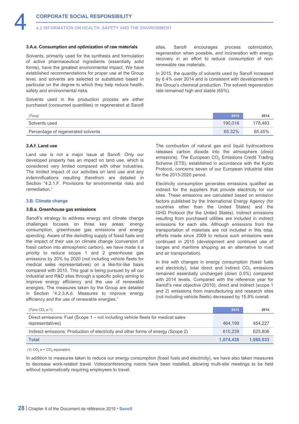#### **3.A.e. Consumption and optimization of raw materials**

Solvents, primarily used for the synthesis and formulation of active pharmaceutical ingredients (essentially solid forms), have the greatest environmental impact. We have established recommendations for proper use at the Group level, and solvents are selected or substituted based in particular on the degree to which they help reduce health, safety and environmental risks.

Solvents used in the production process are either purchased (consumed quantities) or regenerated at Sanofi

sites. Sanofi encourages process optimization, regeneration when possible, and incineration with energy recovery in an effort to reduce consumption of nonrenewable raw materials.

In 2015, the quantity of solvents used by Sanofi increased by 6.4% over 2014 and is consistent with developments in the Group's chemical production. The solvent regeneration rate remained high and stable (65%).

| (Tons)                             | 2015    | 2014    |
|------------------------------------|---------|---------|
| Solvents used                      | 190,016 | 178.483 |
| Percentage of regenerated solvents | 65.32%  | 65.45%  |

# **3.A.f. Land use**

Land use is not a major issue at Sanofi. Only our developed property has an impact on land use, which is considered very limited compared with other industries. The limited impact of our activities on land use and any indemnifications resulting therefrom are detailed in Section "4.2.1.F. Provisions for environmental risks and remediation."

## **3.B. Climate change**

#### **3.B.a. Greenhouse gas emissions**

Sanofi's strategy to address energy and climate change challenges focuses on three key areas: energy consumption, greenhouse gas emissions and energy spending. Aware of the dwindling supply of fossil fuels and the impact of their use on climate change (conversion of fossil carbon into atmospheric carbon), we have made it a priority to reduce scope 1 and 2 greenhouse gas emissions by 20% by 2020 (not including vehicle fleets for medical sales representatives) on a like-for-like basis compared with 2010. This goal is being pursued by all our industrial and R&D sites through a specific policy aiming to improve energy efficiency and the use of renewable energies. The measures taken by the Group are detailed in Section "4.2.3.A.d. Measures to improve energy efficiency and the use of renewable energies."

The combustion of natural gas and liquid hydrocarbons releases carbon dioxide into the atmosphere (direct emissions). The European CO<sub>2</sub> Emissions Credit Trading Scheme (ETS), established in accordance with the Kyoto Protocol, concerns seven of our European industrial sites for the 2013-2020 period.

Electricity consumption generates emissions qualified as indirect for the suppliers that provide electricity for our sites. These emissions are calculated based on emission factors published by the International Energy Agency (for countries other than the United States) and the GHG Protocol (for the United States). Indirect emissions resulting from purchased utilities are included in indirect emissions for each site. Although emissions from the transportation of materials are not included in this total, efforts made since 2009 to reduce such emissions were continued in 2015 (development and continued use of barges and maritime shipping as an alternative to road and air transportation).

In line with changes in energy consumption (fossil fuels and electricity), total direct and indirect  $CO<sub>2</sub>$  emissions remained essentially unchanged (down 0.5%) compared with 2014 levels. Compared with the reference year for Sanofi's new objective (2010), direct and indirect (scope 1 and 2) emissions from manufacturing and research sites (not including vehicle fleets) decreased by 15.8% overall.

| (Tons $CO2 e(1)$ )                                                                 | 2015      | 2014      |
|------------------------------------------------------------------------------------|-----------|-----------|
| Direct emissions: Fuel (Scope $1$ – not including vehicle fleets for medical sales |           |           |
| representatives)                                                                   | 464.199   | 454.227   |
| Indirect emissions: Production of electricity and other forms of energy (Scope 2)  | 610.239   | 625,806   |
| <b>Total</b>                                                                       | 1.074.438 | 1.080.033 |

 $(1)$   $CO<sub>2</sub>$   $e = CO<sub>2</sub>$  *equivalent.* 

In addition to measures taken to reduce our energy consumption (fossil fuels and electricity), we have also taken measures to decrease work-related travel. Videoconferencing rooms have been installed, allowing multi-site meetings to be held without systematically requiring employees to travel.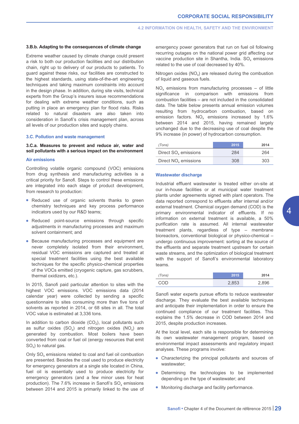### **3.B.b. Adapting to the consequences of climate change**

Extreme weather caused by climate change could present a risk to both our production facilities and our distribution chain, right up to delivery of our products to patients. To guard against these risks, our facilities are constructed to the highest standards, using state-of-the-art engineering techniques and taking maximum constraints into account in the design phase. In addition, during site visits, technical experts from the Group's insurers issue recommendations for dealing with extreme weather conditions, such as putting in place an emergency plan for flood risks. Risks related to natural disasters are also taken into consideration in Sanofi's crisis management plan, across all levels of our production sites and supply chains.

# **3.C. Pollution and waste management**

# **3.C.a. Measures to prevent and reduce air, water and soil pollutants with a serious impact on the environment**

# **Air emissions**

Controlling volatile organic compound (VOC) emissions from drug synthesis and manufacturing activities is a critical priority for Sanofi. Steps to control these emissions are integrated into each stage of product development, from research to production:

- Reduced use of organic solvents thanks to green chemistry techniques and key process performance indicators used by our R&D teams;
- Reduced point-source emissions through specific adjustments in manufacturing processes and maximum solvent containment; and
- Because manufacturing processes and equipment are never completely isolated from their environment, residual VOC emissions are captured and treated at special treatment facilities using the best available techniques for the specific physico-chemical properties of the VOCs emitted (cryogenic capture, gas scrubbers, thermal oxidizers, etc.).

In 2015, Sanofi paid particular attention to sites with the highest VOC emissions. VOC emissions data (2014 calendar year) were collected by sending a specific questionnaire to sites consuming more than five tons of solvents as reported in 2014, or 68 sites in all. The total VOC value is estimated at 3,336 tons.

In addition to carbon dioxide  $(CO<sub>2</sub>)$ , local pollutants such as sulfur oxides  $(SO_x)$  and nitrogen oxides  $(NO_x)$  are generated by combustion. Most boilers have been converted from coal or fuel oil (energy resources that emit SO<sub>v</sub>) to natural gas.

Only  $SO_x$  emissions related to coal and fuel oil combustion are presented. Besides the coal used to produce electricity for emergency generators at a single site located in China, fuel oil is essentially used to produce electricity for emergency generators (and a few minor uses for heat production). The 7.6% increase in Sanofi's  $SO<sub>x</sub>$  emissions between 2014 and 2015 is primarily linked to the use of emergency power generators that run on fuel oil following recurring outages on the national power grid affecting our vaccine production site in Shantha, India. SO<sub>v</sub> emissions related to the use of coal decreased by 40%.

Nitrogen oxides  $(NO<sub>x</sub>)$  are released during the combustion of liquid and gaseous fuels.

NO<sub>x</sub> emissions from manufacturing processes – of little significance in comparison with emissions from combustion facilities – are not included in the consolidated data. The table below presents annual emission volumes resulting from hydrocarbon combustion, based on emission factors.  $NO_x$  emissions increased by 1.6% between 2014 and 2015, having remained largely unchanged due to the decreasing use of coal despite the 9% increase (in power) of hydrocarbon consumption.

| (Tons)                           | 2015 | 2014 |
|----------------------------------|------|------|
| Direct $SOx$ emissions           | 284  | 264  |
| Direct NO <sub>v</sub> emissions | 308  | 303  |

# **Wastewater discharge**

Industrial effluent wastewater is treated either on-site at our in-house facilities or at municipal water treatment plants under agreements signed with plant operators. The data reported correspond to effluents after internal and/or external treatment. Chemical oxygen demand (COD) is the primary environmental indicator of effluents. If no information on external treatment is available, a 50% purification rate is assumed. All internal wastewater treatment plants, regardless of type – membrane bioreactors, conventional biological or physico-chemical – undergo continuous improvement: sorting at the source of the effluents and separate treatment upstream for certain waste streams, and the optimization of biological treatment with the support of Sanofi's environmental laboratory teams.

| (Tons) | 2015  | 2014  |
|--------|-------|-------|
| COD    | 2,853 | 2,896 |

Sanofi water experts pursue efforts to reduce wastewater discharge. They evaluate the best available techniques and anticipate their implementation in order to ensure the continued compliance of our treatment facilities. This explains the 1.5% decrease in COD between 2014 and 2015, despite production increases.

At the local level, each site is responsible for determining its own wastewater management program, based on environmental impact assessments and regulatory impact analyses. These programs involve:

- Characterizing the principal pollutants and sources of wastewater:
- Determining the technologies to be implemented depending on the type of wastewater; and
- Monitoring discharge and facility performance.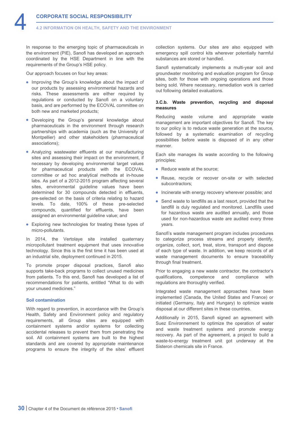In response to the emerging topic of pharmaceuticals in the environment (PIE), Sanofi has developed an approach coordinated by the HSE Department in line with the requirements of the Group's HSE policy.

Our approach focuses on four key areas:

- Improving the Group's knowledge about the impact of our products by assessing environmental hazards and risks. These assessments are either required by regulations or conducted by Sanofi on a voluntary basis, and are performed by the ECOVAL committee on both new and marketed products;
- Developing the Group's general knowledge about pharmaceuticals in the environment through research partnerships with academia (such as the University of Montpellier) and other stakeholders (pharmaceutical associations);
- Analyzing wastewater effluents at our manufacturing sites and assessing their impact on the environment, if necessary by developing environmental target values for pharmaceutical products with the ECOVAL committee or ad hoc analytical methods at in-house labs. As part of a 2012-2015 program affecting several sites, environmental guideline values have been determined for 30 compounds detected in effluents, pre-selected on the basis of criteria relating to hazard levels. To date, 100% of these pre-selected compounds, quantified for effluents, have been assigned an environmental guideline value; and
- Exploring new technologies for treating these types of micro-pollutants.

In 2014, the Vertolaye site installed quaternary micropollutant treatment equipment that uses innovative technology. Since this is the first time it has been used at an industrial site, deployment continued in 2015.

To promote proper disposal practices, Sanofi also supports take-back programs to collect unused medicines from patients. To this end, Sanofi has developed a list of recommendations for patients, entitled "What to do with your unused medicines."

# **Soil contamination**

With regard to prevention, in accordance with the Group's Health, Safety and Environment policy and regulatory requirements, all Group sites are equipped with containment systems and/or systems for collecting accidental releases to prevent them from penetrating the soil. All containment systems are built to the highest standards and are covered by appropriate maintenance programs to ensure the integrity of the sites' effluent collection systems. Our sites are also equipped with emergency spill control kits wherever potentially harmful substances are stored or handled.

Sanofi systematically implements a multi-year soil and groundwater monitoring and evaluation program for Group sites, both for those with ongoing operations and those being sold. Where necessary, remediation work is carried out following detailed evaluations.

# **3.C.b. Waste prevention, recycling and disposal measures**

Reducing waste volume and appropriate waste management are important objectives for Sanofi. The key to our policy is to reduce waste generation at the source, followed by a systematic examination of recycling possibilities before waste is disposed of in any other manner.

Each site manages its waste according to the following principles:

- Reduce waste at the source;
- Reuse, recycle or recover on-site or with selected subcontractors;
- Incinerate with energy recovery wherever possible; and
- Send waste to landfills as a last resort, provided that the landfill is duly regulated and monitored. Landfills used for hazardous waste are audited annually, and those used for non-hazardous waste are audited every three years.

Sanofi's waste management program includes procedures to categorize process streams and properly identify, organize, collect, sort, treat, store, transport and dispose of each type of waste. In addition, we keep records of all waste management documents to ensure traceability through final treatment.

Prior to engaging a new waste contractor, the contractor's qualifications, competence and compliance with regulations are thoroughly verified.

Integrated waste management approaches have been implemented (Canada, the United States and France) or initiated (Germany, Italy and Hungary) to optimize waste disposal at our different sites in these countries.

Additionally in 2015, Sanofi signed an agreement with Suez Environnement to optimize the operation of water and waste treatment systems and promote energy recovery. As part of the agreement, a project to build a waste-to-energy treatment unit got underway at the Sisteron chemicals site in France.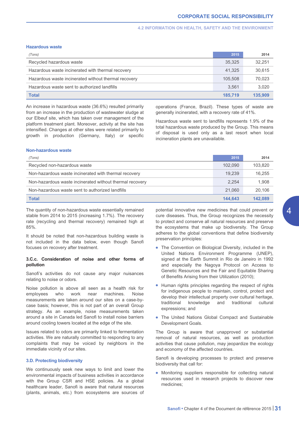# **4.2 INFORMATION ON HEALTH, SAFETY AND THE ENVIRONMENT**

# **Hazardous waste**

| (Tons)                                               | 2015    | 2014    |
|------------------------------------------------------|---------|---------|
| Recycled hazardous waste                             | 35,325  | 32.251  |
| Hazardous waste incinerated with thermal recovery    | 41.325  | 30,615  |
| Hazardous waste incinerated without thermal recovery | 105.508 | 70,023  |
| Hazardous waste sent to authorized landfills         | 3.561   | 3,020   |
| <b>Total</b>                                         | 185.719 | 135,909 |

An increase in hazardous waste (36.6%) resulted primarily from an increase in the production of wastewater sludge at our Elbeuf site, which has taken over management of the platform treatment plant. Moreover, activity at the site has intensified. Changes at other sites were related primarily to growth in production (Germany, Italy) or specific operations (France, Brazil). These types of waste are generally incinerated, with a recovery rate of 41%.

Hazardous waste sent to landfills represents 1.9% of the total hazardous waste produced by the Group. This means of disposal is used only as a last resort when local incineration plants are unavailable.

#### **Non-hazardous waste**

| (Tons)                                                   | 2015    | 2014    |
|----------------------------------------------------------|---------|---------|
| Recycled non-hazardous waste                             | 102.090 | 103.820 |
| Non-hazardous waste incinerated with thermal recovery    | 19.239  | 16.255  |
| Non-hazardous waste incinerated without thermal recovery | 2.254   | 1,908   |
| Non-hazardous waste sent to authorized landfills         | 21,060  | 20.106  |
| <b>Total</b>                                             | 144.643 | 142.089 |

The quantity of non-hazardous waste essentially remained stable from 2014 to 2015 (increasing 1.7%). The recovery rate (recycling and thermal recovery) remained high at 85%.

It should be noted that non-hazardous building waste is not included in the data below, even though Sanofi focuses on recovery after treatment.

# **3.C.c. Consideration of noise and other forms of pollution**

Sanofi's activities do not cause any major nuisances relating to noise or odors.

Noise pollution is above all seen as a health risk for employees who work near machines. Noise measurements are taken around our sites on a case-bycase basis; however, this is not part of an overall Group strategy. As an example, noise measurements taken around a site in Canada led Sanofi to install noise barriers around cooling towers located at the edge of the site.

Issues related to odors are primarily linked to fermentation activities. We are naturally committed to responding to any complaints that may be voiced by neighbors in the immediate vicinity of our sites.

# **3.D. Protecting biodiversity**

We continuously seek new ways to limit and lower the environmental impacts of business activities in accordance with the Group CSR and HSE policies. As a global healthcare leader, Sanofi is aware that natural resources (plants, animals, etc.) from ecosystems are sources of potential innovative new medicines that could prevent or cure diseases. Thus, the Group recognizes the necessity to protect and conserve all natural resources and preserve the ecosystems that make up biodiversity. The Group adheres to the global conventions that define biodiversity preservation principles:

- The Convention on Biological Diversity, included in the United Nations Environment Programme (UNEP), signed at the Earth Summit in Rio de Janeiro in 1992 and especially the Nagoya Protocol on Access to Genetic Resources and the Fair and Equitable Sharing of Benefits Arising from their Utilization (2010);
- Human rights principles regarding the respect of rights for indigenous people to maintain, control, protect and develop their intellectual property over cultural heritage, traditional knowledge and traditional cultural expressions; and
- The United Nations Global Compact and Sustainable Development Goals.

The Group is aware that unapproved or substantial removal of natural resources, as well as production activities that cause pollution, may jeopardize the ecology and economy of the affected countries.

Sanofi is developing processes to protect and preserve biodiversity that call for:

• Monitoring suppliers responsible for collecting natural resources used in research projects to discover new medicines;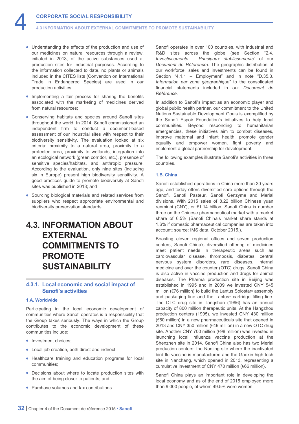- <span id="page-32-0"></span>• Understanding the effects of the production and use of our medicines on natural resources through a review, initiated in 2013, of the active substances used at production sites for industrial purposes. According to the information collected to date, no plants or animals included in the CITES lists (Convention on International Trade in Endangered Species) are used in our production activities;
- Implementing a fair process for sharing the benefits associated with the marketing of medicines derived from natural resources;
- Conserving habitats and species around Sanofi sites throughout the world. In 2014, Sanofi commissioned an independent firm to conduct a document-based assessment of our industrial sites with respect to their biodiversity sensitivity. The evaluation looked at six criteria: proximity to a natural area, proximity to a protected area, proximity to wetlands, integration into an ecological network (green corridor, etc.), presence of sensitive species/habitats, and anthropic pressure. According to the evaluation, only nine sites (including six in Europe) present high biodiversity sensitivity. A good practices guide to promote biodiversity at Sanofi sites was published in 2013; and
- Sourcing biological materials and related services from suppliers who respect appropriate environmental and biodiversity preservation standards.

# **4.3. INFORMATION ABOUT EXTERNAL COMMITMENTS TO PROMOTE SUSTAINABILITY**

# **4.3.1. Local economic and social impact of Sanofi's activities**

# **1.A. Worldwide**

Participating in the local economic development of communities where Sanofi operates is a responsibility that the Group takes seriously. The ways in which the Group contributes to the economic development of these communities include:

- Investment choices:
- Local job creation, both direct and indirect;
- Healthcare training and education programs for local communities;
- Decisions about where to locate production sites with the aim of being closer to patients; and
- Purchase volumes and tax contributions.

Sanofi operates in over 100 countries, with industrial and R&D sites across the globe (see Section "2.4. *Investissements – Principaux établissements*" of our *Document de Référence*). The geographic distribution of our workforce, sales and investments can be found in Section "4.1.1 – Employment" and in note "D.35.3. *Information par zone géographique*" to the consolidated financial statements included in our *Document de Référence*.

In addition to Sanofi's impact as an economic player and global public health partner, our commitment to the United Nations Sustainable Development Goals is exemplified by the Sanofi Espoir Foundation's initiatives to help local communities. Beyond responding to humanitarian emergencies, these initiatives aim to combat diseases, improve maternal and infant health, promote gender equality and empower women, fight poverty and implement a global partnership for development.

The following examples illustrate Sanofi's activities in three countries.

# **1.B. China**

Sanofi established operations in China more than 30 years ago, and today offers diversified care options through the Sanofi, Sanofi Pasteur, Sanofi Genzyme and Merial divisions. With 2015 sales of 8.22 billion Chinese yuan renminbi (CNY), or €1.14 billion, Sanofi China is number three on the Chinese pharmaceutical market with a market share of 6.5% (Sanofi China's market share stands at 1.6% if domestic pharmaceutical companies are taken into account; source: IMS data, October 2015.).

Boasting eleven regional offices and seven production centers, Sanofi China's diversified offering of medicines meet patient needs in therapeutic areas such as cardiovascular disease, thrombosis, diabetes, central nervous system disorders, rare diseases, internal medicine and over the counter (OTC) drugs. Sanofi China is also active in vaccine production and drugs for animal diseases. The Pharma production site in Beijing was established in 1995 and in 2009 we invested CNY 545 million (€76 million) to build the Lantus Solostar® assembly and packaging line and the Lantus<sup>®</sup> cartridge filling line. The OTC drug site in Tangshan (1996) has an annual capacity of 800 million therapeutic units. At the Hangzhou production centers (1995), we invested CNY 430 million (€60 million) in a new pharmaceuticals site that opened in 2013 and CNY 350 million (€49 million) in a new OTC drug site. Another CNY 700 million (€98 million) was invested in launching local influenza vaccine production at the Shenzhen site in 2014. Sanofi China also has two Merial production centers: the Nanjing site where the inactivated bird flu vaccine is manufactured and the Gaoxin high-tech site in Nanchang, which opened in 2013, representing a cumulative investment of CNY 470 million (€66 million).

Sanofi China plays an important role in developing the local economy and as of the end of 2015 employed more than 9,000 people, of whom 49.5% were women.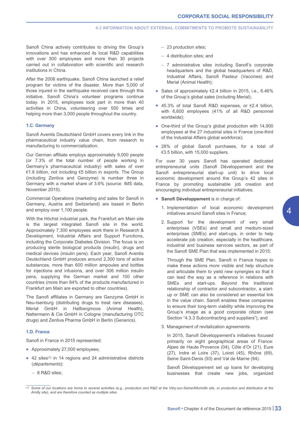Sanofi China actively contributes to driving the Group's innovations and has enhanced its local R&D capabilities with over 300 employees and more than 30 projects carried out in collaboration with scientific and research institutions in China.

After the 2008 earthquake, Sanofi China launched a relief program for victims of the disaster. More than 5,000 of those injured in the earthquake received care through this initiative. Sanofi China's volunteer programs continue today. In 2015, employees took part in more than 40 activities in China, volunteering over 550 times and helping more than 3,000 people throughout the country.

# **1.C. Germany**

Sanofi Aventis Deutschland GmbH covers every link in the pharmaceutical industry value chain, from research to manufacturing to commercialization.

Our German affiliate employs approximately 9,000 people (or 7.3% of the total number of people working in Germany's pharmaceutical industry) with sales of over €1.8 billion, not including €5 billion in exports. The Group (including Zentiva and Genzyme) is number three in Germany with a market share of 3.6% (source: IMS data, November 2015).

Commercial Operations (marketing and sales for Sanofi in Germany, Austria and Switzerland) are based in Berlin and employ over 1,100 people.

With the Höchst industrial park, the Frankfurt am Main site is the largest integrated Sanofi site in the world. Approximately 7,300 employees work there in Research & Development, Industrial Affairs and Support Functions, including the Corporate Diabetes Division. The focus is on producing sterile biological products (insulin), drugs and medical devices (insulin pens). Each year, Sanofi Aventis Deutschland GmbH produces around 2,300 tons of active substances, more than 600 million ampoules and bottles for injections and infusions, and over 306 million insulin pens, supplying the German market and 100 other countries (more than 84% of the products manufactured in Frankfurt am Main are exported to other countries).

The Sanofi affiliates in Germany are Genzyme GmbH in Neu-Isenburg (distributing drugs to treat rare diseases), Merial GmbH in Hallbergmoos (Animal Health), Nattermann & Cie GmbH in Cologne (manufacturing OTC drugs) and Zentiva Pharma GmbH in Berlin (Generics).

# **1.D. France**

Sanofi in France in 2015 represented:

- Approximately 27,000 employees;
- $\bullet$  42 sites<sup>(1)</sup> in 14 regions and 24 administrative districts (*départements*):
	- 8 R&D sites;
- 23 production sites;
- 4 distribution sites; and
- 7 administrative sites including Sanofi's corporate headquarters and the global headquarters of R&D. Industrial Affairs, Sanofi Pasteur (Vaccines) and Merial (Animal Health);
- Sales of approximately €2.4 billion in 2015, i.e., 6.46% of the Group's global sales (including Merial);
- 45.3% of total Sanofi R&D expenses, or €2.4 billion, with 6,600 employees (41% of all R&D personnel worldwide);
- One-third of the Group's global production with 14,900 employees at the 27 industrial sites in France (one-third of the Industrial Affairs global workforce);
- 28% of global Sanofi purchases, for a total of €3.5 billion, with 15,000 suppliers.

For over 30 years Sanofi has operated dedicated entrepreneurial units (Sanofi Développement and the Sanofi entrepreneurial start-up unit) to drive local economic development around the Group's 42 sites in France by promoting sustainable job creation and encouraging individual entrepreneurial initiatives.

#### • **Sanofi Développement** is in charge of:

- 1. Implementation of local economic development initiatives around Sanofi sites in France;
- 2. Support for the development of very small enterprises (VSEs) and small and medium-sized enterprises (SMEs) and start-ups, in order to help accelerate job creation, especially in the healthcare, industrial and business services sectors, as part of the Sanofi SME Plan that was implemented in 2015;

Through the SME Plan, Sanofi in France hopes to make these actions more visible and help structure and articulate them to yield new synergies so that it can lead the way as a reference in relations with SMEs and start-ups. Beyond the traditional relationship of contractor and subcontractor, a startup or SME can also be considered an essential link in the value chain. Sanofi enables these companies to ensure their long-term viability while improving the Group's image as a good corporate citizen (see Section "4.3.3 Subcontracting and suppliers"); and

3. Management of revitalization agreements.

In 2015, Sanofi Développement's initiatives focused primarily on eight geographical areas of France: Alpes de Haute Provence (04), Côte d'Or (21), Eure (27), Indre et Loire (37), Loiret (45), Rhône (69), Seine Saint-Denis (93) and Val de Marne (94).

Sanofi Développement set up loans for developing businesses that create new jobs, organized

*<sup>(1)</sup> Some of our locations are home to several activities (e.g., production and R&D at the Vitry-sur-Seine/Alfortville site, or production and distribution at the Amilly site), and are therefore counted as multiple sites.*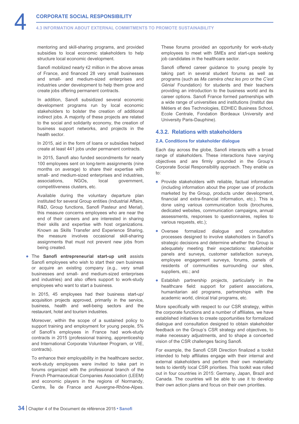<span id="page-34-0"></span>mentoring and skill-sharing programs, and provided subsidies to local economic stakeholders to help structure local economic development.

Sanofi mobilized nearly €2 million in the above areas of France, and financed 28 very small businesses and small- and medium-sized enterprises and industries under development to help them grow and create jobs offering permanent contracts.

In addition, Sanofi subsidized several economic development programs run by local economic stakeholders to bolster the creation of additional indirect jobs. A majority of these projects are related to the social and solidarity economy, the creation of business support networks, and projects in the health sector.

In 2015, aid in the form of loans or subsidies helped create at least 441 jobs under permanent contracts.

In 2015, Sanofi also funded secondments for nearly 100 employees sent on long-term assignments (nine months on average) to share their expertise with small- and medium-sized enterprises and industries, associations, NGOs, local government, competitiveness clusters, etc.

Available during the voluntary departure plan instituted for several Group entities (Industrial Affairs, R&D, Group functions, Sanofi Pasteur and Merial), this measure concerns employees who are near the end of their careers and are interested in sharing their skills and expertise with host organizations. Known as Skills Transfer and Experience Sharing, the measure involves occasional skill-sharing assignments that must not prevent new jobs from being created.

• The **Sanofi entrepreneurial start-up unit** assists Sanofi employees who wish to start their own business or acquire an existing company (e.g., very small businesses and small- and medium-sized enterprises and industries) and also offers support to work-study employees who want to start a business.

In 2015, 45 employees had their business start-up/ acquisition projects approved, primarily in the service, business, health and well-being sectors and the restaurant, hotel and tourism industries.

Moreover, within the scope of a sustained policy to support training and employment for young people, 5% of Sanofi's employees in France had work-study contracts in 2015 (professional training, apprenticeship and International Corporate Volunteer Program, or VIE, contracts).

To enhance their employability in the healthcare sector, work-study employees were invited to take part in forums organized with the professional branch of the French Pharmaceutical Companies Association (LEEM) and economic players in the regions of Normandy, Centre, Île de France and Auvergne-Rhône-Alpes.

These forums provided an opportunity for work-study employees to meet with SMEs and start-ups seeking job candidates in the healthcare sector.

Sanofi offered career guidance to young people by taking part in several student forums as well as programs (such as *Ma caméra chez les pro* or the *C'est Génial* Foundation) for students and their teachers providing an introduction to the business world and its career options. Sanofi France formed partnerships with a wide range of universities and institutions (Institut des Métiers et des Technologies, EDHEC Business School, Ecole Centrale, Fondation Bordeaux University and University Paris-Dauphine).

# **4.3.2. Relations with stakeholders**

# **2.A. Conditions for stakeholder dialogue**

Each day across the globe, Sanofi interacts with a broad range of stakeholders. These interactions have varying objectives and are firmly grounded in the Group's Corporate Social Responsibility approach. They enable us to:

- Provide stakeholders with reliable, factual information (including information about the proper use of products marketed by the Group, products under development, financial and extra-financial information, etc.). This is done using various communication tools (brochures, dedicated websites, communication campaigns, annual assessments, responses to questionnaires, replies to various requests, etc.);
- Oversee formalized dialogue and consultation processes designed to involve stakeholders in Sanofi's strategic decisions and determine whether the Group is adequately meeting their expectations: stakeholder panels and surveys, customer satisfaction surveys, employee engagement surveys, forums, panels of residents of communities surrounding our sites, suppliers, etc.; and
- Establish partnership projects, particularly in the healthcare field: support for patient associations, humanitarian aid programs, partnerships with the academic world, clinical trial programs, etc.

More specifically with respect to our CSR strategy, within the corporate functions and a number of affiliates, we have established initiatives to create opportunities for formalized dialogue and consultation designed to obtain stakeholder feedback on the Group's CSR strategy and objectives, to make necessary adjustments, and to shape a concerted vision of the CSR challenges facing Sanofi.

For example, the Sanofi CSR Direction finalized a toolkit intended to help affiliates engage with their internal and external stakeholders and perform their own materiality tests to identify local CSR priorities. This toolkit was rolled out in four countries in 2015: Germany, Japan, Brazil and Canada. The countries will be able to use it to develop their own action plans and focus on their own priorities.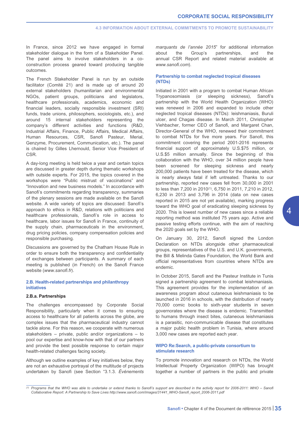In France, since 2012 we have engaged in formal stakeholder dialogue in the form of a Stakeholder Panel. The panel aims to involve stakeholders in a coconstruction process geared toward producing tangible outcomes.

The French Stakeholder Panel is run by an outside facilitator (Comité 21) and is made up of around 20 external stakeholders (humanitarian and environmental NGOs, patient groups, politicians and legislators, healthcare professionals, academics, economic and financial leaders, socially responsible investment (SRI) funds, trade unions, philosophers, sociologists, etc.), and around 15 internal stakeholders representing the company's different activities and functions (R&D, Industrial Affairs, Finance, Public Affairs, Medical Affairs, Human Resources, CSR, Sanofi Pasteur, Merial, Genzyme, Procurement, Communication, etc.). The panel is chaired by Gilles Lhernould, Senior Vice President of CSR.

A day-long meeting is held twice a year and certain topics are discussed in greater depth during thematic workshops with outside experts. For 2015, the topics covered in the workshops were "Public mistrust of vaccinations" and "Innovation and new business models." In accordance with Sanofi's commitments regarding transparency, summaries of the plenary sessions are made available on the Sanofi website. A wide variety of topics are discussed: Sanofi's approach to ethics in R&D, relations with politicians and healthcare professionals, Sanofi's role in access to healthcare, labor issues for Sanofi in France, continuity of the supply chain, pharmaceuticals in the environment, drug pricing policies, company compensation policies and responsible purchasing.

Discussions are governed by the Chatham House Rule in order to ensure both the transparency and confidentiality of exchanges between participants. A summary of each meeting is published (in French) on the Sanofi France website (*[www.sanofi.fr](http://www.sanofi.fr)*).

# **2.B. Health-related partnerships and philanthropy initiatives**

# **2.B.a. Partnerships**

The challenges encompassed by Corporate Social Responsibility, particularly when it comes to ensuring access to healthcare for all patients across the globe, are complex issues that the pharmaceutical industry cannot tackle alone. For this reason, we cooperate with numerous stakeholders – private, public and/or organizations – to pool our expertise and know-how with that of our partners and provide the best possible response to certain major health-related challenges facing society.

Although we outline examples of key initiatives below, they are not an exhaustive portrayal of the multitude of projects undertaken by Sanofi (see Section "3.1.3. *Événements* *marquants de l'année 2015*" for additional information about the Group's partnerships, and the annual CSR Report and related material available at *[www.sanofi.com](http://www.sanofi.com)*).

# **Partnership to combat neglected tropical diseases (NTDs)**

Initiated in 2001 with a program to combat Human African Trypanosomiasis (or sleeping sickness), Sanofi's partnership with the World Health Organization (WHO) was renewed in 2006 and expanded to include other neglected tropical diseases (NTDs): leishmaniasis, Buruli ulcer, and Chagas disease. In March 2011, Christopher Viehbacher, former CEO of Sanofi, and Margaret Chan, Director-General of the WHO, renewed their commitment to combat NTDs for five more years. For Sanofi, this commitment covering the period 2001-2016 represents financial support of approximately U.S.\$75 million, or U.S.\$5 million annually. Since the beginning of this collaboration with the WHO, over 34 million people have been screened for sleeping sickness and nearly 200,000 patients have been treated for the disease, which is nearly always fatal if left untreated. Thanks to our partnership, reported new cases fell from 30,000 in 2001 to less than 7,200 in 2010(1), 6,750 in 2011, 7,210 in 2012, 6,230 in 2013 and 3,796 in 2014 (data on new cases reported in 2015 are not yet available), marking progress toward the WHO goal of eradicating sleeping sickness by 2020. This is lowest number of new cases since a reliable reporting method was instituted 75 years ago. Active and passive testing efforts continue, with the aim of reaching the 2020 goals set by the WHO.

On January 30, 2012, Sanofi signed the London Declaration on NTDs alongside other pharmaceutical groups, representatives of the U.S. and U.K. governments, the Bill & Melinda Gates Foundation, the World Bank and official representatives from countries where NTDs are endemic.

In October 2015, Sanofi and the Pasteur Institute in Tunis signed a partnership agreement to combat leishmaniasis. This agreement provides for the implementation of an awareness program about cutaneous leishmaniasis to be launched in 2016 in schools, with the distribution of nearly 70,000 comic books to sixth-year students in seven governorates where the disease is endemic. Transmitted to humans through insect bites, cutaneous leishmaniasis is a parasitic, non-communicable disease that constitutes a major public health problem in Tunisia, where around 3,000 new cases are reported each year.

# **WIPO Re:Search, a public-private consortium to stimulate research**

To promote innovation and research on NTDs, the World Intellectual Property Organization (WIPO) has brought together a number of partners in the public and private

*<sup>(1)</sup> Programs that the WHO was able to undertake or extend thanks to Sanofi's support are described in the activity report for 2006-2011: WHO – Sanofi Collaborative Report: A Partnership to Save Lives [http://www.sanofi.com/Images/31441\\_WHO-Sanofi\\_report\\_2006-2011.pdf](http://www.sanofi.com/Images/31441_WHO-Sanofi_report_2006-2011.pdf)*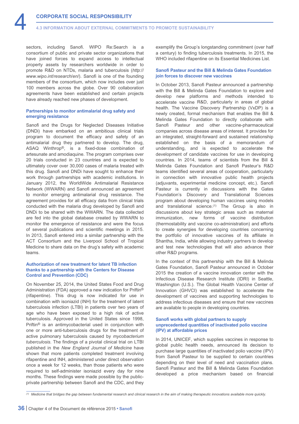sectors, including Sanofi. WIPO Re:Search is a consortium of public and private sector organizations that have joined forces to expand access to intellectual property assets by researchers worldwide in order to promote R&D [on NTDs, malaria and tuberculosis \(](http://www.wipo.int/research/en/)*http:// www.wipo.int/research/en/*). Sanofi is one of the founding members of the consortium, which now includes over just 100 members across the globe. Over 90 collaboration agreements have been established and certain projects have already reached new phases of development.

# **Partnerships to monitor antimalarial drug safety and emerging resistance**

Sanofi and the Drugs for Neglected Diseases Initiative (DNDi) have embarked on an ambitious clinical trials program to document the efficacy and safety of an antimalarial drug they partnered to develop. The drug, ASAQ Winthrop®, is a fixed-dose combination of artesunate and amodiaquine. The program comprises over 20 trials conducted in 23 countries and is expected to ultimately cover over 30,000 cases of malaria treated with this drug. Sanofi and DNDi have sought to enhance their work through partnerships with academic institutions. In January 2012, the WorldWide Antimalarial Resistance Network (WWARN) and Sanofi announced an agreement to monitor emerging antimalarial drug resistance. The agreement provides for all efficacy data from clinical trials conducted with the malaria drug developed by Sanofi and DNDi to be shared with the WWARN. The data collected are fed into the global database created by WWARN to monitor the emergence of resistance and were the focus of several publications and scientific meetings in 2015. In 2013, Sanofi entered into a similar partnership with the ACT Consortium and the Liverpool School of Tropical Medicine to share data on the drug's safety with academic teams.

# **Authorization of new treatment for latent TB infection thanks to a partnership with the Centers for Disease Control and Prevention (CDC)**

On November 25, 2014, the United States Food and Drug Administration (FDA) approved a new indication for Priftin<sup>®</sup> (rifapentine). This drug is now indicated for use in combination with isoniazid (INH) for the treatment of latent tuberculosis infection (LTBI) in patients over two years of age who have been exposed to a high risk of active tuberculosis. Approved in the United States since 1998, Priftin® is an antimycobacterial used in conjunction with one or more anti-tuberculosis drugs for the treatment of active pulmonary tuberculosis caused by *mycobacterium tuberculosis*. The findings of a pivotal clinical trial on LTBI published in the *New England Journal of Medicine* have shown that more patients completed treatment involving rifapentine and INH, administered under direct observation once a week for 12 weeks, than those patients who were required to self-administer isoniazid every day for nine months. These findings were made possible by the publicprivate partnership between Sanofi and the CDC, and they exemplify the Group's longstanding commitment (over half a century) to finding tuberculosis treatments. In 2015, the WHO included rifapentine on its Essential Medicines List.

# **Sanofi Pasteur and the Bill & Melinda Gates Foundation join forces to discover new vaccines**

In October 2013, Sanofi Pasteur announced a partnership with the Bill & Melinda Gates Foundation to explore and develop new platforms and methods intended to accelerate vaccine R&D, particularly in areas of global health. The Vaccine Discovery Partnership (VxDP) is a newly created, formal mechanism that enables the Bill & Melinda Gates Foundation to directly collaborate with Sanofi Pasteur and other vaccine-pharmaceutical companies across disease areas of interest. It provides for an integrated, straight-forward and sustained relationship established on the basis of a memorandum of understanding, and is expected to accelerate the development of candidate vaccines for use in developing countries. In 2014, teams of scientists from the Bill & Melinda Gates Foundation and Sanofi Pasteur's R&D teams identified several areas of cooperation, particularly in connection with innovative public health projects (adjuvants, experimental medicine concept, etc.). Sanofi Pasteur is currently in discussions with the Gates Foundation's Discovery and Translational Sciences program about developing human vaccines using models and translational science.(1) The Group is also in discussions about key strategic areas such as maternal immunization, new forms of vaccine distribution (thermostability and vaccine co-administration) and efforts to create synergies for developing countries concerning the portfolio of innovative vaccines of its affiliate in Shantha, India, while allowing industry partners to develop and test new technologies that will also advance their other R&D programs.

In the context of this partnership with the Bill & Melinda Gates Foundation, Sanofi Pasteur announced in October 2015 the creation of a vaccine innovation center with the Infectious Disease Research Institute (IDRI) in Seattle, Washington (U.S.). The Global Health Vaccine Center of Innovation (GHVCI) was established to accelerate the development of vaccines and supporting technologies to address infectious diseases and ensure that new vaccines are available to people in developing countries.

# **Sanofi works with global partners to supply unprecedented quantities of inactivated polio vaccine (IPV) at affordable prices**

In 2014, UNICEF, which supplies vaccines in response to global public health needs, announced its decision to purchase large quantities of inactivated polio vaccine (IPV) from Sanofi Pasteur to be supplied to certain countries depending on their level of need and vaccination plans. Sanofi Pasteur and the Bill & Melinda Gates Foundation developed a price mechanism based on financial

*(1) Medicine that bridges the gap between fundamental research and clinical research in the aim of making therapeutic innovations available more quickly.*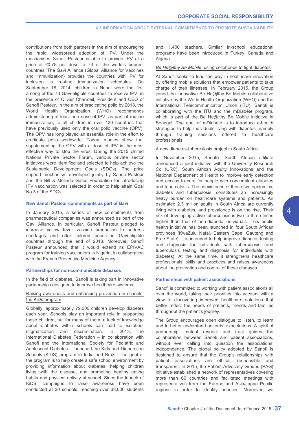contributions from both partners in the aim of encouraging the rapid, widespread adoption of IPV. Under the mechanism, Sanofi Pasteur is able to provide IPV at a price of €0.75 per dose to 73 of the world's poorest countries. The Gavi Alliance (Global Alliance for Vaccines and Immunization) provides the countries with IPV for inclusion in routine immunization schedules. On September 18, 2014, children in Nepal were the first among of the 73 Gavi-eligible countries to receive IPV, in the presence of Olivier Charmeil, President and CEO of Sanofi Pasteur. In the aim of eradicating polio by 2018, the World Health Organization (WHO) recommends administering at least one dose of IPV, as part of routine immunization, to all children in over 120 countries that have previously used only the oral polio vaccine (OPV). The OPV has long played an essential role in the effort to eradicate polio worldwide. Today, studies show that supplementing the OPV with a dose of IPV is the most effective way to stop the virus. During the 2015 United Nations Private Sector Forum, various private sector initiatives were identified and selected to help achieve the Sustainable Development Goals (SDGs). The price support mechanism developed jointly by Sanofi Pasteur and the Bill & Melinda Gates Foundation for introducing IPV vaccination was selected in order to help attain Goal No.3 of the SDGs.

#### **New Sanofi Pasteur commitments as part of Gavi**

In January 2015, a series of new commitments from pharmaceutical companies was announced as part of the Gavi Alliance. In particular, Sanofi Pasteur pledged to increase yellow fever vaccine production to address shortages and offer tailored prices in Gavi-eligible countries through the end of 2018. Moreover, Sanofi Pasteur announced that it would extend its EPIVAC program for training vaccinators in Nigeria, in collaboration with the French Preventive Medicine Agency.

# **Partnerships for non-communicable diseases**

In the field of diabetes, Sanofi is taking part in innovative partnerships designed to improve healthcare systems.

# Raising awareness and enhancing prevention in schools: the KiDs program

Globally, approximately 79,000 children develop diabetes each year. Schools play an important role in supporting these children, but for many of them, a lack of knowledge about diabetes within schools can lead to isolation, stigmatization and discrimination. In 2013, the International Diabetes Federation – in collaboration with Sanofi and the International Society for Pediatric and Adolescent Diabetes – launched the Kids and Diabetes in Schools (KiDS) program in India and Brazil. The goal of the program is to help create a safe school environment by providing information about diabetes, helping children living with the disease, and promoting healthy eating habits and physical activity at school. Since the launch of KiDS, campaigns to raise awareness have been conducted at 30 schools, reaching over 38,000 students and 1,400 teachers. Similar in-school educational programs have been introduced in Turkey, Canada and Algeria.

#### *Be He@lthy Be Mobile:* using cellphones to fight diabetes

At Sanofi seeks to lead the way in healthcare innovation by offering mobile solutions that empower patients to take charge of their illnesses. In February 2015, the Group joined the innovative Be He@lthy Be Mobile collaborative initiative by the World Health Organization (WHO) and the International Telecommunication Union (ITU). Sanofi is collaborating with the ITU and the mDiabète program, which is part of the Be He@lthy Be Mobile initiative in Senegal. The goal of mDiabète is to introduce e-health strategies to help individuals living with diabetes, namely through training sessions offered to healthcare professionals.

# A new diabetes-tuberculosis project in South Africa

In November 2015, Sanofi's South African affiliate announced a joint initiative with the University Research Co (URC), South African Aquity Innovations and the National Department of Health to improve early detection and access to care for people with concomitant diabetes and tuberculosis. The coexistence of these two epidemics, diabetes and tuberculosis, constitutes an increasingly heavy burden on healthcare systems and patients. An estimated 2.3 million adults in South Africa are currently living with diabetes, and prevalence is on the rise. Their risk of developing active tuberculosis is two to three times higher than that of non-diabetic individuals. This public health initiative has been launched in four South African provinces (KwaZulu Natal, Eastern Cape, Gauteng and Free State). It is intended to help improve diabetes testing and diagnosis for individuals with tuberculosis (and tuberculosis testing and diagnosis for individuals with diabetes). At the same time, it strengthens healthcare professionals' skills and practices and raises awareness about the prevention and control of these diseases.

# **Partnerships with patient associations**

Sanofi is committed to working with patient associations all over the world, taking their priorities into account with a view to discovering improved healthcare solutions that better reflect the needs of patients, friends and families throughout the patient's journey.

The Group encourages open dialogue to listen, to learn and to better understand patients' expectations. A spirit of partnership, mutual respect and trust guides the collaboration between Sanofi and patient associations, without ever calling into question the associations' independence. The global policy adopted by Sanofi is designed to ensure that the Group's relationships with patient associations are ethical, responsible and transparent. In 2015, the Patient Advocacy Groups (PAG) initiative established a network of representatives covering more than 60 countries and facilitated meetings with representatives from the Europe and Asia/Japan Pacific regions in order to identify priorities. Moreover, we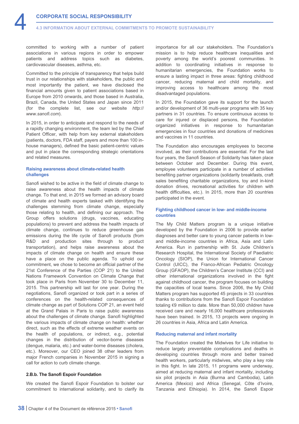committed to working with a number of patient associations in various regions in order to empower patients and address topics such as diabetes, cardiovascular diseases, asthma, etc.

Committed to the principle of transparency that helps build trust in our relationships with stakeholders, the public and most importantly the patient, we have disclosed the financial amounts given to patient associations based in Europe from 2010 onwards, and those based in Australia, Brazil, Canada, the United States and Japan since 2011 [\(for the complete list, see our website](http://www.sanofi.com) *http:// www.sanofi.com*).

In 2015, in order to anticipate and respond to the needs of a rapidly changing environment, the team led by the Chief Patient Officer, with help from key external stakeholders (patients, doctors, FDA staff, payers and more than 100 inhouse managers), defined the basic patient-centric values and put in place the corresponding strategic orientations and related measures.

# **Raising awareness about climate-related health challenges**

Sanofi wished to be active in the field of climate change to raise awareness about the health impacts of climate change. To that end, in 2015 we formed an advisory board of climate and health experts tasked with identifying the challenges stemming from climate change, especially those relating to health, and defining our approach. The Group offers solutions (drugs, vaccines, educating populations) to prevent and address the health impacts of climate change, continues to reduce greenhouse gas emissions during the life cycle of Sanofi products (from R&D and production sites through to product transportation), and helps raise awareness about the impacts of climate change on health and ensure these have a place on the public agenda. To uphold our commitment, we chose to become an official partner of the 21st Conference of the Parties (COP 21) to the United Nations Framework Convention on Climate Change that took place in Paris from November 30 to December 11, 2015. This partnership will last for one year. During the negotiations, Sanofi organized or took part in a series of conferences on the health-related consequences of climate change as part of Solutions COP 21, an event held at the Grand Palais in Paris to raise public awareness about the challenges of climate change. Sanofi highlighted the various impacts of climate change on health: whether direct, such as the effects of extreme weather events on the health of populations, or indirect, e.g., potential changes in the distribution of vector-borne diseases (dengue, malaria, etc.) and water-borne diseases (cholera, etc.). Moreover, our CEO joined 38 other leaders from major French companies in November 2015 in signing a call for action to curb climate change.

# **2.B.b. The Sanofi Espoir Foundation**

We created the Sanofi Espoir Foundation to bolster our commitment to international solidarity, and to clarify its importance for all our stakeholders. The Foundation's mission is to help reduce healthcare inequalities and poverty among the world's poorest communities. In addition to coordinating initiatives in response to humanitarian emergencies, the Foundation works to ensure a lasting impact in three areas: fighting childhood cancer, reducing maternal and child mortality, and improving access to healthcare among the most disadvantaged populations.

In 2015, the Foundation gave its support for the launch and/or development of 36 multi-year programs with 35 key partners in 31 countries. To ensure continuous access to care for injured or displaced persons, the Foundation organized initiatives in response to humanitarian emergencies in four countries and donations of medicines and vaccines in 11 countries.

The Foundation also encourages employees to become involved, as their contributions are essential. For the last four years, the Sanofi Season of Solidarity has taken place between October and December. During this event, employee volunteers participate in a number of activities benefiting partner organizations (solidarity breakfasts, craft sales benefiting charitable organizations, toy and in-kind donation drives, recreational activities for children with health difficulties, etc.). In 2015, more than 20 countries participated in the event.

# **Fighting childhood cancer in low- and middle-income countries**

The My Child Matters program is a unique initiative developed by the Foundation in 2006 to provide earlier diagnoses and better care to young cancer patients in lowand middle-income countries in Africa, Asia and Latin America. Run in partnership with St. Jude Children's Research Hospital, the International Society of Paediatric Oncology (SIOP), the Union for International Cancer Control (UICC), the Franco-African Pediatric Oncology Group (GFAOP), the Children's Cancer Institute (CCI) and other international organizations involved in the fight against childhood cancer, the program focuses on building the capacities of local teams. Since 2006, the My Child Matters program has supported 45 projects in 33 countries thanks to contributions from the Sanofi Espoir Foundation totaling €9 million to date. More than 50,000 children have received care and nearly 16,000 healthcare professionals have been trained. In 2015, 13 projects were ongoing in 26 countries in Asia, Africa and Latin America.

# **Reducing maternal and infant mortality**

The Foundation created the Midwives for Life initiative to reduce largely preventable complications and deaths in developing countries through more and better trained health workers, particularly midwives, who play a key role in this fight. In late 2015, 11 programs were underway, aimed at reducing maternal and infant mortality, including six pilot projects in Asia (Burma and Cambodia), Latin America (Mexico) and Africa (Senegal, Côte d'Ivoire, Tanzania and Ethiopia). In 2014, the Sanofi Espoir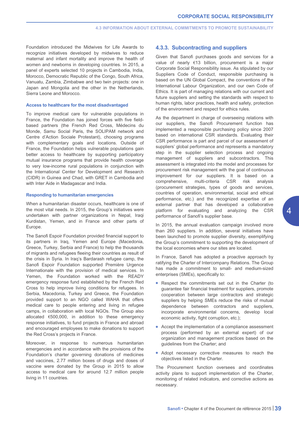<span id="page-39-0"></span>Foundation introduced the Midwives for Life Awards to recognize initiatives developed by midwives to reduce maternal and infant mortality and improve the health of women and newborns in developing countries. In 2015, a panel of experts selected 10 projects in Cambodia, India, Morocco, Democratic Republic of the Congo, South Africa, Vanuatu, Zambia, Zimbabwe and two twin projects: one in Japan and Mongolia and the other in the Netherlands, Sierra Leone and Morocco.

#### **Access to healthcare for the most disadvantaged**

To improve medical care for vulnerable populations in France, the Foundation has joined forces with five fieldbased partners (the French Red Cross, Médecins du Monde, Samu Social Paris, the SOLIPAM network and Centre d'Action Sociale Protestant), choosing programs with complementary goals and locations. Outside of France, the Foundation helps vulnerable populations gain better access to healthcare by supporting participatory mutual insurance programs that provide health coverage to very low-income rural populations in conjunction with the International Center for Development and Research (CIDR) in Guinea and Chad, with GRET in Cambodia and with Inter Aide in Madagascar and India.

# **Responding to humanitarian emergencies**

When a humanitarian disaster occurs, healthcare is one of the most vital needs. In 2015, the Group's initiatives were undertaken with partner organizations in Nepal, Iraqi Kurdistan, Yemen, and in France and other parts of Europe.

The Sanofi Espoir Foundation provided financial support to its partners in Iraq, Yemen and Europe (Macedonia, Greece, Turkey, Serbia and France) to help the thousands of migrants and refugees fleeing their countries as result of the crisis in Syria. In Iraq's Bardarash refugee camp, the Sanofi Espoir Foundation supported Première Urgence Internationale with the provision of medical services. In Yemen, the Foundation worked with the READY emergency response fund established by the French Red Cross to help improve living conditions for refugees. In Serbia, Macedonia, Turkey and Greece, the Foundation provided support to an NGO called WAHA that offers medical care to people entering and living in refugee camps, in collaboration with local NGOs. The Group also allocated €500,000, in addition to these emergency response initiatives, to fund projects in France and abroad and encouraged employees to make donations to support the Red Cross's projects in France.

Moreover, in response to numerous humanitarian emergencies and in accordance with the provisions of the Foundation's charter governing donations of medicines and vaccines, 2.77 million boxes of drugs and doses of vaccine were donated by the Group in 2015 to allow access to medical care for around 12.7 million people living in 11 countries.

# **4.3.3. Subcontracting and suppliers**

Given that Sanofi purchases goods and services for a value of nearly €13 billion, procurement is a major Corporate Social Responsibility issue. As stipulated by our Suppliers Code of Conduct, responsible purchasing is based on the UN Global Compact, the conventions of the International Labour Organization, and our own Code of Ethics. It is part of managing relations with our current and future suppliers and setting the standards with respect to human rights, labor practices, health and safety, protection of the environment and respect for ethics rules.

As the department in charge of overseeing relations with our suppliers, the Sanofi Procurement function has implemented a responsible purchasing policy since 2007 based on international CSR standards. Evaluating their CSR performance is part and parcel of our assessment of suppliers' global performance and represents a mandatory step in the supplier selection process and ongoing management of suppliers and subcontractors. This assessment is integrated into the model and processes for procurement risk management with the goal of continuous improvement for our suppliers. It is based on a comprehensive, multi-criteria CSR risk analysis (procurement strategies, types of goods and services, countries of operation, environmental, social and ethical performance, etc.) and the recognized expertise of an external partner that has developed a collaborative platform for evaluating and analyzing the CSR performance of Sanofi's supplier base.

In 2015, the annual evaluation campaign involved more than 260 suppliers. In addition, several initiatives have been launched to promote supplier diversity, exemplifying the Group's commitment to supporting the development of the local economies where our sites are located.

In France, Sanofi has adopted a proactive approach by ratifying the Charter of Intercompany Relations. The Group has made a commitment to small- and medium-sized enterprises (SMEs), specifically to:

- Respect the commitments set out in the Charter (to guarantee fair financial treatment for suppliers, promote cooperation between large contractors and strategic suppliers by helping SMEs reduce the risks of mutual dependence between contractors and suppliers, incorporate environmental concerns, develop local economic activity, fight corruption, etc.);
- Accept the implementation of a compliance assessment process (performed by an external expert) of our organization and management practices based on the guidelines from the Charter; and
- Adopt necessary corrective measures to reach the objectives listed in the Charter.

The Procurement function oversees and coordinates activity plans to support implementation of the Charter, monitoring of related indicators, and corrective actions as necessary.

 $\overline{\mathcal{A}}$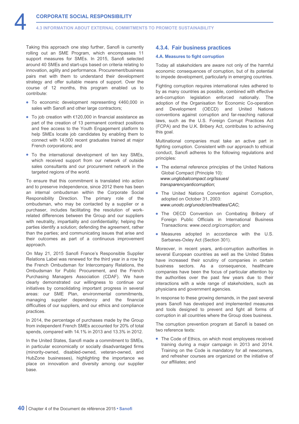<span id="page-40-0"></span>Taking this approach one step further, Sanofi is currently rolling out an SME Program, which encompasses 11 support measures for SMEs. In 2015, Sanofi selected around 40 SMEs and start-ups based on criteria relating to innovation, agility and performance. Procurement/business pairs met with them to understand their development strategy and offer suitable means of support. Over the course of 12 months, this program enabled us to contribute:

- To economic development representing €460,000 in sales with Sanofi and other large contractors;
- To job creation with €120,000 in financial assistance as part of the creation of 13 permanent contract positions and free access to the Youth Engagement platform to help SMEs locate job candidates by enabling them to connect with 14,000 recent graduates trained at major French corporations; and
- To the international development of ten key SMEs, which received support from our network of outside sales consultants and our procurement network in the targeted regions of the world.

To ensure that this commitment is translated into action and to preserve independence, since 2012 there has been an internal ombudsman within the Corporate Social Responsibility Direction. The primary role of the ombudsman, who may be contacted by a supplier or a purchaser, includes facilitating the resolution of workrelated differences between the Group and our suppliers with neutrality, impartiality and confidentiality; helping the parties identify a solution; defending the agreement, rather than the parties; and communicating issues that arise and their outcomes as part of a continuous improvement approach.

On May 21, 2015 Sanofi France's Responsible Supplier Relations Label was renewed for the third year in a row by the French Ombudsman for Intercompany Relations, the Ombudsman for Public Procurement, and the French Purchasing Managers Association (CDAF). We have clearly demonstrated our willingness to continue our initiatives by consolidating important progress in several areas: our SME Plan, environmental commitments, managing supplier dependency and the financial difficulties of our suppliers, and our ethics and compliance practices.

In 2014, the percentage of purchases made by the Group from independent French SMEs accounted for 20% of total spends, compared with 14.1% in 2013 and 13.3% in 2012.

In the United States, Sanofi made a commitment to SMEs, in particular economically or socially disadvantaged firms (minority-owned, disabled-owned, veteran-owned, and HubZone businesses), highlighting the importance we place on innovation and diversity among our supplier base.

# **4.3.4. Fair business practices**

# **4.A. Measures to fight corruption**

Today all stakeholders are aware not only of the harmful economic consequences of corruption, but of its potential to impede development, particularly in emerging countries.

Fighting corruption requires international rules adhered to by as many countries as possible, combined with effective anti-corruption legislation enforced nationally. The adoption of the Organisation for Economic Co-operation and Development (OECD) and United Nations conventions against corruption and far-reaching national laws, such as the U.S. Foreign Corrupt Practices Act (FCPA) and the U.K. Bribery Act, contributes to achieving this goal.

Multinational companies must take an active part in fighting corruption. Consistent with our approach to ethical conduct, Sanofi adheres to the following regulations and principles:

- The external reference principles of the United Nations Global Compact (Principle 10): *[www.unglobalcompact.org/Issues/](http://www.unglobalcompact.org/Issues/transparencyanticorruption) transparencyanticorruption*;
- The United Nations Convention against Corruption, adopted on October 31, 2003: *[www.unodc.org/unodc/en/treaties/CAC](http://www.unodc.org/unodc/en/treaties/CAC)*;
- The OECD Convention on Combating Bribery of Foreign Public Officials in International Business Transactions: *[www.oecd.org/corruption](http://www.oecd.org/corruption)*; and
- Measures adopted in accordance with the U.S. Sarbanes-Oxley Act (Section 301).

Moreover, in recent years, anti-corruption authorities in several European countries as well as the United States have increased their scrutiny of companies in certain business sectors. As a consequence, healthcare companies have been the focus of particular attention by the authorities over the past few years due to their interactions with a wide range of stakeholders, such as physicians and government agencies.

In response to these growing demands, in the past several years Sanofi has developed and implemented measures and tools designed to prevent and fight all forms of corruption in all countries where the Group does business.

The corruption prevention program at Sanofi is based on two reference texts:

• The Code of Ethics, on which most employees received training during a major campaign in 2013 and 2014. Training on the Code is mandatory for all newcomers, and refresher courses are organized on the initiative of our affiliates; and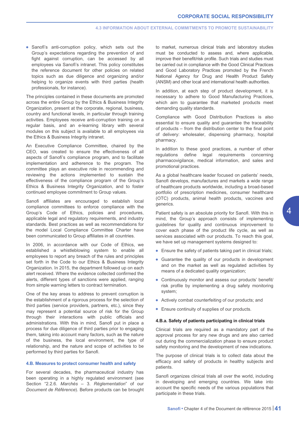• Sanofi's anti-corruption policy, which sets out the Group's expectations regarding the prevention of and fight against corruption, can be accessed by all employees via Sanofi's intranet. This policy constitutes the reference document for other policies on related topics such as due diligence and organizing and/or helping to organize events with third parties (health professionals, for instance).

The principles contained in these documents are promoted across the entire Group by the Ethics & Business Integrity Organization, present at the corporate, regional, business, country and functional levels, in particular through training activities. Employees receive anti-corruption training on a regular basis, and an e-learning library with several modules on this subject is available to all employees via the Ethics & Business Integrity intranet.

An Executive Compliance Committee, chaired by the CEO, was created to ensure the effectiveness of all aspects of Sanofi's compliance program, and to facilitate implementation and adherence to the program. The committee plays an executive role in recommending and reviewing the actions implemented to sustain the effectiveness of the compliance program of the Group's Ethics & Business Integrity Organization, and to foster continued employee commitment to Group values.

Sanofi affiliates are encouraged to establish local compliance committees to enforce compliance with the Group's Code of Ethics, policies and procedures, applicable legal and regulatory requirements, and industry standards. Best practices as well as recommendations for the model Local Compliance Committee Charter have been communicated to Group affiliates in all countries.

In 2006, in accordance with our Code of Ethics, we established a whistleblowing system to enable all employees to report any breach of the rules and principles set forth in the Code to our Ethics & Business Integrity Organization. In 2015, the department followed up on each alert received. Where the evidence collected confirmed the alerts, different types of sanctions were applied, ranging from simple warning letters to contract termination.

One of the key areas to address to prevent corruption is the establishment of a rigorous process for the selection of third parties (service providers, partners, etc.), since they may represent a potential source of risk for the Group through their interactions with public officials and administrations. With this in mind, Sanofi put in place a process for due diligence of third parties prior to engaging them, taking into account many factors, such as the nature of the business, the local environment, the type of relationship, and the nature and scope of activities to be performed by third parties for Sanofi.

# **4.B. Measures to protect consumer health and safety**

For several decades, the pharmaceutical industry has been operating in a highly regulated environment (see Section "2.2.6. *Marchés* – 3. *Réglementation*" of our *Document de Référence*). Before products can be brought to market, numerous clinical trials and laboratory studies must be conducted to assess and, where applicable, improve their benefit/risk profile. Such trials and studies must be carried out in compliance with the Good Clinical Practices and Good Laboratory Practices promoted by the French National Agency for Drug and Health Product Safety (ANSM) and other local and international health authorities.

In addition, at each step of product development, it is necessary to adhere to Good Manufacturing Practices, which aim to guarantee that marketed products meet demanding quality standards.

Compliance with Good Distribution Practices is also essential to ensure quality and guarantee the traceability of products – from the distribution center to the final point of delivery: wholesaler, dispensing pharmacy, hospital pharmacy.

In addition to these good practices, a number of other regulations define legal requirements concerning pharmacovigilance, medical information, and sales and promotional practices.

As a global healthcare leader focused on patients' needs, Sanofi develops, manufactures and markets a wide range of healthcare products worldwide, including a broad-based portfolio of prescription medicines, consumer healthcare (OTC) products, animal health products, vaccines and generics.

Patient safety is an absolute priority for Sanofi. With this in mind, the Group's approach consists of implementing guidelines for quality and continuous improvement to cover each phase of the product life cycle, as well as services associated with our products. To reach this goal, we have set up management systems designed to:

- Ensure the safety of patients taking part in clinical trials;
- Guarantee the quality of our products in development and on the market as well as regulated activities by means of a dedicated quality organization;
- Continuously monitor and assess our products' benefit/ risk profile by implementing a drug safety monitoring system;
- Actively combat counterfeiting of our products; and
- Ensure continuity of supplies of our products.

#### **4.B.a. Safety of patients participating in clinical trials**

Clinical trials are required as a mandatory part of the approval process for any new drugs and are also carried out during the commercialization phase to ensure product safety monitoring and the development of new indications.

The purpose of clinical trials is to collect data about the efficacy and safety of products in healthy subjects and patients.

Sanofi organizes clinical trials all over the world, including in developing and emerging countries. We take into account the specific needs of the various populations that participate in these trials.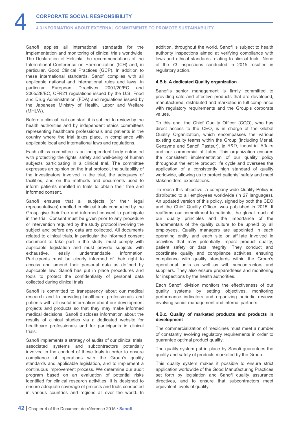Sanofi applies all international standards for the implementation and monitoring of clinical trials worldwide: The Declaration of Helsinki, the recommendations of the International Conference on Harmonization (ICH) and, in particular, Good Clinical Practices (GCP). In addition to these international standards, Sanofi complies with all applicable national and international rules and laws, in particular European Directives 2001/20/EC and 2005/28/EC, CFR21 regulations issued by the U.S. Food and Drug Administration (FDA) and regulations issued by the Japanese Ministry of Health, Labor and Welfare (MHLW).

Before a clinical trial can start, it is subject to review by the health authorities and by independent ethics committees representing healthcare professionals and patients in the country where the trial takes place, in compliance with applicable local and international laws and regulations.

Each ethics committee is an independent body entrusted with protecting the rights, safety and well-being of human subjects participating in a clinical trial. The committee expresses an opinion on the trial protocol, the suitability of the investigators involved in the trial, the adequacy of facilities, and on the methods and documents used to inform patients enrolled in trials to obtain their free and informed consent.

Sanofi ensures that all subjects (or their legal representatives) enrolled in clinical trials conducted by the Group give their free and informed consent to participate in the trial. Consent must be given prior to any procedure or intervention required by the study protocol involving the subject and before any data are collected. All documents related to clinical trials, in particular the informed consent document to take part in the study, must comply with applicable legislation and must provide subjects with exhaustive, easily understandable information. Participants must be clearly informed of their right to access and amend their personal data as defined by applicable law. Sanofi has put in place procedures and tools to protect the confidentiality of personal data collected during clinical trials.

Sanofi is committed to transparency about our medical research and to providing healthcare professionals and patients with all useful information about our development projects and products so that they may make informed medical decisions. Sanofi discloses information about the results of clinical studies via a dedicated website for healthcare professionals and for participants in clinical trials.

Sanofi implements a strategy of audits of our clinical trials, associated systems and subcontractors potentially involved in the conduct of these trials in order to ensure compliance of operations with the Group's quality standards and applicable legislation, and to implement a continuous improvement process. We determine our audit program based on an evaluation of potential risks identified for clinical research activities. It is designed to ensure adequate coverage of projects and trials conducted in various countries and regions all over the world. In

addition, throughout the world, Sanofi is subject to health authority inspections aimed at verifying compliance with laws and ethical standards relating to clinical trials. None of the 73 inspections conducted in 2015 resulted in regulatory action.

# **4.B.b. A dedicated Quality organization**

Sanofi's senior management is firmly committed to providing safe and effective products that are developed, manufactured, distributed and marketed in full compliance with regulatory requirements and the Group's corporate values.

To this end, the Chief Quality Officer (CQO), who has direct access to the CEO, is in charge of the Global Quality Organization, which encompasses the various existing quality teams within the Group (including Merial, Genzyme and Sanofi Pasteur), in R&D, Industrial Affairs and our commercial affiliates. This organization ensures the consistent implementation of our quality policy throughout the entire product life cycle and oversees the application of a consistently high standard of quality worldwide, allowing us to protect patients' safety and meet stakeholders' expectations.

To reach this objective, a company-wide Quality Policy is distributed to all employees worldwide (in 27 languages). An updated version of this policy, signed by both the CEO and the Chief Quality Officer, was published in 2015. It reaffirms our commitment to patients, the global reach of our quality principles and the importance of the fundamentals of the quality culture to be upheld by all employees. Quality managers are appointed in each operating entity and each site or affiliate involved in activities that may potentially impact product quality, patient safety or data integrity. They conduct and coordinate quality and compliance activities, ensuring compliance with quality standards within the Group's operational units as well as with subcontractors and suppliers. They also ensure preparedness and monitoring for inspections by the health authorities.

Each Sanofi division monitors the effectiveness of our quality systems by setting objectives, monitoring performance indicators and organizing periodic reviews involving senior management and internal partners.

# **4.B.c. Quality of marketed products and products in development**

The commercialization of medicines must meet a number of constantly evolving regulatory requirements in order to guarantee optimal product quality.

The quality system put in place by Sanofi guarantees the quality and safety of products marketed by the Group.

This quality system makes it possible to ensure strict application worldwide of the Good Manufacturing Practices set forth by legislation and Sanofi quality assurance directives, and to ensure that subcontractors meet equivalent levels of quality.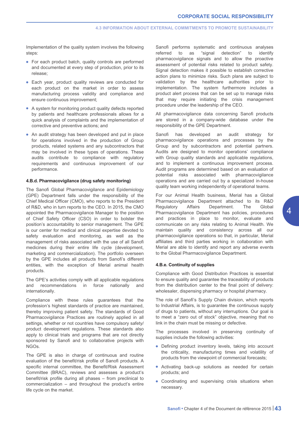Implementation of the quality system involves the following steps:

- For each product batch, quality controls are performed and documented at every step of production, prior to its release;
- Each year, product quality reviews are conducted for each product on the market in order to assess manufacturing process validity and compliance and ensure continuous improvement;
- A system for monitoring product quality defects reported by patients and healthcare professionals allows for a quick analysis of complaints and the implementation of corrective and preventive actions; and
- An audit strategy has been developed and put in place for operations involved in the production of Group products, related systems and any subcontractors that may be involved in these types of operations. These audits contribute to compliance with regulatory requirements and continuous improvement of our performance.

# **4.B.d. Pharmacovigilance (drug safety monitoring)**

The Sanofi Global Pharmacovigilance and Epidemiology (GPE) Department falls under the responsibility of the Chief Medical Officer (CMO), who reports to the President of R&D, who in turn reports to the CEO. In 2015, the CMO appointed the Pharmacovigilance Manager to the position of Chief Safety Officer (CSO) in order to bolster the position's accountability to senior management. The GPE is our center for medical and clinical expertise devoted to safety evaluation and monitoring, as well as the management of risks associated with the use of all Sanofi medicines during their entire life cycle (development, marketing and commercialization). The portfolio overseen by the GPE includes all products from Sanofi's different entities, with the exception of Merial animal health products.

The GPE's activities comply with all applicable regulations and recommendations in force nationally and internationally.

Compliance with these rules guarantees that the profession's highest standards of practice are maintained, thereby improving patient safety. The standards of Good Pharmacovigilance Practices are routinely applied in all settings, whether or not countries have compulsory safety/ product development regulations. These standards also apply to clinical trials and programs that are not directly sponsored by Sanofi and to collaborative projects with NGOs.

The GPE is also in charge of continuous and routine evaluation of the benefit/risk profile of Sanofi products. A specific internal committee, the Benefit/Risk Assessment Committee (BRAC), reviews and assesses a product's benefit/risk profile during all phases – from preclinical to commercialization – and throughout the product's entire life cycle on the market.

Sanofi performs systematic and continuous analyses referred to as "signal detection" to identify pharmacovigilance signals and to allow the proactive assessment of potential risks related to product safety. Signal detection makes it possible to establish corrective action plans to minimize risks. Such plans are subject to validation by the healthcare authorities prior to implementation. The system furthermore includes a product alert process that can be set up to manage risks that may require initiating the crisis management procedure under the leadership of the CEO.

All pharmacovigilance data concerning Sanofi products are stored in a company-wide database under the responsibility of the GPE Department.

Sanofi has developed an audit strategy for pharmacovigilance operations and processes by the Group and by subcontractors and potential partners. Audits are designed to monitor operations' compliance with Group quality standards and applicable regulations, and to implement a continuous improvement process. Audit programs are determined based on an evaluation of potential risks associated with pharmacovigilance operations and are carried out by a specialized in-house quality team working independently of operational teams.

For our Animal Health business, Merial has a Global Pharmacovigilance Department attached to its R&D Regulatory Affairs Department. The Global Pharmacovigilance Department has policies, procedures and practices in place to monitor, evaluate and communicate on any risks relating to Animal Health. We maintain quality and consistency across all our pharmacovigilance operations so that, in particular, Merial affiliates and third parties working in collaboration with Merial are able to identify and report any adverse events to the Global Pharmacovigilance Department.

# **4.B.e. Continuity of supplies**

Compliance with Good Distribution Practices is essential to ensure quality and guarantee the traceability of products from the distribution center to the final point of delivery: wholesaler, dispensing pharmacy or hospital pharmacy.

The role of Sanofi's Supply Chain division, which reports to Industrial Affairs, is to guarantee the continuous supply of drugs to patients, without any interruptions. Our goal is to meet a "zero out of stock" objective, meaning that no link in the chain must be missing or defective.

The processes involved in preserving continuity of supplies include the following activities:

- Defining product inventory levels, taking into account the criticality, manufacturing times and volatility of products from the viewpoint of commercial forecasts;
- Activating back-up solutions as needed for certain products; and
- Coordinating and supervising crisis situations when necessary.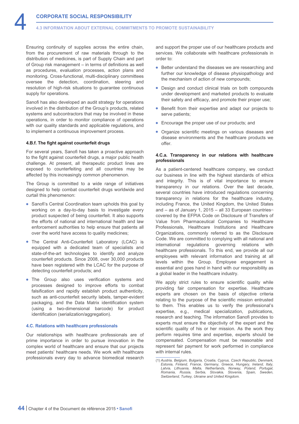Ensuring continuity of supplies across the entire chain, from the procurement of raw materials through to the distribution of medicines, is part of Supply Chain and part of Group risk management – in terms of definitions as well as procedures, evaluation processes, action plans and monitoring. Cross-functional, multi-disciplinary committees oversee the detection, coordination, steering and resolution of high-risk situations to guarantee continuous supply for operations.

Sanofi has also developed an audit strategy for operations involved in the distribution of the Group's products, related systems and subcontractors that may be involved in these operations, in order to monitor compliance of operations with our quality standards and applicable regulations, and to implement a continuous improvement process.

# **4.B.f. The fight against counterfeit drugs**

For several years, Sanofi has taken a proactive approach to the fight against counterfeit drugs, a major public health challenge. At present, all therapeutic product lines are exposed to counterfeiting and all countries may be affected by this increasingly common phenomenon.

The Group is committed to a wide range of initiatives designed to help combat counterfeit drugs worldwide and curtail this phenomenon:

- Sanofi's Central Coordination team upholds this goal by working on a day-to-day basis to investigate every product suspected of being counterfeit. It also supports the efforts of national and international health and law enforcement authorities to help ensure that patients all over the world have access to quality medicines;
- The Central Anti-Counterfeit Laboratory (LCAC) is equipped with a dedicated team of specialists and state-of-the-art technologies to identify and analyze counterfeit products. Since 2008, over 30,000 products have been registered with the LCAC for the purpose of detecting counterfeit products; and
- The Group also uses verification systems and processes designed to improve efforts to combat falsification and rapidly establish product authenticity, such as anti-counterfeit security labels, tamper-evident packaging, and the Data Matrix identification system (using a two-dimensional barcode) for product identification (serialization/aggregation).

#### **4.C. Relations with healthcare professionals**

Our relationships with healthcare professionals are of prime importance in order to pursue innovation in the complex world of healthcare and ensure that our projects meet patients' healthcare needs. We work with healthcare professionals every day to advance biomedical research and support the proper use of our healthcare products and services. We collaborate with healthcare professionals in order to:

- Better understand the diseases we are researching and further our knowledge of disease physiopathology and the mechanism of action of new compounds;
- Design and conduct clinical trials on both compounds under development and marketed products to evaluate their safety and efficacy, and promote their proper use;
- Benefit from their expertise and adapt our projects to serve patients;
- Encourage the proper use of our products; and
- Organize scientific meetings on various diseases and disease environments and the healthcare products we offer.

## **4.C.a. Transparency in our relations with healthcare professionals**

As a patient-centered healthcare company, we conduct our business in line with the highest standards of ethics and integrity. This is of vital importance to ensure transparency in our relations. Over the last decade, several countries have introduced regulations concerning transparency in relations for the healthcare industry, including France, the United Kingdom, the United States and – as of January 1, 2015 – all 33 European countries $\omega$ covered by the EFPIA Code on Disclosure of Transfers of Value from Pharmaceutical Companies to Healthcare Professionals, Healthcare Institutions and Healthcare Organizations, commonly referred to as the Disclosure Code. We are committed to complying with all national and international regulations governing relations with healthcare professionals. To this end, we provide all our employees with relevant information and training at all levels within the Group. Employee engagement is essential and goes hand in hand with our responsibility as a global leader in the healthcare industry.

We apply strict rules to ensure scientific quality while providing fair compensation for expertise. Healthcare experts are chosen on the basis of objective criteria relating to the purpose of the scientific mission entrusted to them. This enables us to verify the professional's expertise, e.g., medical specialization, publications, research and teaching. The information Sanofi provides to experts must ensure the objectivity of the expert and the scientific quality of his or her mission. As the work they perform requires time and expertise, experts should be compensated. Compensation must be reasonable and represent fair payment for work performed in compliance with internal rules.

<sup>(1)</sup> *Austria, Belgium, Bulgaria, Croatia, Cyprus, Czech Republic, Denmark, Estonia, Finland, France, Germany, Greece, Hungary, Ireland, Italy, Latvia, Lithuania, Malta, Netherlands, Norway, Poland, Portugal, Romania, Russia, Serbia, Slovakia, Slovenia, Spain, Sweden, Switzerland, Turkey, Ukraine and United Kingdom.*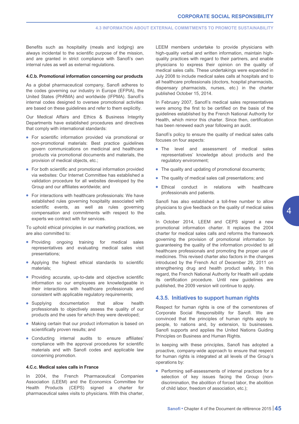<span id="page-45-0"></span>Benefits such as hospitality (meals and lodging) are always incidental to the scientific purpose of the mission, and are granted in strict compliance with Sanofi's own internal rules as well as external regulations.

#### **4.C.b. Promotional information concerning our products**

As a global pharmaceutical company, Sanofi adheres to the codes governing our industry in Europe (EFPIA), the United States (PhRMA) and worldwide (IFPMA). Sanofi's internal codes designed to oversee promotional activities are based on these guidelines and refer to them explicitly.

Our Medical Affairs and Ethics & Business Integrity Departments have established procedures and directives that comply with international standards:

- For scientific information provided via promotional or non-promotional materials: Best practice guidelines govern communications on medicinal and healthcare products via promotional documents and materials, the provision of medical objects, etc.;
- For both scientific and promotional information provided via websites: Our Internet Committee has established a validation procedure for all websites developed by the Group and our affiliates worldwide; and
- For interactions with healthcare professionals: We have established rules governing hospitality associated with scientific events, as well as rules governing compensation and commitments with respect to the experts we contract with for services.

To uphold ethical principles in our marketing practices, we are also committed to:

- Providing ongoing training for medical sales representatives and evaluating medical sales visit presentations;
- Applying the highest ethical standards to scientific materials;
- Providing accurate, up-to-date and objective scientific information so our employees are knowledgeable in their interactions with healthcare professionals and consistent with applicable regulatory requirements;
- Supplying documentation that allow health professionals to objectively assess the quality of our products and the uses for which they were developed;
- Making certain that our product information is based on scientifically proven results; and
- Conducting internal audits to ensure affiliates' compliance with the approval procedures for scientific materials and with Sanofi codes and applicable law concerning promotion.

#### **4.C.c. Medical sales calls in France**

In 2004, the French Pharmaceutical Companies Association (LEEM) and the Economics Committee for Health Products (CEPS) signed a charter for pharmaceutical sales visits to physicians. With this charter, LEEM members undertake to provide physicians with high-quality verbal and written information, maintain highquality practices with regard to their partners, and enable physicians to express their opinion on the quality of medical sales calls. These undertakings were expanded in July 2008 to include medical sales calls at hospitals and to all healthcare professionals (doctors, hospital pharmacists, dispensary pharmacists, nurses, etc.) in the charter published October 15, 2014.

In February 2007, Sanofi's medical sales representatives were among the first to be certified on the basis of the guidelines established by the French National Authority for Health, which mirror this charter. Since then, certification has been renewed each year following an audit.

Sanofi's policy to ensure the quality of medical sales calls focuses on four aspects:

- The level and assessment of medical sales representatives' knowledge about products and the regulatory environment;
- The quality and updating of promotional documents;
- The quality of medical sales call presentations; and
- Ethical conduct in relations with healthcare professionals and patients.

Sanofi has also established a toll-free number to allow physicians to give feedback on the quality of medical sales calls.

In October 2014, LEEM and CEPS signed a new promotional information charter. It replaces the 2004 charter for medical sales calls and reforms the framework governing the provision of promotional information by guaranteeing the quality of the information provided to all healthcare professionals and promoting the proper use of medicines. This revised charter also factors in the changes introduced by the French Act of December 29, 2011 on strengthening drug and health product safety. In this regard, the French National Authority for Health will update its certification procedure. Until new guidelines are published, the 2009 version will continue to apply.

# **4.3.5. Initiatives to support human rights**

Respect for human rights is one of the cornerstones of Corporate Social Responsibility for Sanofi. We are convinced that the principles of human rights apply to people, to nations and, by extension, to businesses. Sanofi supports and applies the United Nations Guiding Principles on Business and Human Rights.

In keeping with these principles, Sanofi has adopted a proactive, company-wide approach to ensure that respect for human rights is integrated at all levels of the Group's operations by:

• Performing self-assessments of internal practices for a selection of key issues facing the Group (nondiscrimination, the abolition of forced labor, the abolition of child labor, freedom of association, etc.);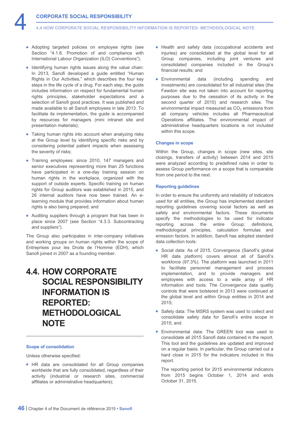<span id="page-46-0"></span>**4.4 HOW CORPORATE SOCIAL RESPONSIBILITY INFORMATION IS REPORTED: METHODOLOGICAL NOTE**

- Adopting targeted policies on employee rights (see Section "4.1.6. Promotion of and compliance with International Labour Organization (ILO) Conventions");
- Identifying human rights issues along the value chain: In 2013, Sanofi developed a guide entitled "Human Rights in Our Activities," which describes the four key steps in the life cycle of a drug. For each step, the guide includes information on respect for fundamental human rights principles, stakeholder expectations and a selection of Sanofi good practices. It was published and made available to all Sanofi employees in late 2013. To facilitate its implementation, the guide is accompanied by resources for managers (mini intranet site and presentation materials);
- Taking human rights into account when analyzing risks at the Group level by identifying specific risks and by considering potential patient impacts when assessing the severity of risks;
- Training employees: since 2010, 147 managers and senior executives representing more than 25 functions have participated in a one-day training session on human rights in the workplace, organized with the support of outside experts. Specific training on human rights for Group auditors was established in 2015, and 26 internal auditors have now been trained. An elearning module that provides information about human rights is also being prepared; and
- Auditing suppliers through a program that has been in place since 2007 (see Section "4.3.3. Subcontracting and suppliers").

The Group also participates in inter-company initiatives and working groups on human rights within the scope of Entreprises pour les Droits de l'Homme (EDH), which Sanofi joined in 2007 as a founding member.

# **4.4. HOW CORPORATE SOCIAL RESPONSIBILITY INFORMATION IS REPORTED: METHODOLOGICAL NOTE**

# **Scope of consolidation**

Unless otherwise specified:

• HR data are consolidated for all Group companies worldwide that are fully consolidated, regardless of their activity (industrial or research sites, commercial affiliates or administrative headquarters);

- Health and safety data (occupational accidents and injuries) are consolidated at the global level for all Group companies, including joint ventures and consolidated companies included in the Group's financial results; and
- Environmental data (including spending and investments) are consolidated for all industrial sites (the Fawdon site was not taken into account for reporting purposes due to the cessation of its activity in the second quarter of 2015) and research sites. The environmental impact measured as  $CO<sub>2</sub>$  emissions from all company vehicles includes all Pharmaceutical Operations affiliates. The environmental impact of administrative headquarters locations is not included within this scope.

# **Changes in scope**

Within the Group, changes in scope (new sites, site closings, transfers of activity) between 2014 and 2015 were analyzed according to predefined rules in order to assess Group performance on a scope that is comparable from one period to the next.

# **Reporting guidelines**

In order to ensure the uniformity and reliability of indicators used for all entities, the Group has implemented standard reporting guidelines covering social factors as well as safety and environmental factors. These documents specify the methodologies to be used for indicator reporting across the entire Group: definitions, methodological principles, calculation formulas and emission factors. In addition, Sanofi has adopted standard data collection tools:

- Social data: As of 2015, Convergence (Sanofi's global HR data platform) covers almost all of Sanofi's workforce (97.3%). The platform was launched in 2011 to facilitate personnel management and process implementation, and to provide managers and employees with access to a wide array of HR information and tools. The Convergence data quality controls that were bolstered in 2013 were continued at the global level and within Group entities in 2014 and 2015;
- Safety data: The MSRS system was used to collect and consolidate safety data for Sanofi's entire scope in 2015; and
- Environmental data: The GREEN tool was used to consolidate all 2015 Sanofi data contained in the report. This tool and the guidelines are updated and improved on a regular basis. In particular, the Group carried out a hard close in 2015 for the indicators included in this report.

The reporting period for 2015 environmental indicators from 2015 begins October 1, 2014 and ends October 31, 2015.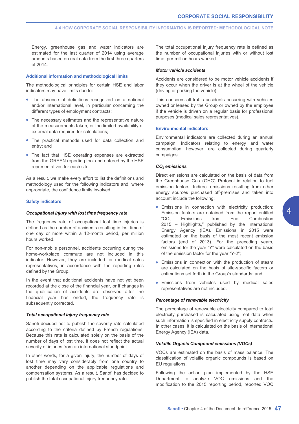Energy, greenhouse gas and water indicators are estimated for the last quarter of 2014 using average amounts based on real data from the first three quarters of 2014.

#### **Additional information and methodological limits**

The methodological principles for certain HSE and labor indicators may have limits due to:

- The absence of definitions recognized on a national and/or international level, in particular concerning the different types of employment contracts;
- The necessary estimates and the representative nature of the measurements taken, or the limited availability of external data required for calculations;
- The practical methods used for data collection and entry; and
- The fact that HSE operating expenses are extracted from the GREEN reporting tool and entered by the HSE representatives for each site.

As a result, we make every effort to list the definitions and methodology used for the following indicators and, where appropriate, the confidence limits involved.

# **Safety indicators**

### *Occupational injury with lost time frequency rate*

The frequency rate of occupational lost time injuries is defined as the number of accidents resulting in lost time of one day or more within a 12-month period, per million hours worked.

For non-mobile personnel, accidents occurring during the home-workplace commute are not included in this indicator. However, they are included for medical sales representatives, in accordance with the reporting rules defined by the Group.

In the event that additional accidents have not yet been recorded at the close of the financial year, or if changes in the qualification of accidents are observed after the financial year has ended, the frequency rate is subsequently corrected.

#### *Total occupational injury frequency rate*

Sanofi decided not to publish the severity rate calculated according to the criteria defined by French regulations. Because this rate is calculated solely on the basis of the number of days of lost time, it does not reflect the actual severity of injuries from an international standpoint.

In other words, for a given injury, the number of days of lost time may vary considerably from one country to another depending on the applicable regulations and compensation systems. As a result, Sanofi has decided to publish the total occupational injury frequency rate.

The total occupational injury frequency rate is defined as the number of occupational injuries with or without lost time, per million hours worked.

# *Motor vehicle accidents*

Accidents are considered to be motor vehicle accidents if they occur when the driver is at the wheel of the vehicle (driving or parking the vehicle).

This concerns all traffic accidents occurring with vehicles owned or leased by the Group or owned by the employee if the vehicle is driven on a regular basis for professional purposes (medical sales representatives).

#### **Environmental indicators**

Environmental indicators are collected during an annual campaign. Indicators relating to energy and water consumption, however, are collected during quarterly campaigns.

#### *CO2 emissions*

Direct emissions are calculated on the basis of data from the Greenhouse Gas (GHG) Protocol in relation to fuel emission factors. Indirect emissions resulting from other energy sources purchased off-premises and taken into account include the following:

- Emissions in connection with electricity production: Emission factors are obtained from the report entitled "CO2 Emissions from Fuel Combustion 2015 – Highlights," published by the International Energy Agency (IEA). Emissions in 2015 were estimated on the basis of the most recent emission factors (end of 2013). For the preceding years, emissions for the year "Y" were calculated on the basis of the emission factor for the year "Y-2";
- Emissions in connection with the production of steam are calculated on the basis of site-specific factors or estimations set forth in the Group's standards; and
- Emissions from vehicles used by medical sales representatives are not included.

# *Percentage of renewable electricity*

The percentage of renewable electricity compared to total electricity purchased is calculated using real data when such information is specified in electricity supply contracts. In other cases, it is calculated on the basis of International Energy Agency (IEA) data.

# *Volatile Organic Compound emissions (VOCs)*

VOCs are estimated on the basis of mass balance. The classification of volatile organic compounds is based on EU regulations.

Following the action plan implemented by the HSE Department to analyze VOC emissions and the modification to the 2015 reporting period, reported VOC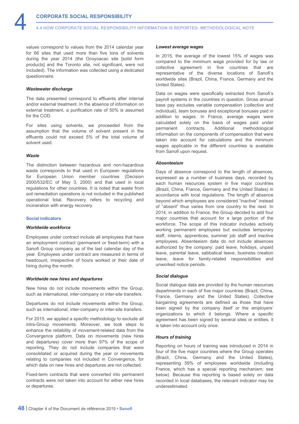values correspond to values from the 2014 calendar year for 66 sites that used more than five tons of solvents during the year 2014 (the Ocoyoacac site [solid form products] and the Toronto site, not significant, were not included). The information was collected using a dedicated questionnaire.

# *Wastewater discharge*

The data presented correspond to effluents after internal and/or external treatment. In the absence of information on external treatment, a purification rate of 50% is assumed for the COD.

For sites using solvents, we proceeded from the assumption that the volume of solvent present in the effluents could not exceed 5% of the total volume of solvent used.

### *Waste*

The distinction between hazardous and non-hazardous waste corresponds to that used in European regulations for European Union member countries (Decision 2000/532/EC of May 3, 2000) and that used in local regulations for other countries. It is noted that waste from soil remediation operations is not included in the published operational total. Recovery refers to recycling and incineration with energy recovery.

#### **Social indicators**

# *Worldwide workforce*

Employees under contract include all employees that have an employment contract (permanent or fixed-term) with a Sanofi Group company as of the last calendar day of the year. Employees under contract are measured in terms of headcount, irrespective of hours worked or their date of hiring during the month.

#### *Worldwide new hires and departures*

New hires do not include movements within the Group, such as international, inter-company or inter-site transfers.

Departures do not include movements within the Group, such as international, inter-company or inter-site transfers.

For 2015, we applied a specific methodology to exclude all intra-Group movements. Moreover, we took steps to enhance the reliability of movement-related data from the Convergence platform. Data on movements (new hires and departures) cover more than 97% of the scope of reporting. They do not include companies that were consolidated or acquired during the year or movements relating to companies not included in Convergence, for which data on new hires and departures are not collected.

Fixed-term contracts that were converted into permanent contracts were not taken into account for either new hires or departures.

#### *Lowest average wages*

In 2015, the average of the lowest 15% of wages was compared to the minimum wage provided for by law or collective agreement in five countries that are representative of the diverse locations of Sanofi's worldwide sites (Brazil, China, France, Germany and the United States).

Data on wages were specifically extracted from Sanofi's payroll systems in the countries in question. Gross annual base pay excludes variable compensation (collective and individual), team bonuses and exceptional bonuses paid in addition to wages. In France, average wages were calculated solely on the basis of wages paid under permanent contracts. Additional methodological information on the components of compensation that were taken into account for calculations and the minimum wages applicable in the different countries is available from Sanofi upon request.

# *Absenteeism*

Days of absence correspond to the length of absences, expressed as a number of business days, recorded by each human resources system in five major countries (Brazil, China, France, Germany and the United States) in accordance with local regulations. The length of absence beyond which employees are considered "inactive" instead of "absent" thus varies from one country to the next. In 2014, in addition to France, the Group decided to add four major countries that account for a large portion of the workforce. The scope of this indicator includes actively working permanent employees but excludes temporary staff, interns, apprentices, summer job staff and inactive employees. Absenteeism data do not include absences authorized by the company: paid leave, holidays, unpaid leave, parental leave, sabbatical leave, business creation leave, leave for family-related responsibilities and unworked notice periods.

#### *Social dialogue*

Social dialogue data are provided by the human resources departments in each of five major countries (Brazil, China, France, Germany and the United States). Collective bargaining agreements are defined as those that have been signed by the company itself or the employers' organizations to which it belongs. Where a specific agreement has been signed by several sites or entities, it is taken into account only once.

#### *Hours of training*

Reporting on hours of training was introduced in 2014 in four of the five major countries where the Group operates (Brazil, China, Germany and the United States), representing 59% of employees worldwide (including France, which has a special reporting mechanism; see below). Because this reporting is based solely on data recorded in local databases, the relevant indicator may be underestimated.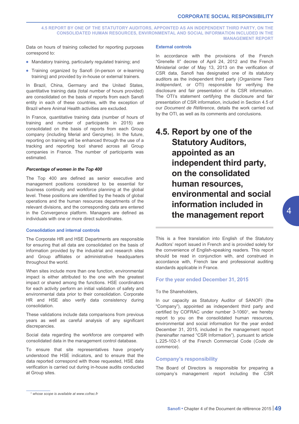<span id="page-49-0"></span>**4.5 REPORT BY ONE OF THE STATUTORY AUDITORS, APPOINTED AS AN INDEPENDENT THIRD PARTY, ON THE CONSOLIDATED HUMAN RESOURCES, ENVIRONMENTAL AND SOCIAL INFORMATION INCLUDED IN THE MANAGEMENT REPORT**

Data on hours of training collected for reporting purposes correspond to:

- Mandatory training, particularly regulated training; and
- Training organized by Sanofi (in-person or e-learning training) and provided by in-house or external trainers.

In Brazil, China, Germany and the United States, quantitative training data (total number of hours provided) are consolidated on the basis of reports from each Sanofi entity in each of these countries, with the exception of Brazil where Animal Health activities are excluded.

In France, quantitative training data (number of hours of training and number of participants in 2015) are consolidated on the basis of reports from each Group company (including Merial and Genzyme). In the future, reporting on training will be enhanced through the use of a tracking and reporting tool shared across all Group companies in France. The number of participants was estimated.

# *Percentage of women in the Top 400*

The Top 400 are defined as senior executive and management positions considered to be essential for business continuity and workforce planning at the global level. These positions are identified by the heads of global operations and the human resources departments of the relevant divisions, and the corresponding data are entered in the Convergence platform. Managers are defined as individuals with one or more direct subordinates.

#### **Consolidation and internal controls**

The Corporate HR and HSE Departments are responsible for ensuring that all data are consolidated on the basis of information provided by the industrial and research sites and Group affiliates or administrative headquarters throughout the world.

When sites include more than one function, environmental impact is either attributed to the one with the greatest impact or shared among the functions. HSE coordinators for each activity perform an initial validation of safety and environmental data prior to their consolidation. Corporate HR and HSE also verify data consistency during consolidation.

These validations include data comparisons from previous years as well as careful analysis of any significant discrepancies.

Social data regarding the workforce are compared with consolidated data in the management control database.

To ensure that site representatives have properly understood the HSE indicators, and to ensure that the data reported correspond with those requested, HSE data verification is carried out during in-house audits conducted at Group sites.

# **External controls**

In accordance with the provisions of the French "Grenelle II" decree of April 24, 2012 and the French Ministerial order of May 13, 2013 on the verification of CSR data, Sanofi has designated one of its statutory auditors as the independent third party (*Organisme Tiers Indépendant*, or OTI) responsible for verifying the disclosure and fair presentation of its CSR information. The OTI's statement certifying the disclosure and fair presentation of CSR information, included in Section 4.5 of our *Document de Référence*, details the work carried out by the OTI, as well as its comments and conclusions.

# **4.5. Report by one of the Statutory Auditors, appointed as an independent third party, on the consolidated human resources, environmental and social information included in the management report**

This is a free translation into English of the Statutory Auditors' report issued in French and is provided solely for the convenience of English-speaking readers. This report should be read in conjunction with, and construed in accordance with, French law and professional auditing standards applicable in France.

# **For the year ended December 31, 2015**

#### To the Shareholders,

In our capacity as Statutory Auditor of SANOFI (the "Company"), appointed as independent third party and certified by COFRAC under number 3-10601, we hereby report to you on the consolidated human resources, environmental and social information for the year ended December 31, 2015, included in the management report (hereinafter named "CSR Information"), pursuant to article L.225-102-1 of the French Commercial Code (*Code de commerce*).

# **Company's responsibility**

The Board of Directors is responsible for preparing a company's management report including the CSR

*<sup>1</sup> whose scope is available at [www.cofrac.fr](http://www.cofrac.fr)*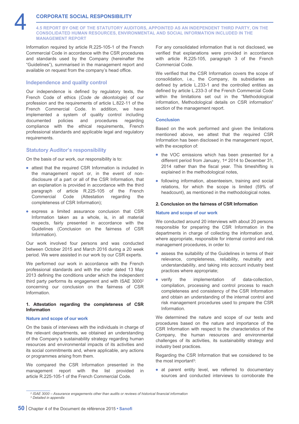

**4.5 REPORT BY ONE OF THE STATUTORY AUDITORS, APPOINTED AS AN INDEPENDENT THIRD PARTY, ON THE CONSOLIDATED HUMAN RESOURCES, ENVIRONMENTAL AND SOCIAL INFORMATION INCLUDED IN THE MANAGEMENT REPORT**

Information required by article R.225-105-1 of the French Commercial Code in accordance with the CSR procedures and standards used by the Company (hereinafter the "Guidelines"), summarised in the management report and available on request from the company's head office.

# **Independence and quality control**

Our independence is defined by regulatory texts, the French Code of ethics (*Code de déontologie*) of our profession and the requirements of article L.822-11 of the French Commercial Code. In addition, we have implemented a system of quality control including documented policies and procedures regarding compliance with the ethical requirements, French professional standards and applicable legal and regulatory requirements.

# **Statutory Auditor's responsibility**

On the basis of our work, our responsibility is to:

- attest that the required CSR Information is included in the management report or, in the event of nondisclosure of a part or all of the CSR Information, that an explanation is provided in accordance with the third paragraph of article R.225-105 of the French Commercial Code (Attestation regarding the completeness of CSR Information);
- express a limited assurance conclusion that CSR Information taken as a whole, is, in all material respects, fairly presented in accordance with the Guidelines (Conclusion on the fairness of CSR Information).

Our work involved four persons and was conducted between October 2015 and March 2016 during a 20 week period. We were assisted in our work by our CSR experts.

We performed our work in accordance with the French professional standards and with the order dated 13 May 2013 defining the conditions under which the independent third party performs its engagement and with ISAE 30002 concerning our conclusion on the fairness of CSR Information.

# **1. Attestation regarding the completeness of CSR Information**

# **Nature and scope of our work**

On the basis of interviews with the individuals in charge of the relevant departments, we obtained an understanding of the Company's sustainability strategy regarding human resources and environmental impacts of its activities and its social commitments and, where applicable, any actions or programmes arising from them.

We compared the CSR Information presented in the management report with the list provided in article R.225-105-1 of the French Commercial Code.

For any consolidated information that is not disclosed, we verified that explanations were provided in accordance with article R.225-105, paragraph 3 of the French Commercial Code.

We verified that the CSR Information covers the scope of consolidation, i.e., the Company, its subsidiaries as defined by article L.233-1 and the controlled entities as defined by article L.233-3 of the French Commercial Code within the limitations set out in the "Methodological information, Methodological details on CSR information" section of the management report.

# **Conclusion**

Based on the work performed and given the limitations mentioned above, we attest that the required CSR Information has been disclosed in the management report, with the exception of:

- the VOC emissions which has been presented for a different period from January, 1<sup>st</sup> 2014 to December 31, 2014 rather than the fiscal year. This timeshifting is explained in the methodological notes,
- following information, absenteeism, training and social relations, for which the scope is limited (59% of headcount), as mentioned in the methodological notes.

# **2. Conclusion on the fairness of CSR Information**

#### **Nature and scope of our work**

We conducted around 20 interviews with about 20 persons responsible for preparing the CSR Information in the departments in charge of collecting the information and, where appropriate, responsible for internal control and risk management procedures, in order to:

- assess the suitability of the Guidelines in terms of their relevance, completeness, reliability, neutrality and understandability, and taking into account industry best practices where appropriate;
- verify the implementation of data-collection, compilation, processing and control process to reach completeness and consistency of the CSR Information and obtain an understanding of the internal control and risk management procedures used to prepare the CSR Information.

We determined the nature and scope of our tests and procedures based on the nature and importance of the CSR Information with respect to the characteristics of the Company, the human resources and environmental challenges of its activities, its sustainability strategy and industry best practices.

Regarding the CSR Information that we considered to be the most important3:

• at parent entity level, we referred to documentary sources and conducted interviews to corroborate the

*<sup>2</sup> ISAE 3000 – Assurance engagements other than audits or reviews of historical financial information <sup>3</sup> Detailed in appendix*